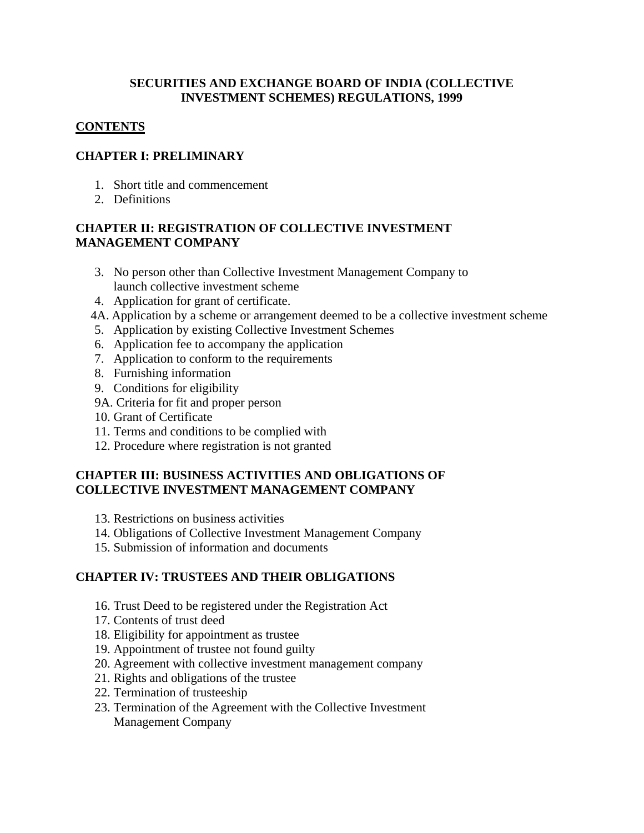#### **SECURITIES AND EXCHANGE BOARD OF INDIA (COLLECTIVE INVESTMENT SCHEMES) REGULATIONS, 1999**

## **CONTENTS**

## **CHAPTER I: PRELIMINARY**

- 1. Short title and commencement
- 2. Definitions

## **CHAPTER II: REGISTRATION OF COLLECTIVE INVESTMENT MANAGEMENT COMPANY**

- 3. No person other than Collective Investment Management Company to launch collective investment scheme
- 4. Application for grant of certificate.
- 4A. Application by a scheme or arrangement deemed to be a collective investment scheme
- 5. Application by existing Collective Investment Schemes
- 6. Application fee to accompany the application
- 7. Application to conform to the requirements
- 8. Furnishing information
- 9. Conditions for eligibility
- 9A. Criteria for fit and proper person
- 10. Grant of Certificate
- 11. Terms and conditions to be complied with
- 12. Procedure where registration is not granted

#### **CHAPTER III: BUSINESS ACTIVITIES AND OBLIGATIONS OF COLLECTIVE INVESTMENT MANAGEMENT COMPANY**

- 13. Restrictions on business activities
- 14. Obligations of Collective Investment Management Company
- 15. Submission of information and documents

## **CHAPTER IV: TRUSTEES AND THEIR OBLIGATIONS**

- 16. Trust Deed to be registered under the Registration Act
- 17. Contents of trust deed
- 18. Eligibility for appointment as trustee
- 19. Appointment of trustee not found guilty
- 20. Agreement with collective investment management company
- 21. Rights and obligations of the trustee
- 22. Termination of trusteeship
- 23. Termination of the Agreement with the Collective Investment Management Company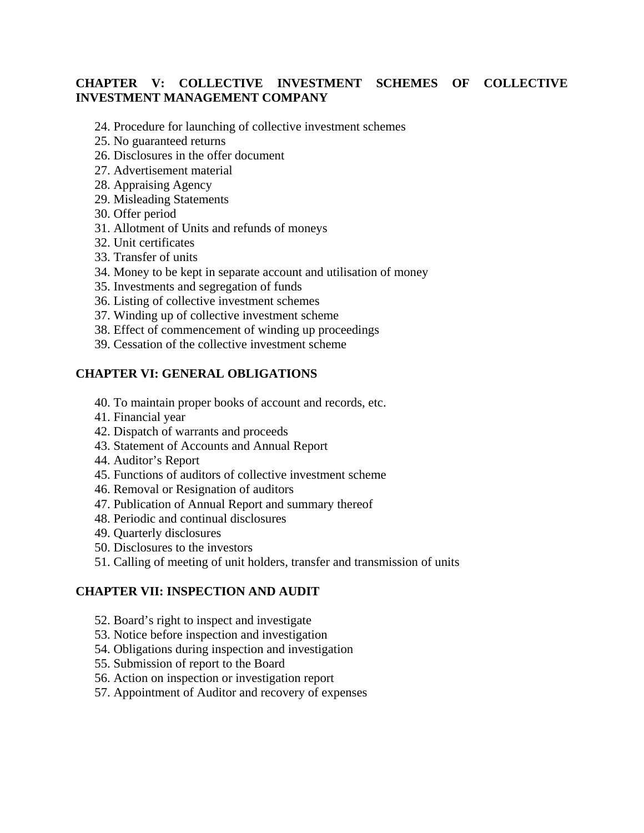## **CHAPTER V: COLLECTIVE INVESTMENT SCHEMES OF COLLECTIVE INVESTMENT MANAGEMENT COMPANY**

- 24. Procedure for launching of collective investment schemes
- 25. No guaranteed returns
- 26. Disclosures in the offer document
- 27. Advertisement material
- 28. Appraising Agency
- 29. Misleading Statements
- 30. Offer period
- 31. Allotment of Units and refunds of moneys
- 32. Unit certificates
- 33. Transfer of units
- 34. Money to be kept in separate account and utilisation of money
- 35. Investments and segregation of funds
- 36. Listing of collective investment schemes
- 37. Winding up of collective investment scheme
- 38. Effect of commencement of winding up proceedings
- 39. Cessation of the collective investment scheme

#### **CHAPTER VI: GENERAL OBLIGATIONS**

- 40. To maintain proper books of account and records, etc.
- 41. Financial year
- 42. Dispatch of warrants and proceeds
- 43. Statement of Accounts and Annual Report
- 44. Auditor's Report
- 45. Functions of auditors of collective investment scheme
- 46. Removal or Resignation of auditors
- 47. Publication of Annual Report and summary thereof
- 48. Periodic and continual disclosures
- 49. Quarterly disclosures
- 50. Disclosures to the investors
- 51. Calling of meeting of unit holders, transfer and transmission of units

#### **CHAPTER VII: INSPECTION AND AUDIT**

- 52. Board's right to inspect and investigate
- 53. Notice before inspection and investigation
- 54. Obligations during inspection and investigation
- 55. Submission of report to the Board
- 56. Action on inspection or investigation report
- 57. Appointment of Auditor and recovery of expenses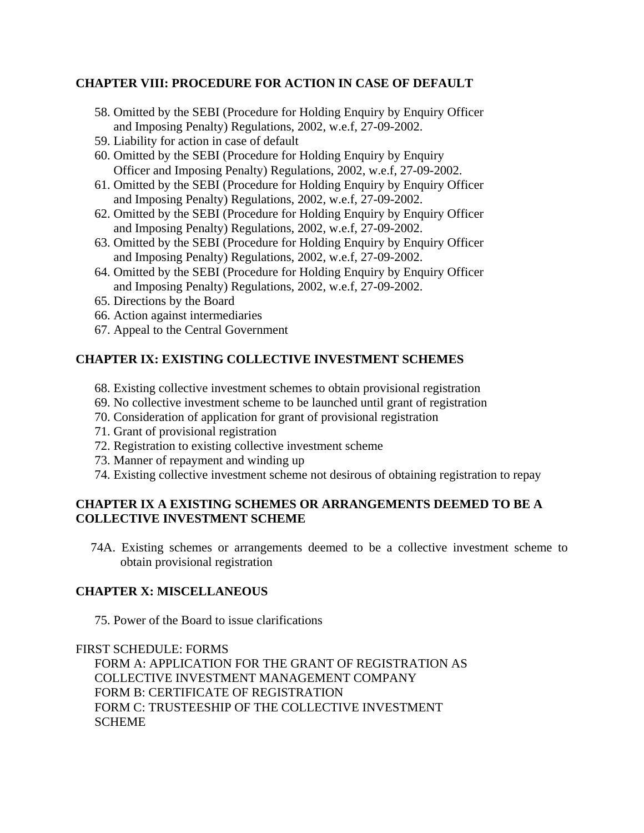## **CHAPTER VIII: PROCEDURE FOR ACTION IN CASE OF DEFAULT**

- 58. Omitted by the SEBI (Procedure for Holding Enquiry by Enquiry Officer and Imposing Penalty) Regulations, 2002, w.e.f, 27-09-2002.
- 59. Liability for action in case of default
- 60. Omitted by the SEBI (Procedure for Holding Enquiry by Enquiry Officer and Imposing Penalty) Regulations, 2002, w.e.f, 27-09-2002.
- 61. Omitted by the SEBI (Procedure for Holding Enquiry by Enquiry Officer and Imposing Penalty) Regulations, 2002, w.e.f, 27-09-2002.
- 62. Omitted by the SEBI (Procedure for Holding Enquiry by Enquiry Officer and Imposing Penalty) Regulations, 2002, w.e.f, 27-09-2002.
- 63. Omitted by the SEBI (Procedure for Holding Enquiry by Enquiry Officer and Imposing Penalty) Regulations, 2002, w.e.f, 27-09-2002.
- 64. Omitted by the SEBI (Procedure for Holding Enquiry by Enquiry Officer and Imposing Penalty) Regulations, 2002, w.e.f, 27-09-2002.
- 65. Directions by the Board
- 66. Action against intermediaries
- 67. Appeal to the Central Government

## **CHAPTER IX: EXISTING COLLECTIVE INVESTMENT SCHEMES**

- 68. Existing collective investment schemes to obtain provisional registration
- 69. No collective investment scheme to be launched until grant of registration
- 70. Consideration of application for grant of provisional registration
- 71. Grant of provisional registration
- 72. Registration to existing collective investment scheme
- 73. Manner of repayment and winding up
- 74. Existing collective investment scheme not desirous of obtaining registration to repay

## **CHAPTER IX A EXISTING SCHEMES OR ARRANGEMENTS DEEMED TO BE A COLLECTIVE INVESTMENT SCHEME**

74A. Existing schemes or arrangements deemed to be a collective investment scheme to obtain provisional registration

#### **CHAPTER X: MISCELLANEOUS**

75. Power of the Board to issue clarifications

FIRST SCHEDULE: FORMS

FORM A: APPLICATION FOR THE GRANT OF REGISTRATION AS COLLECTIVE INVESTMENT MANAGEMENT COMPANY FORM B: CERTIFICATE OF REGISTRATION FORM C: TRUSTEESHIP OF THE COLLECTIVE INVESTMENT **SCHEME**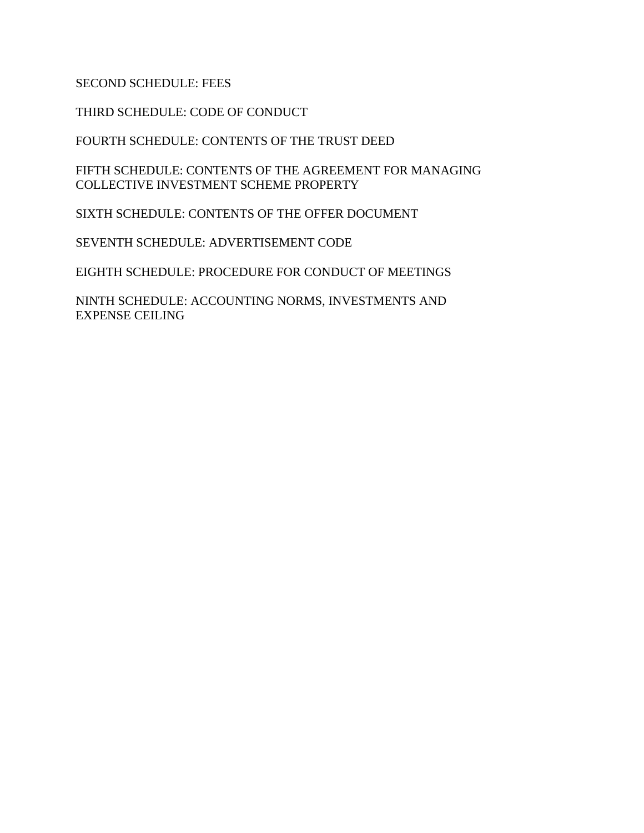## SECOND SCHEDULE: FEES

THIRD SCHEDULE: CODE OF CONDUCT

FOURTH SCHEDULE: CONTENTS OF THE TRUST DEED

FIFTH SCHEDULE: CONTENTS OF THE AGREEMENT FOR MANAGING COLLECTIVE INVESTMENT SCHEME PROPERTY

SIXTH SCHEDULE: CONTENTS OF THE OFFER DOCUMENT

SEVENTH SCHEDULE: ADVERTISEMENT CODE

EIGHTH SCHEDULE: PROCEDURE FOR CONDUCT OF MEETINGS

NINTH SCHEDULE: ACCOUNTING NORMS, INVESTMENTS AND EXPENSE CEILING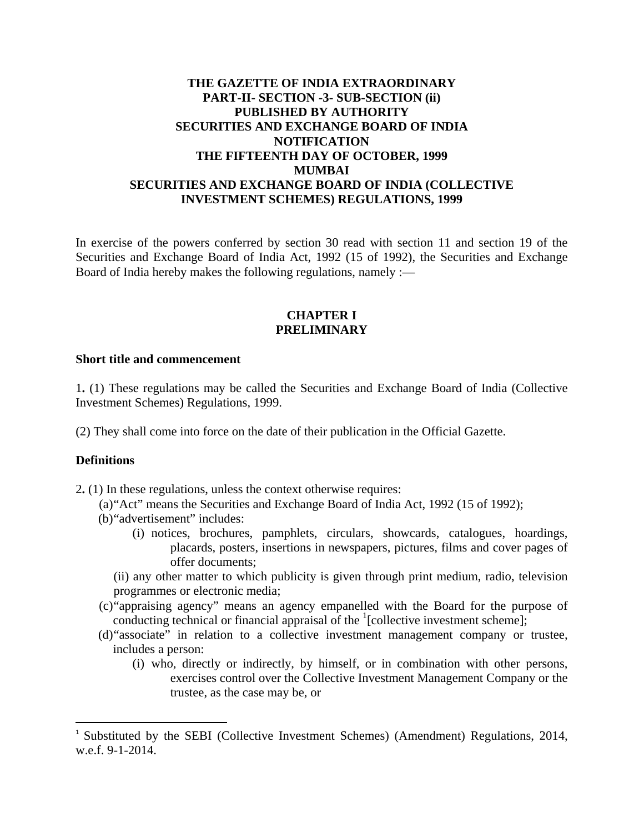## **THE GAZETTE OF INDIA EXTRAORDINARY PART-II- SECTION -3- SUB-SECTION (ii) PUBLISHED BY AUTHORITY SECURITIES AND EXCHANGE BOARD OF INDIA NOTIFICATION THE FIFTEENTH DAY OF OCTOBER, 1999 MUMBAI SECURITIES AND EXCHANGE BOARD OF INDIA (COLLECTIVE INVESTMENT SCHEMES) REGULATIONS, 1999**

In exercise of the powers conferred by section 30 read with section 11 and section 19 of the Securities and Exchange Board of India Act, 1992 (15 of 1992), the Securities and Exchange Board of India hereby makes the following regulations, namely :—

#### **CHAPTER I PRELIMINARY**

#### **Short title and commencement**

1**.** (1) These regulations may be called the Securities and Exchange Board of India (Collective Investment Schemes) Regulations, 1999.

(2) They shall come into force on the date of their publication in the Official Gazette.

#### **Definitions**

2**.** (1) In these regulations, unless the context otherwise requires:

- (a)"Act" means the Securities and Exchange Board of India Act, 1992 (15 of 1992);
- (b)"advertisement" includes:

- (i) notices, brochures, pamphlets, circulars, showcards, catalogues, hoardings, placards, posters, insertions in newspapers, pictures, films and cover pages of offer documents;
- (ii) any other matter to which publicity is given through print medium, radio, television programmes or electronic media;
- (c)"appraising agency" means an agency empanelled with the Board for the purpose of conducting technical or financial appraisal of the  $\frac{1}{2}$ [collective investment scheme];
- (d)"associate" in relation to a collective investment management company or trustee, includes a person:
	- (i) who, directly or indirectly, by himself, or in combination with other persons, exercises control over the Collective Investment Management Company or the trustee, as the case may be, or

<sup>&</sup>lt;sup>1</sup> Substituted by the SEBI (Collective Investment Schemes) (Amendment) Regulations, 2014, w.e.f. 9-1-2014.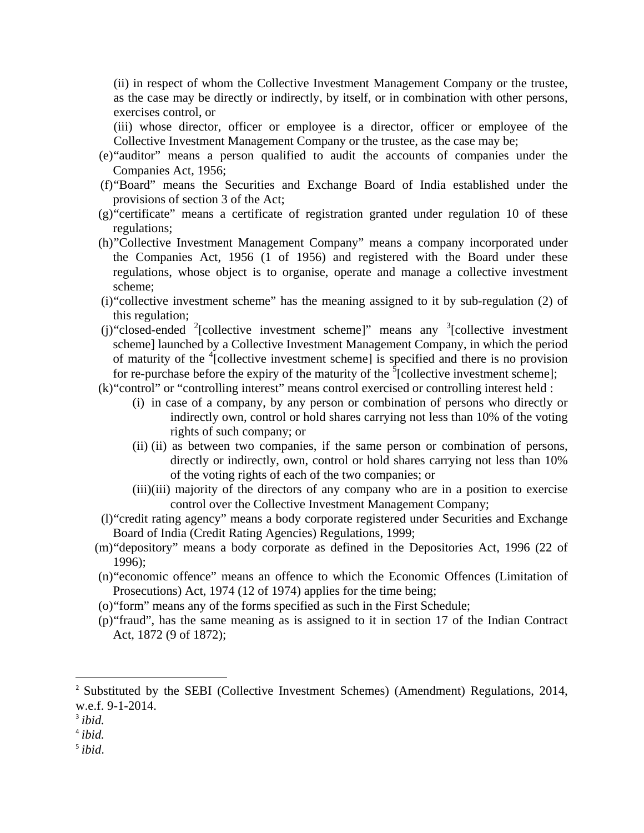(ii) in respect of whom the Collective Investment Management Company or the trustee, as the case may be directly or indirectly, by itself, or in combination with other persons, exercises control, or

(iii) whose director, officer or employee is a director, officer or employee of the Collective Investment Management Company or the trustee, as the case may be;

- (e)"auditor" means a person qualified to audit the accounts of companies under the Companies Act, 1956;
- (f)"Board" means the Securities and Exchange Board of India established under the provisions of section 3 of the Act;
- (g)"certificate" means a certificate of registration granted under regulation 10 of these regulations;
- (h)"Collective Investment Management Company" means a company incorporated under the Companies Act, 1956 (1 of 1956) and registered with the Board under these regulations, whose object is to organise, operate and manage a collective investment scheme;
- (i)"collective investment scheme" has the meaning assigned to it by sub-regulation (2) of this regulation;
- (j) "closed-ended  $2$ [collective investment scheme]" means any  $3$ [collective investment scheme] launched by a Collective Investment Management Company, in which the period of maturity of the <sup>4</sup>[collective investment scheme] is specified and there is no provision for re-purchase before the expiry of the maturity of the  $\delta$ [collective investment scheme];
- (k)"control" or "controlling interest" means control exercised or controlling interest held :
	- (i) in case of a company, by any person or combination of persons who directly or indirectly own, control or hold shares carrying not less than 10% of the voting rights of such company; or
	- (ii) (ii) as between two companies, if the same person or combination of persons, directly or indirectly, own, control or hold shares carrying not less than 10% of the voting rights of each of the two companies; or
	- (iii)(iii) majority of the directors of any company who are in a position to exercise control over the Collective Investment Management Company;
- (l)"credit rating agency" means a body corporate registered under Securities and Exchange Board of India (Credit Rating Agencies) Regulations, 1999;
- (m)"depository" means a body corporate as defined in the Depositories Act, 1996 (22 of 1996);
- (n)"economic offence" means an offence to which the Economic Offences (Limitation of Prosecutions) Act, 1974 (12 of 1974) applies for the time being;
- (o)"form" means any of the forms specified as such in the First Schedule;
- (p)"fraud", has the same meaning as is assigned to it in section 17 of the Indian Contract Act, 1872 (9 of 1872);

- <sup>4</sup> *ibid.*
- <sup>5</sup> *ibid*.

<sup>&</sup>lt;sup>2</sup> Substituted by the SEBI (Collective Investment Schemes) (Amendment) Regulations, 2014, w.e.f. 9-1-2014.

<sup>3</sup> *ibid.*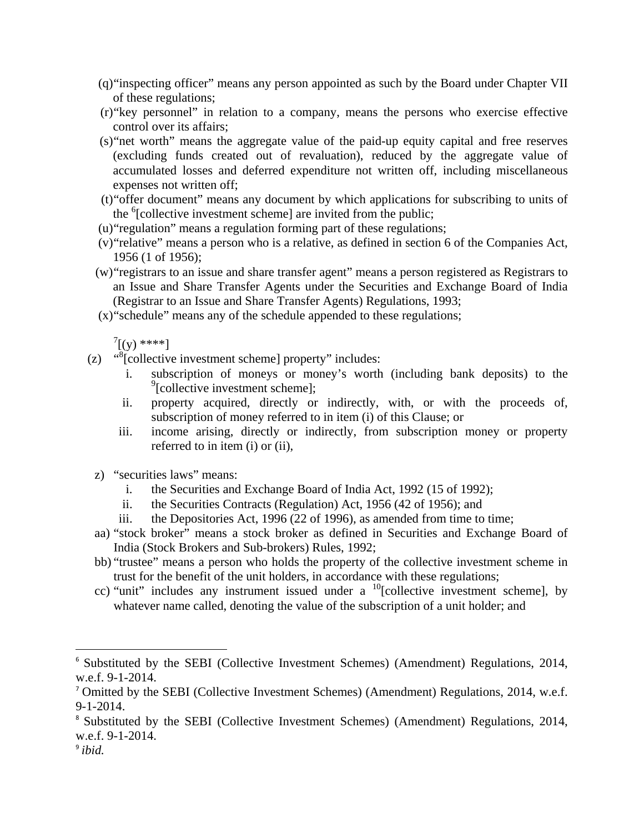- (q)"inspecting officer" means any person appointed as such by the Board under Chapter VII of these regulations;
- (r)"key personnel" in relation to a company, means the persons who exercise effective control over its affairs;
- (s)"net worth" means the aggregate value of the paid-up equity capital and free reserves (excluding funds created out of revaluation), reduced by the aggregate value of accumulated losses and deferred expenditure not written off, including miscellaneous expenses not written off;
- (t)"offer document" means any document by which applications for subscribing to units of the <sup>6</sup>[collective investment scheme] are invited from the public;
- (u)"regulation" means a regulation forming part of these regulations;
- (v)"relative" means a person who is a relative, as defined in section 6 of the Companies Act, 1956 (1 of 1956);
- (w)"registrars to an issue and share transfer agent" means a person registered as Registrars to an Issue and Share Transfer Agents under the Securities and Exchange Board of India (Registrar to an Issue and Share Transfer Agents) Regulations, 1993;
- (x)"schedule" means any of the schedule appended to these regulations;

 $\int^7$ [(y) \*\*\*\*]

- (z)  $\frac{d}{d}$ [collective investment scheme] property" includes:
	- i. subscription of moneys or money's worth (including bank deposits) to the <sup>9</sup>[collective investment scheme];
	- ii. property acquired, directly or indirectly, with, or with the proceeds of, subscription of money referred to in item (i) of this Clause; or
	- iii. income arising, directly or indirectly, from subscription money or property referred to in item (i) or (ii),
	- z) "securities laws" means:

- i. the Securities and Exchange Board of India Act, 1992 (15 of 1992);
- ii. the Securities Contracts (Regulation) Act, 1956 (42 of 1956); and
- iii. the Depositories Act, 1996 (22 of 1996), as amended from time to time;
- aa) "stock broker" means a stock broker as defined in Securities and Exchange Board of India (Stock Brokers and Sub-brokers) Rules, 1992;
- bb) "trustee" means a person who holds the property of the collective investment scheme in trust for the benefit of the unit holders, in accordance with these regulations;
- cc) "unit" includes any instrument issued under a  $^{10}$ [collective investment scheme], by whatever name called, denoting the value of the subscription of a unit holder; and

<sup>&</sup>lt;sup>6</sup> Substituted by the SEBI (Collective Investment Schemes) (Amendment) Regulations, 2014, w.e.f. 9-1-2014.

<sup>7</sup> Omitted by the SEBI (Collective Investment Schemes) (Amendment) Regulations, 2014, w.e.f. 9-1-2014.

<sup>8</sup> Substituted by the SEBI (Collective Investment Schemes) (Amendment) Regulations, 2014, w.e.f. 9-1-2014.

<sup>9</sup> *ibid.*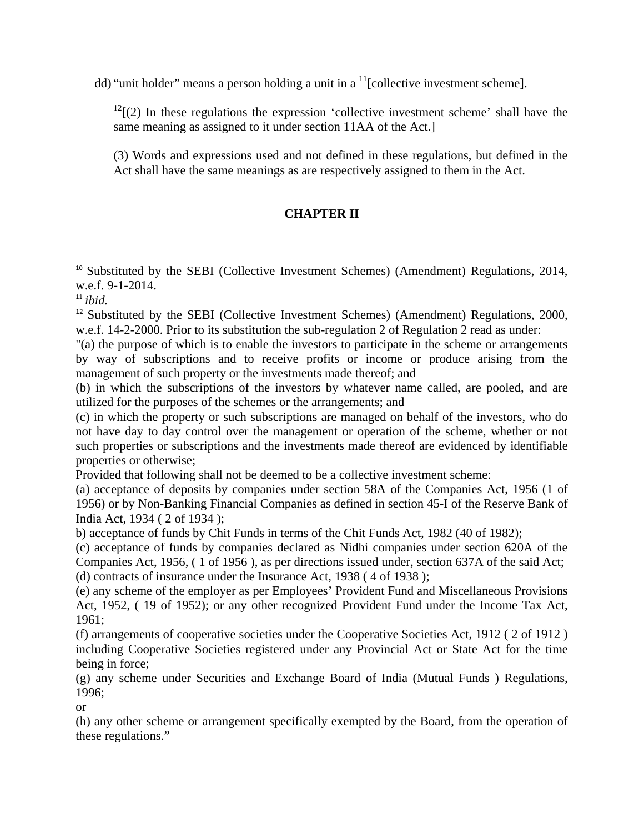dd) "unit holder" means a person holding a unit in a  $<sup>11</sup>$ [collective investment scheme].</sup>

 $12$ [(2) In these regulations the expression 'collective investment scheme' shall have the same meaning as assigned to it under section 11AA of the Act.]

(3) Words and expressions used and not defined in these regulations, but defined in the Act shall have the same meanings as are respectively assigned to them in the Act.

# **CHAPTER II**

<u> 1989 - Johann Stein, marwolaethau a gweledydd a ganlad y ganlad y ganlad y ganlad y ganlad y ganlad y ganlad</u> <sup>10</sup> Substituted by the SEBI (Collective Investment Schemes) (Amendment) Regulations, 2014, w.e.f. 9-1-2014.

 $11$  *ibid.* 

<sup>12</sup> Substituted by the SEBI (Collective Investment Schemes) (Amendment) Regulations, 2000, w.e.f. 14-2-2000. Prior to its substitution the sub-regulation 2 of Regulation 2 read as under:

"(a) the purpose of which is to enable the investors to participate in the scheme or arrangements by way of subscriptions and to receive profits or income or produce arising from the management of such property or the investments made thereof; and

(b) in which the subscriptions of the investors by whatever name called, are pooled, and are utilized for the purposes of the schemes or the arrangements; and

(c) in which the property or such subscriptions are managed on behalf of the investors, who do not have day to day control over the management or operation of the scheme, whether or not such properties or subscriptions and the investments made thereof are evidenced by identifiable properties or otherwise;

Provided that following shall not be deemed to be a collective investment scheme:

(a) acceptance of deposits by companies under section 58A of the Companies Act, 1956 (1 of 1956) or by Non-Banking Financial Companies as defined in section 45-I of the Reserve Bank of India Act, 1934 ( 2 of 1934 );

b) acceptance of funds by Chit Funds in terms of the Chit Funds Act, 1982 (40 of 1982);

(c) acceptance of funds by companies declared as Nidhi companies under section 620A of the Companies Act, 1956, ( 1 of 1956 ), as per directions issued under, section 637A of the said Act; (d) contracts of insurance under the Insurance Act, 1938 ( 4 of 1938 );

(e) any scheme of the employer as per Employees' Provident Fund and Miscellaneous Provisions Act, 1952, ( 19 of 1952); or any other recognized Provident Fund under the Income Tax Act, 1961;

(f) arrangements of cooperative societies under the Cooperative Societies Act, 1912 ( 2 of 1912 ) including Cooperative Societies registered under any Provincial Act or State Act for the time being in force;

(g) any scheme under Securities and Exchange Board of India (Mutual Funds ) Regulations, 1996;

or

(h) any other scheme or arrangement specifically exempted by the Board, from the operation of these regulations."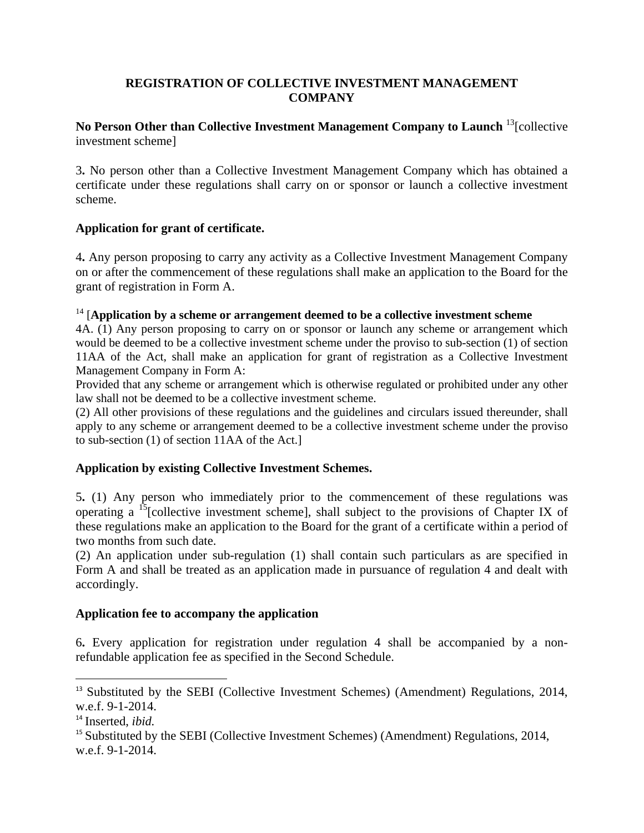## **REGISTRATION OF COLLECTIVE INVESTMENT MANAGEMENT COMPANY**

## **No Person Other than Collective Investment Management Company to Launch** 13[collective investment scheme]

3**.** No person other than a Collective Investment Management Company which has obtained a certificate under these regulations shall carry on or sponsor or launch a collective investment scheme.

#### **Application for grant of certificate.**

4**.** Any person proposing to carry any activity as a Collective Investment Management Company on or after the commencement of these regulations shall make an application to the Board for the grant of registration in Form A.

#### 14 [**Application by a scheme or arrangement deemed to be a collective investment scheme**

4A. (1) Any person proposing to carry on or sponsor or launch any scheme or arrangement which would be deemed to be a collective investment scheme under the proviso to sub-section (1) of section 11AA of the Act, shall make an application for grant of registration as a Collective Investment Management Company in Form A:

Provided that any scheme or arrangement which is otherwise regulated or prohibited under any other law shall not be deemed to be a collective investment scheme.

(2) All other provisions of these regulations and the guidelines and circulars issued thereunder, shall apply to any scheme or arrangement deemed to be a collective investment scheme under the proviso to sub-section (1) of section 11AA of the Act.]

## **Application by existing Collective Investment Schemes.**

5**.** (1) Any person who immediately prior to the commencement of these regulations was operating a  $^{15}$ [collective investment scheme], shall subject to the provisions of Chapter IX of these regulations make an application to the Board for the grant of a certificate within a period of two months from such date.

(2) An application under sub-regulation (1) shall contain such particulars as are specified in Form A and shall be treated as an application made in pursuance of regulation 4 and dealt with accordingly.

#### **Application fee to accompany the application**

6**.** Every application for registration under regulation 4 shall be accompanied by a nonrefundable application fee as specified in the Second Schedule.

<sup>&</sup>lt;sup>13</sup> Substituted by the SEBI (Collective Investment Schemes) (Amendment) Regulations, 2014, w.e.f. 9-1-2014.

<sup>14</sup> Inserted, *ibid.*

<sup>&</sup>lt;sup>15</sup> Substituted by the SEBI (Collective Investment Schemes) (Amendment) Regulations, 2014, w.e.f. 9-1-2014.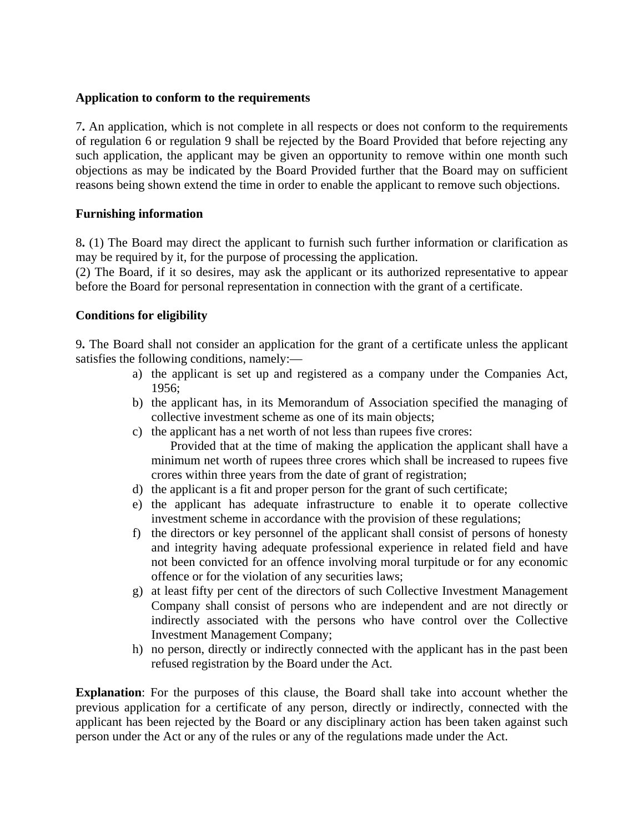#### **Application to conform to the requirements**

7**.** An application, which is not complete in all respects or does not conform to the requirements of regulation 6 or regulation 9 shall be rejected by the Board Provided that before rejecting any such application, the applicant may be given an opportunity to remove within one month such objections as may be indicated by the Board Provided further that the Board may on sufficient reasons being shown extend the time in order to enable the applicant to remove such objections.

#### **Furnishing information**

8**.** (1) The Board may direct the applicant to furnish such further information or clarification as may be required by it, for the purpose of processing the application.

(2) The Board, if it so desires, may ask the applicant or its authorized representative to appear before the Board for personal representation in connection with the grant of a certificate.

#### **Conditions for eligibility**

9**.** The Board shall not consider an application for the grant of a certificate unless the applicant satisfies the following conditions, namely:—

- a) the applicant is set up and registered as a company under the Companies Act, 1956;
- b) the applicant has, in its Memorandum of Association specified the managing of collective investment scheme as one of its main objects;
- c) the applicant has a net worth of not less than rupees five crores: Provided that at the time of making the application the applicant shall have a minimum net worth of rupees three crores which shall be increased to rupees five crores within three years from the date of grant of registration;
- d) the applicant is a fit and proper person for the grant of such certificate;
- e) the applicant has adequate infrastructure to enable it to operate collective investment scheme in accordance with the provision of these regulations;
- f) the directors or key personnel of the applicant shall consist of persons of honesty and integrity having adequate professional experience in related field and have not been convicted for an offence involving moral turpitude or for any economic offence or for the violation of any securities laws;
- g) at least fifty per cent of the directors of such Collective Investment Management Company shall consist of persons who are independent and are not directly or indirectly associated with the persons who have control over the Collective Investment Management Company;
- h) no person, directly or indirectly connected with the applicant has in the past been refused registration by the Board under the Act.

**Explanation**: For the purposes of this clause, the Board shall take into account whether the previous application for a certificate of any person, directly or indirectly, connected with the applicant has been rejected by the Board or any disciplinary action has been taken against such person under the Act or any of the rules or any of the regulations made under the Act.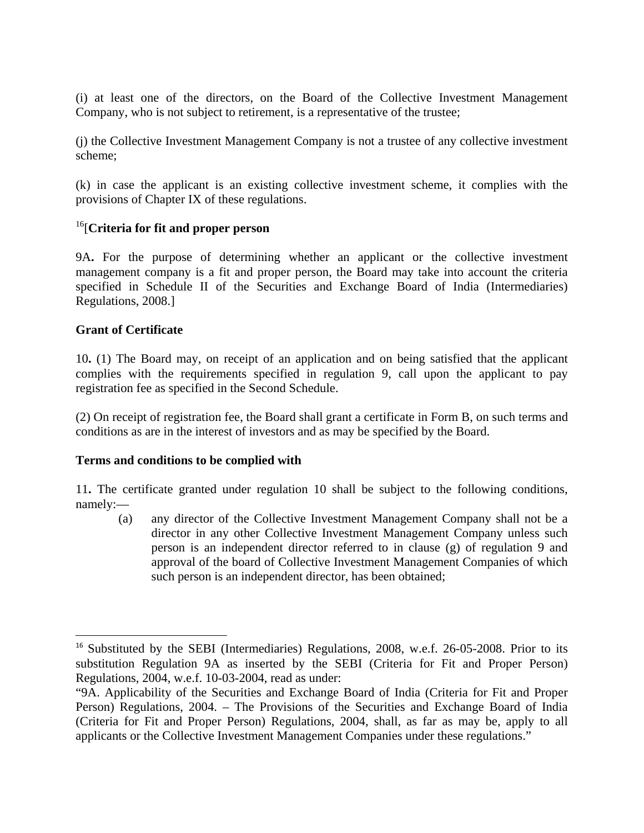(i) at least one of the directors, on the Board of the Collective Investment Management Company, who is not subject to retirement, is a representative of the trustee;

(j) the Collective Investment Management Company is not a trustee of any collective investment scheme;

(k) in case the applicant is an existing collective investment scheme, it complies with the provisions of Chapter IX of these regulations.

## 16[**Criteria for fit and proper person**

9A**.** For the purpose of determining whether an applicant or the collective investment management company is a fit and proper person, the Board may take into account the criteria specified in Schedule II of the Securities and Exchange Board of India (Intermediaries) Regulations, 2008.]

## **Grant of Certificate**

10**.** (1) The Board may, on receipt of an application and on being satisfied that the applicant complies with the requirements specified in regulation 9, call upon the applicant to pay registration fee as specified in the Second Schedule.

(2) On receipt of registration fee, the Board shall grant a certificate in Form B, on such terms and conditions as are in the interest of investors and as may be specified by the Board.

## **Terms and conditions to be complied with**

11**.** The certificate granted under regulation 10 shall be subject to the following conditions, namely:—

(a) any director of the Collective Investment Management Company shall not be a director in any other Collective Investment Management Company unless such person is an independent director referred to in clause (g) of regulation 9 and approval of the board of Collective Investment Management Companies of which such person is an independent director, has been obtained;

<sup>&</sup>lt;sup>16</sup> Substituted by the SEBI (Intermediaries) Regulations, 2008, w.e.f. 26-05-2008. Prior to its substitution Regulation 9A as inserted by the SEBI (Criteria for Fit and Proper Person) Regulations, 2004, w.e.f. 10-03-2004, read as under:

<sup>&</sup>quot;9A. Applicability of the Securities and Exchange Board of India (Criteria for Fit and Proper Person) Regulations, 2004. – The Provisions of the Securities and Exchange Board of India (Criteria for Fit and Proper Person) Regulations, 2004, shall, as far as may be, apply to all applicants or the Collective Investment Management Companies under these regulations."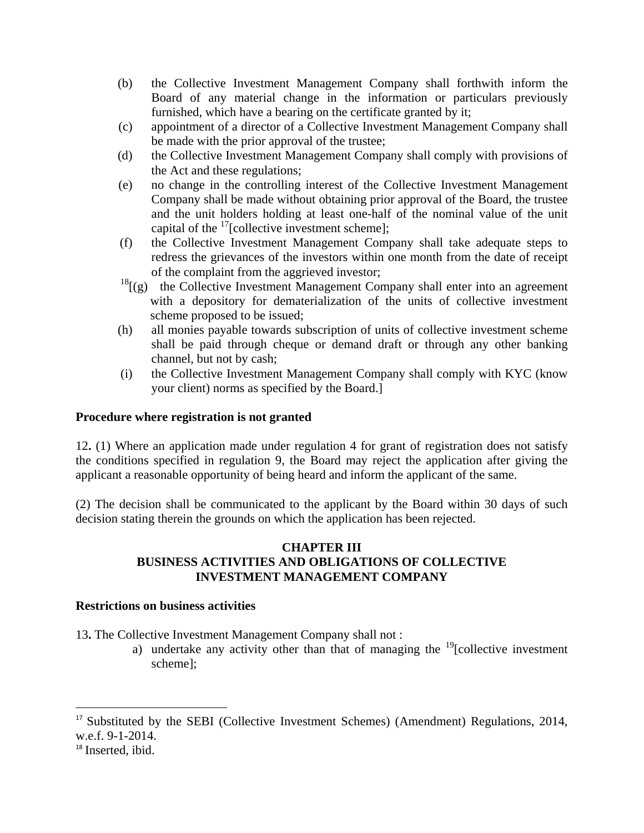- (b) the Collective Investment Management Company shall forthwith inform the Board of any material change in the information or particulars previously furnished, which have a bearing on the certificate granted by it;
- (c) appointment of a director of a Collective Investment Management Company shall be made with the prior approval of the trustee;
- (d) the Collective Investment Management Company shall comply with provisions of the Act and these regulations;
- (e) no change in the controlling interest of the Collective Investment Management Company shall be made without obtaining prior approval of the Board, the trustee and the unit holders holding at least one-half of the nominal value of the unit capital of the  $17$ [collective investment scheme];
- (f) the Collective Investment Management Company shall take adequate steps to redress the grievances of the investors within one month from the date of receipt of the complaint from the aggrieved investor;
- $18$ [(g) the Collective Investment Management Company shall enter into an agreement with a depository for dematerialization of the units of collective investment scheme proposed to be issued;
- (h) all monies payable towards subscription of units of collective investment scheme shall be paid through cheque or demand draft or through any other banking channel, but not by cash;
- (i) the Collective Investment Management Company shall comply with KYC (know your client) norms as specified by the Board.]

## **Procedure where registration is not granted**

12**.** (1) Where an application made under regulation 4 for grant of registration does not satisfy the conditions specified in regulation 9, the Board may reject the application after giving the applicant a reasonable opportunity of being heard and inform the applicant of the same.

(2) The decision shall be communicated to the applicant by the Board within 30 days of such decision stating therein the grounds on which the application has been rejected.

#### **CHAPTER III BUSINESS ACTIVITIES AND OBLIGATIONS OF COLLECTIVE INVESTMENT MANAGEMENT COMPANY**

#### **Restrictions on business activities**

13**.** The Collective Investment Management Company shall not :

a) undertake any activity other than that of managing the  $\frac{19}{2}$ [collective investment] scheme];

<sup>&</sup>lt;sup>17</sup> Substituted by the SEBI (Collective Investment Schemes) (Amendment) Regulations, 2014, w.e.f. 9-1-2014.

<sup>&</sup>lt;sup>18</sup> Inserted, ibid.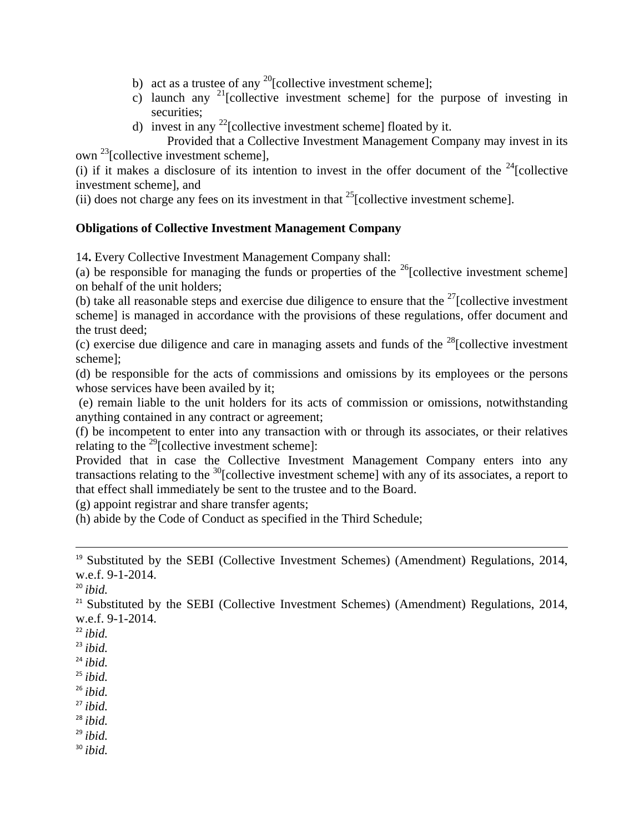- b) act as a trustee of any  $^{20}$ [collective investment scheme];
- c) launch any <sup>21</sup>[collective investment scheme] for the purpose of investing in securities;
- d) invest in any  $^{22}$ [collective investment scheme] floated by it.
	- Provided that a Collective Investment Management Company may invest in its

own <sup>23</sup>[collective investment scheme],

(i) if it makes a disclosure of its intention to invest in the offer document of the  $24$ [collective investment scheme], and

(ii) does not charge any fees on its investment in that  $^{25}$ [collective investment scheme].

#### **Obligations of Collective Investment Management Company**

14**.** Every Collective Investment Management Company shall:

(a) be responsible for managing the funds or properties of the <sup>26</sup>[collective investment scheme] on behalf of the unit holders;

(b) take all reasonable steps and exercise due diligence to ensure that the  $27$ [collective investment scheme] is managed in accordance with the provisions of these regulations, offer document and the trust deed;

(c) exercise due diligence and care in managing assets and funds of the  $28$ [collective investment scheme];

(d) be responsible for the acts of commissions and omissions by its employees or the persons whose services have been availed by it;

 (e) remain liable to the unit holders for its acts of commission or omissions, notwithstanding anything contained in any contract or agreement;

(f) be incompetent to enter into any transaction with or through its associates, or their relatives relating to the  $^{29}$ [collective investment scheme]:

Provided that in case the Collective Investment Management Company enters into any transactions relating to the <sup>30</sup>[collective investment scheme] with any of its associates, a report to that effect shall immediately be sent to the trustee and to the Board.

(g) appoint registrar and share transfer agents;

(h) abide by the Code of Conduct as specified in the Third Schedule;

<u> 1989 - Johann Stein, marwolaethau a gweledydd a ganlad y ganlad y ganlad y ganlad y ganlad y ganlad y ganlad</u>

<sup>20</sup> *ibid.*

 $21$  Substituted by the SEBI (Collective Investment Schemes) (Amendment) Regulations, 2014, w.e.f. 9-1-2014.

- $^{22}$  *ibid.*
- <sup>23</sup> *ibid.*
- <sup>24</sup> *ibid.*
- <sup>25</sup> *ibid.*
- <sup>26</sup> *ibid.*
- <sup>27</sup> *ibid.*
- <sup>28</sup> *ibid.*

<sup>29</sup> *ibid.* <sup>30</sup> *ibid.*

<sup>&</sup>lt;sup>19</sup> Substituted by the SEBI (Collective Investment Schemes) (Amendment) Regulations, 2014, w.e.f. 9-1-2014.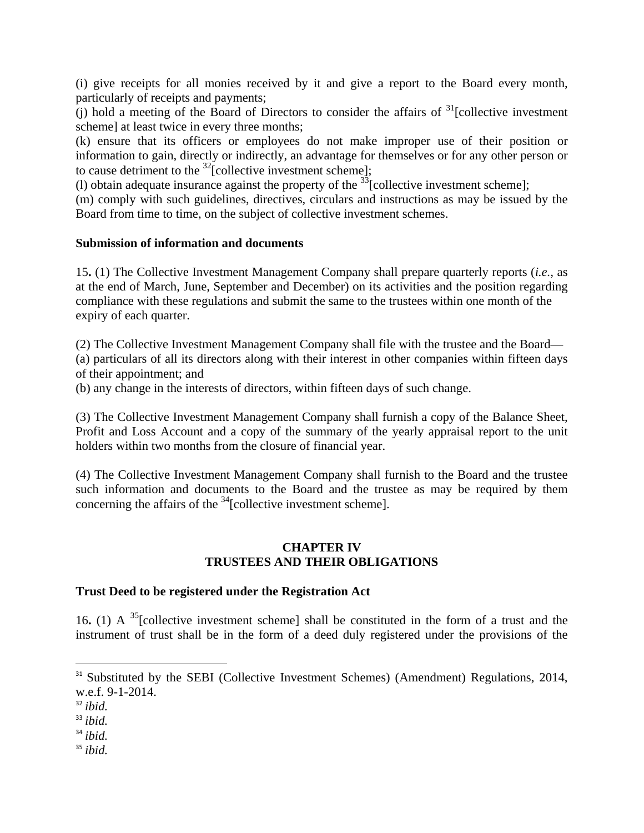(i) give receipts for all monies received by it and give a report to the Board every month, particularly of receipts and payments;

(j) hold a meeting of the Board of Directors to consider the affairs of  $31$ [collective investment scheme] at least twice in every three months;

(k) ensure that its officers or employees do not make improper use of their position or information to gain, directly or indirectly, an advantage for themselves or for any other person or to cause detriment to the  $^{32}$ [collective investment scheme];

(1) obtain adequate insurance against the property of the  $33$ [collective investment scheme];

(m) comply with such guidelines, directives, circulars and instructions as may be issued by the Board from time to time, on the subject of collective investment schemes.

#### **Submission of information and documents**

15**.** (1) The Collective Investment Management Company shall prepare quarterly reports (*i.e.,* as at the end of March, June, September and December) on its activities and the position regarding compliance with these regulations and submit the same to the trustees within one month of the expiry of each quarter.

(2) The Collective Investment Management Company shall file with the trustee and the Board— (a) particulars of all its directors along with their interest in other companies within fifteen days of their appointment; and

(b) any change in the interests of directors, within fifteen days of such change.

(3) The Collective Investment Management Company shall furnish a copy of the Balance Sheet, Profit and Loss Account and a copy of the summary of the yearly appraisal report to the unit holders within two months from the closure of financial year.

(4) The Collective Investment Management Company shall furnish to the Board and the trustee such information and documents to the Board and the trustee as may be required by them concerning the affairs of the  $34$ [collective investment scheme].

#### **CHAPTER IV TRUSTEES AND THEIR OBLIGATIONS**

#### **Trust Deed to be registered under the Registration Act**

16**.** (1) A 35[collective investment scheme] shall be constituted in the form of a trust and the instrument of trust shall be in the form of a deed duly registered under the provisions of the

<sup>34</sup> *ibid.*

<sup>&</sup>lt;sup>31</sup> Substituted by the SEBI (Collective Investment Schemes) (Amendment) Regulations, 2014, w.e.f. 9-1-2014.

<sup>32</sup> *ibid.*

 $33$  *ibid.*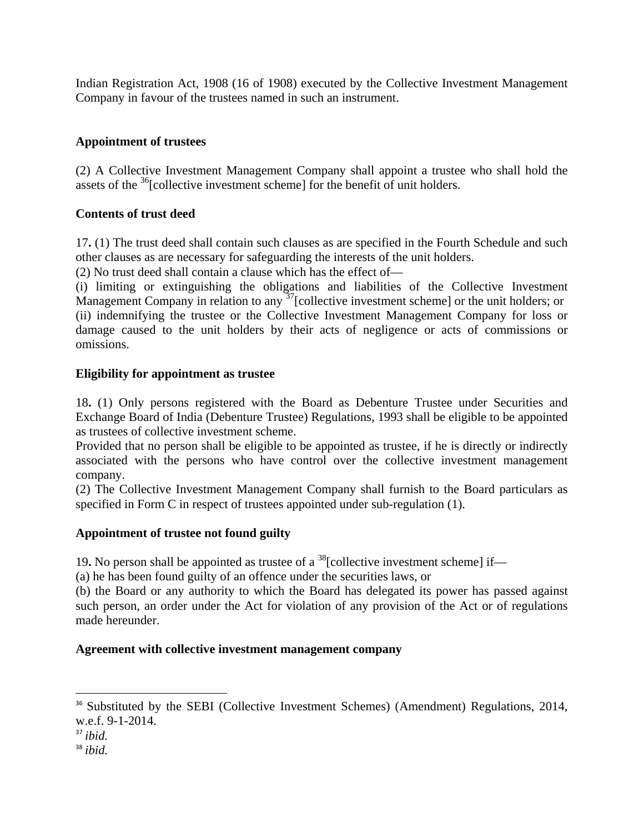Indian Registration Act, 1908 (16 of 1908) executed by the Collective Investment Management Company in favour of the trustees named in such an instrument.

## **Appointment of trustees**

(2) A Collective Investment Management Company shall appoint a trustee who shall hold the assets of the  $36$ [collective investment scheme] for the benefit of unit holders.

#### **Contents of trust deed**

17**.** (1) The trust deed shall contain such clauses as are specified in the Fourth Schedule and such other clauses as are necessary for safeguarding the interests of the unit holders.

(2) No trust deed shall contain a clause which has the effect of—

(i) limiting or extinguishing the obligations and liabilities of the Collective Investment Management Company in relation to any  $37$ [collective investment scheme] or the unit holders; or (ii) indemnifying the trustee or the Collective Investment Management Company for loss or damage caused to the unit holders by their acts of negligence or acts of commissions or omissions.

#### **Eligibility for appointment as trustee**

18**.** (1) Only persons registered with the Board as Debenture Trustee under Securities and Exchange Board of India (Debenture Trustee) Regulations, 1993 shall be eligible to be appointed as trustees of collective investment scheme.

Provided that no person shall be eligible to be appointed as trustee, if he is directly or indirectly associated with the persons who have control over the collective investment management company.

(2) The Collective Investment Management Company shall furnish to the Board particulars as specified in Form C in respect of trustees appointed under sub-regulation (1).

#### **Appointment of trustee not found guilty**

19. No person shall be appointed as trustee of a  $^{38}$ [collective investment scheme] if—

(a) he has been found guilty of an offence under the securities laws, or

(b) the Board or any authority to which the Board has delegated its power has passed against such person, an order under the Act for violation of any provision of the Act or of regulations made hereunder.

#### **Agreement with collective investment management company**

<sup>&</sup>lt;sup>36</sup> Substituted by the SEBI (Collective Investment Schemes) (Amendment) Regulations, 2014, w.e.f. 9-1-2014.

<sup>37</sup> *ibid.*

<sup>38</sup> *ibid.*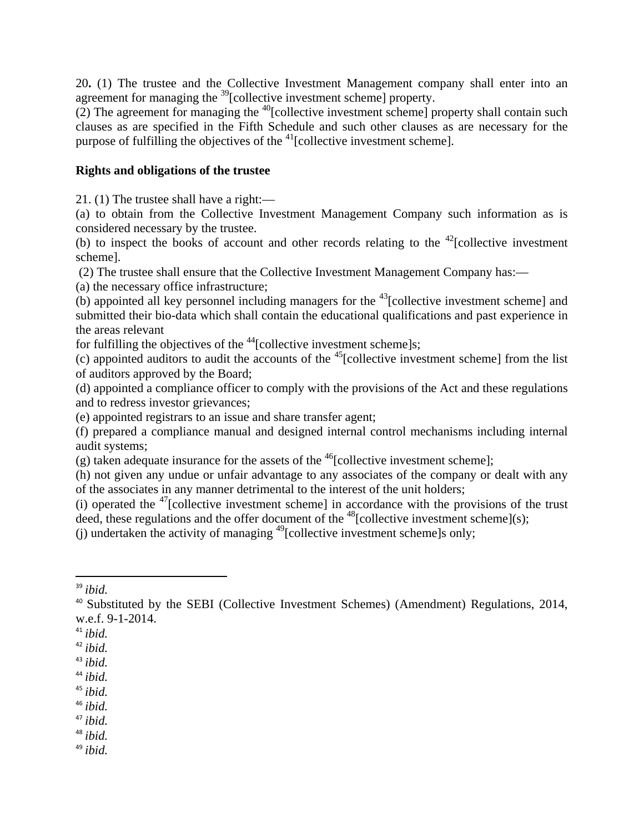20**.** (1) The trustee and the Collective Investment Management company shall enter into an agreement for managing the 39[collective investment scheme] property.

 $(2)$  The agreement for managing the <sup>40</sup>[collective investment scheme] property shall contain such clauses as are specified in the Fifth Schedule and such other clauses as are necessary for the purpose of fulfilling the objectives of the  $41$ [collective investment scheme].

#### **Rights and obligations of the trustee**

21. (1) The trustee shall have a right:—

(a) to obtain from the Collective Investment Management Company such information as is considered necessary by the trustee.

(b) to inspect the books of account and other records relating to the  $42$ [collective investment scheme].

(2) The trustee shall ensure that the Collective Investment Management Company has:—

(a) the necessary office infrastructure;

 $(b)$  appointed all key personnel including managers for the <sup>43</sup>[collective investment scheme] and submitted their bio-data which shall contain the educational qualifications and past experience in the areas relevant

for fulfilling the objectives of the  $44$ [collective investment scheme]s;

(c) appointed auditors to audit the accounts of the 45[collective investment scheme] from the list of auditors approved by the Board;

(d) appointed a compliance officer to comply with the provisions of the Act and these regulations and to redress investor grievances;

(e) appointed registrars to an issue and share transfer agent;

(f) prepared a compliance manual and designed internal control mechanisms including internal audit systems;

(g) taken adequate insurance for the assets of the  $46$ [collective investment scheme];

(h) not given any undue or unfair advantage to any associates of the company or dealt with any of the associates in any manner detrimental to the interest of the unit holders;

(i) operated the  $47$ [collective investment scheme] in accordance with the provisions of the trust deed, these regulations and the offer document of the <sup>48</sup>[collective investment scheme](s);

(i) undertaken the activity of managing  $^{49}$ [collective investment scheme]s only;

- <sup>42</sup> *ibid.*
- <sup>43</sup> *ibid.*
- <sup>44</sup> *ibid.*
- $45$  *ibid.*
- <sup>46</sup> *ibid.*
- <sup>47</sup> *ibid.*

<sup>48</sup> *ibid.*

<sup>39</sup> *ibid.*

<sup>&</sup>lt;sup>40</sup> Substituted by the SEBI (Collective Investment Schemes) (Amendment) Regulations, 2014, w.e.f. 9-1-2014.

<sup>41</sup> *ibid.*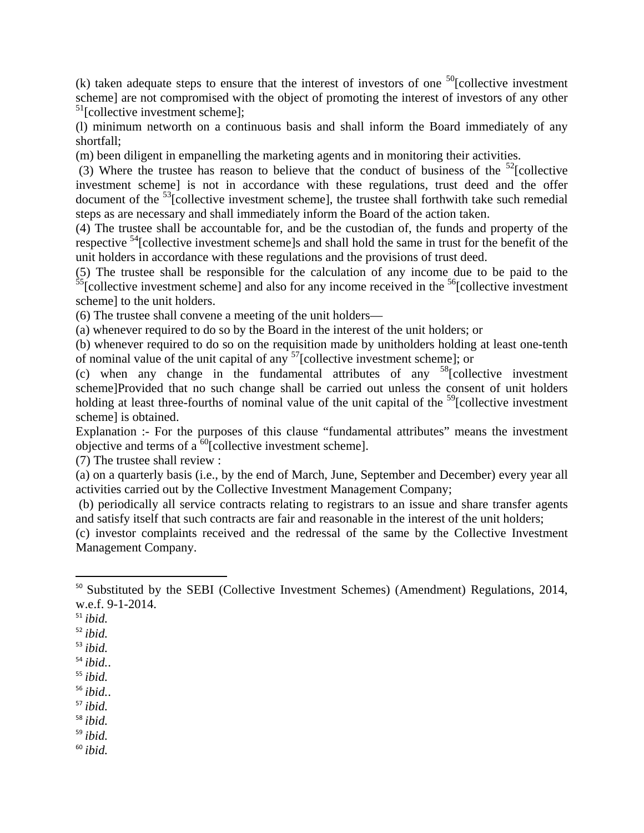(k) taken adequate steps to ensure that the interest of investors of one  $^{50}$ [collective investment] scheme] are not compromised with the object of promoting the interest of investors of any other <sup>51</sup>[collective investment scheme];

(l) minimum networth on a continuous basis and shall inform the Board immediately of any shortfall;

(m) been diligent in empanelling the marketing agents and in monitoring their activities.

(3) Where the trustee has reason to believe that the conduct of business of the  $52$ [collective] investment scheme] is not in accordance with these regulations, trust deed and the offer document of the  $53$ [collective investment scheme], the trustee shall forthwith take such remedial steps as are necessary and shall immediately inform the Board of the action taken.

(4) The trustee shall be accountable for, and be the custodian of, the funds and property of the respective <sup>54</sup>[collective investment scheme]s and shall hold the same in trust for the benefit of the unit holders in accordance with these regulations and the provisions of trust deed.

(5) The trustee shall be responsible for the calculation of any income due to be paid to the  $\frac{55}{55}$ [collective investment scheme] and also for any income received in the  $\frac{56}{55}$ [collective investment] scheme] to the unit holders.

(6) The trustee shall convene a meeting of the unit holders—

(a) whenever required to do so by the Board in the interest of the unit holders; or

(b) whenever required to do so on the requisition made by unitholders holding at least one-tenth of nominal value of the unit capital of any  $57$ [collective investment scheme]; or

(c) when any change in the fundamental attributes of any  $58$ [collective investment scheme]Provided that no such change shall be carried out unless the consent of unit holders holding at least three-fourths of nominal value of the unit capital of the  $^{59}$ [collective investment scheme] is obtained.

Explanation :- For the purposes of this clause "fundamental attributes" means the investment objective and terms of  $a^{60}$ [collective investment scheme].

(7) The trustee shall review :

(a) on a quarterly basis (i.e., by the end of March, June, September and December) every year all activities carried out by the Collective Investment Management Company;

 (b) periodically all service contracts relating to registrars to an issue and share transfer agents and satisfy itself that such contracts are fair and reasonable in the interest of the unit holders;

(c) investor complaints received and the redressal of the same by the Collective Investment Management Company.

<sup>56</sup> *ibid.*.

<sup>57</sup> *ibid.*

<sup>58</sup> *ibid.*

<sup>59</sup> *ibid.*

<sup>&</sup>lt;sup>50</sup> Substituted by the SEBI (Collective Investment Schemes) (Amendment) Regulations, 2014, w.e.f. 9-1-2014.

<sup>51</sup> *ibid.*

<sup>52</sup> *ibid.*

<sup>53</sup> *ibid.*

<sup>54</sup> *ibid.*.

<sup>55</sup> *ibid.*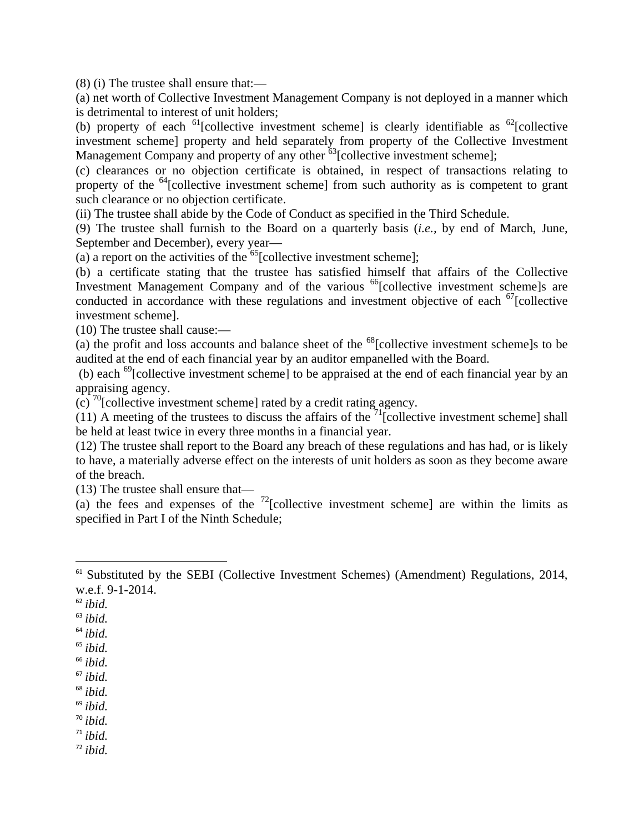(8) (i) The trustee shall ensure that:—

(a) net worth of Collective Investment Management Company is not deployed in a manner which is detrimental to interest of unit holders;

(b) property of each  $^{61}$ [collective investment scheme] is clearly identifiable as  $^{62}$ [collective investment scheme] property and held separately from property of the Collective Investment Management Company and property of any other <sup>63</sup>[collective investment scheme];

(c) clearances or no objection certificate is obtained, in respect of transactions relating to property of the  $^{64}$ [collective investment scheme] from such authority as is competent to grant such clearance or no objection certificate.

(ii) The trustee shall abide by the Code of Conduct as specified in the Third Schedule.

(9) The trustee shall furnish to the Board on a quarterly basis (*i.e.,* by end of March, June, September and December), every year—

(a) a report on the activities of the  $^{65}$ [collective investment scheme];

(b) a certificate stating that the trustee has satisfied himself that affairs of the Collective Investment Management Company and of the various <sup>66</sup>[collective investment scheme]s are conducted in accordance with these regulations and investment objective of each <sup>67</sup>[collective investment scheme].

(10) The trustee shall cause:—

(a) the profit and loss accounts and balance sheet of the  $^{68}$ [collective investment scheme]s to be audited at the end of each financial year by an auditor empanelled with the Board.

 (b) each 69[collective investment scheme] to be appraised at the end of each financial year by an appraising agency.

(c)  $\frac{70}{10}$ [collective investment scheme] rated by a credit rating agency.

(11) A meeting of the trustees to discuss the affairs of the  $^{71}$ [collective investment scheme] shall be held at least twice in every three months in a financial year.

(12) The trustee shall report to the Board any breach of these regulations and has had, or is likely to have, a materially adverse effect on the interests of unit holders as soon as they become aware of the breach.

(13) The trustee shall ensure that—

(a) the fees and expenses of the  $^{72}$ [collective investment scheme] are within the limits as specified in Part I of the Ninth Schedule;

<sup>69</sup> *ibid.*

<sup>70</sup> *ibid.*

 $71$  *ibid.* 

<sup>&</sup>lt;sup>61</sup> Substituted by the SEBI (Collective Investment Schemes) (Amendment) Regulations, 2014, w.e.f. 9-1-2014.

<sup>62</sup> *ibid.*

<sup>63</sup> *ibid.*

<sup>64</sup> *ibid.*

<sup>65</sup> *ibid.*

<sup>66</sup> *ibid.*

<sup>67</sup> *ibid.*

<sup>68</sup> *ibid.*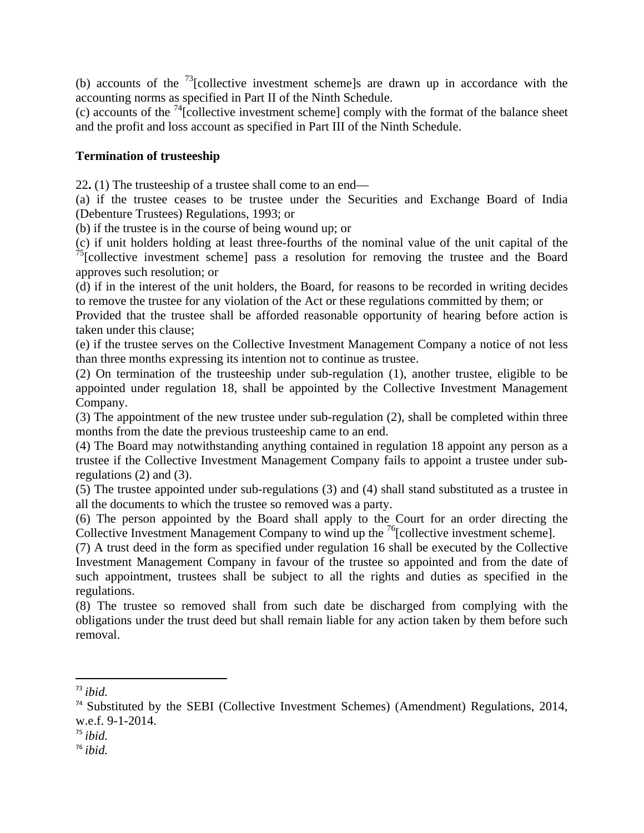(b) accounts of the 73[collective investment scheme]s are drawn up in accordance with the accounting norms as specified in Part II of the Ninth Schedule.

(c) accounts of the 74[collective investment scheme] comply with the format of the balance sheet and the profit and loss account as specified in Part III of the Ninth Schedule.

#### **Termination of trusteeship**

22**.** (1) The trusteeship of a trustee shall come to an end—

(a) if the trustee ceases to be trustee under the Securities and Exchange Board of India (Debenture Trustees) Regulations, 1993; or

(b) if the trustee is in the course of being wound up; or

(c) if unit holders holding at least three-fourths of the nominal value of the unit capital of the  $75$ [collective investment scheme] pass a resolution for removing the trustee and the Board approves such resolution; or

(d) if in the interest of the unit holders, the Board, for reasons to be recorded in writing decides to remove the trustee for any violation of the Act or these regulations committed by them; or

Provided that the trustee shall be afforded reasonable opportunity of hearing before action is taken under this clause;

(e) if the trustee serves on the Collective Investment Management Company a notice of not less than three months expressing its intention not to continue as trustee.

(2) On termination of the trusteeship under sub-regulation (1), another trustee, eligible to be appointed under regulation 18, shall be appointed by the Collective Investment Management Company.

(3) The appointment of the new trustee under sub-regulation (2), shall be completed within three months from the date the previous trusteeship came to an end.

(4) The Board may notwithstanding anything contained in regulation 18 appoint any person as a trustee if the Collective Investment Management Company fails to appoint a trustee under subregulations (2) and (3).

(5) The trustee appointed under sub-regulations (3) and (4) shall stand substituted as a trustee in all the documents to which the trustee so removed was a party.

(6) The person appointed by the Board shall apply to the Court for an order directing the Collective Investment Management Company to wind up the <sup>76</sup>[collective investment scheme].

(7) A trust deed in the form as specified under regulation 16 shall be executed by the Collective Investment Management Company in favour of the trustee so appointed and from the date of such appointment, trustees shall be subject to all the rights and duties as specified in the regulations.

(8) The trustee so removed shall from such date be discharged from complying with the obligations under the trust deed but shall remain liable for any action taken by them before such removal.

- <sup>75</sup> *ibid.*
- <sup>76</sup> *ibid.*

<sup>73</sup> *ibid.*

<sup>&</sup>lt;sup>74</sup> Substituted by the SEBI (Collective Investment Schemes) (Amendment) Regulations, 2014, w.e.f. 9-1-2014.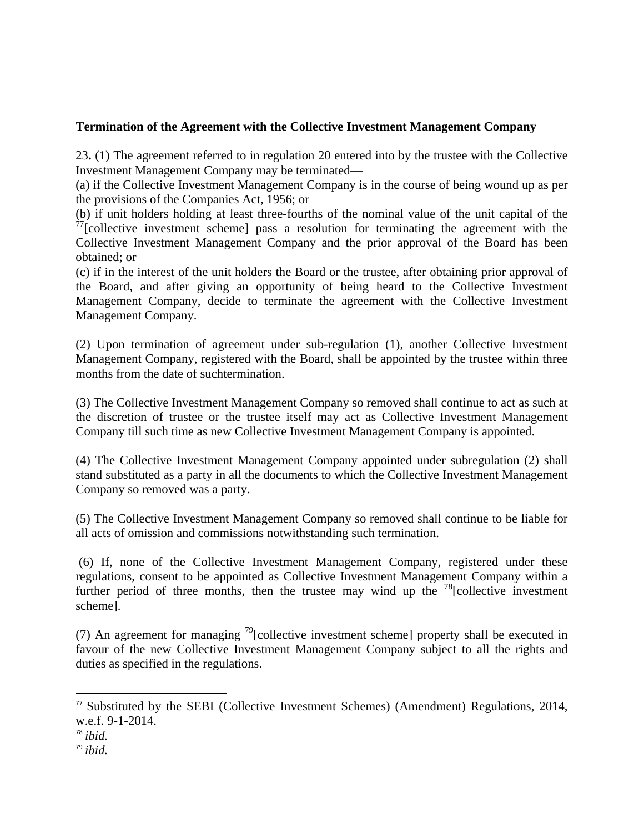## **Termination of the Agreement with the Collective Investment Management Company**

23**.** (1) The agreement referred to in regulation 20 entered into by the trustee with the Collective Investment Management Company may be terminated—

(a) if the Collective Investment Management Company is in the course of being wound up as per the provisions of the Companies Act, 1956; or

(b) if unit holders holding at least three-fourths of the nominal value of the unit capital of the  $\frac{1}{27}$ [collective investment scheme] pass a resolution for terminating the agreement with the Collective Investment Management Company and the prior approval of the Board has been obtained; or

(c) if in the interest of the unit holders the Board or the trustee, after obtaining prior approval of the Board, and after giving an opportunity of being heard to the Collective Investment Management Company, decide to terminate the agreement with the Collective Investment Management Company.

(2) Upon termination of agreement under sub-regulation (1), another Collective Investment Management Company, registered with the Board, shall be appointed by the trustee within three months from the date of suchtermination.

(3) The Collective Investment Management Company so removed shall continue to act as such at the discretion of trustee or the trustee itself may act as Collective Investment Management Company till such time as new Collective Investment Management Company is appointed.

(4) The Collective Investment Management Company appointed under subregulation (2) shall stand substituted as a party in all the documents to which the Collective Investment Management Company so removed was a party.

(5) The Collective Investment Management Company so removed shall continue to be liable for all acts of omission and commissions notwithstanding such termination.

 (6) If, none of the Collective Investment Management Company, registered under these regulations, consent to be appointed as Collective Investment Management Company within a further period of three months, then the trustee may wind up the <sup>78</sup>[collective investment scheme].

(7) An agreement for managing  $\frac{79}{2}$ [collective investment scheme] property shall be executed in favour of the new Collective Investment Management Company subject to all the rights and duties as specified in the regulations.

<sup>77</sup> Substituted by the SEBI (Collective Investment Schemes) (Amendment) Regulations, 2014, w.e.f. 9-1-2014.

<sup>78</sup> *ibid.*

<sup>79</sup> *ibid.*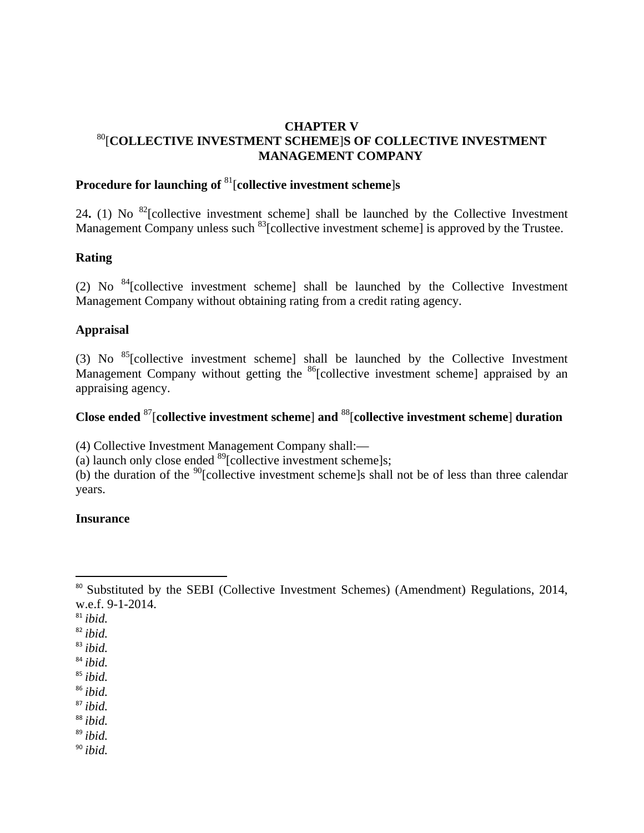### **CHAPTER V**  80[**COLLECTIVE INVESTMENT SCHEME**]**S OF COLLECTIVE INVESTMENT MANAGEMENT COMPANY**

# **Procedure for launching of** 81[**collective investment scheme**]**s**

24. (1) No <sup>82</sup>[collective investment scheme] shall be launched by the Collective Investment Management Company unless such <sup>83</sup>[collective investment scheme] is approved by the Trustee.

#### **Rating**

(2) No  $^{84}$ [collective investment scheme] shall be launched by the Collective Investment Management Company without obtaining rating from a credit rating agency.

#### **Appraisal**

(3) No  $^{85}$ [collective investment scheme] shall be launched by the Collective Investment Management Company without getting the  $^{86}$ [collective investment scheme] appraised by an appraising agency.

# **Close ended** 87[**collective investment scheme**] **and** 88[**collective investment scheme**] **duration**

(4) Collective Investment Management Company shall:—

(a) launch only close ended  $^{89}$ [collective investment scheme]s;

(b) the duration of the  $90$ [collective investment scheme]s shall not be of less than three calendar years.

#### **Insurance**

<sup>86</sup> *ibid.*

<sup>87</sup> *ibid.*

<sup>88</sup> *ibid.*

<sup>89</sup> *ibid.*

<sup>&</sup>lt;sup>80</sup> Substituted by the SEBI (Collective Investment Schemes) (Amendment) Regulations, 2014, w.e.f. 9-1-2014.

<sup>81</sup> *ibid.*

<sup>82</sup> *ibid.*

<sup>83</sup> *ibid.*

<sup>84</sup> *ibid.*

<sup>85</sup> *ibid.*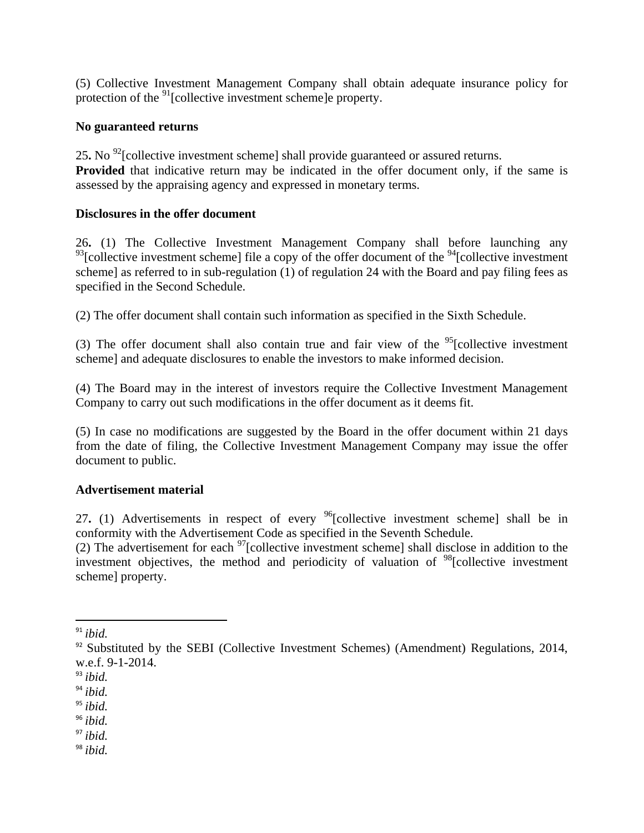(5) Collective Investment Management Company shall obtain adequate insurance policy for protection of the  $91$ [collective investment scheme]e property.

## **No guaranteed returns**

25**.** No 92[collective investment scheme] shall provide guaranteed or assured returns. **Provided** that indicative return may be indicated in the offer document only, if the same is assessed by the appraising agency and expressed in monetary terms.

#### **Disclosures in the offer document**

26**.** (1) The Collective Investment Management Company shall before launching any  $93$ [collective investment scheme] file a copy of the offer document of the  $94$ [collective investment scheme] as referred to in sub-regulation (1) of regulation 24 with the Board and pay filing fees as specified in the Second Schedule.

(2) The offer document shall contain such information as specified in the Sixth Schedule.

(3) The offer document shall also contain true and fair view of the  $95$ [collective investment scheme] and adequate disclosures to enable the investors to make informed decision.

(4) The Board may in the interest of investors require the Collective Investment Management Company to carry out such modifications in the offer document as it deems fit.

(5) In case no modifications are suggested by the Board in the offer document within 21 days from the date of filing, the Collective Investment Management Company may issue the offer document to public.

#### **Advertisement material**

27**.** (1) Advertisements in respect of every 96[collective investment scheme] shall be in conformity with the Advertisement Code as specified in the Seventh Schedule.

(2) The advertisement for each  $97$  [collective investment scheme] shall disclose in addition to the investment objectives, the method and periodicity of valuation of <sup>98</sup>[collective investment scheme] property.

<sup>97</sup> *ibid.*

<sup>91</sup> *ibid.*

 $92$  Substituted by the SEBI (Collective Investment Schemes) (Amendment) Regulations, 2014, w.e.f. 9-1-2014.

<sup>93</sup> *ibid.*

<sup>94</sup> *ibid.*

<sup>95</sup> *ibid.*

<sup>96</sup> *ibid.*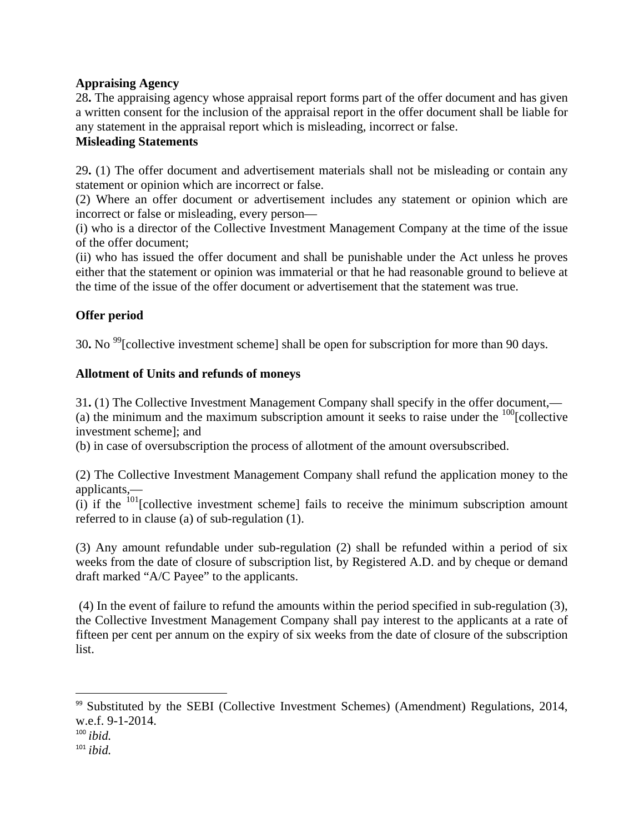## **Appraising Agency**

28**.** The appraising agency whose appraisal report forms part of the offer document and has given a written consent for the inclusion of the appraisal report in the offer document shall be liable for any statement in the appraisal report which is misleading, incorrect or false.

## **Misleading Statements**

29**.** (1) The offer document and advertisement materials shall not be misleading or contain any statement or opinion which are incorrect or false.

(2) Where an offer document or advertisement includes any statement or opinion which are incorrect or false or misleading, every person—

(i) who is a director of the Collective Investment Management Company at the time of the issue of the offer document;

(ii) who has issued the offer document and shall be punishable under the Act unless he proves either that the statement or opinion was immaterial or that he had reasonable ground to believe at the time of the issue of the offer document or advertisement that the statement was true.

## **Offer period**

30**.** No 99[collective investment scheme] shall be open for subscription for more than 90 days.

#### **Allotment of Units and refunds of moneys**

31**.** (1) The Collective Investment Management Company shall specify in the offer document,— (a) the minimum and the maximum subscription amount it seeks to raise under the  $100$ [collective investment scheme]; and

(b) in case of oversubscription the process of allotment of the amount oversubscribed.

(2) The Collective Investment Management Company shall refund the application money to the applicants,—

(i) if the  $^{101}$ [collective investment scheme] fails to receive the minimum subscription amount referred to in clause (a) of sub-regulation (1).

(3) Any amount refundable under sub-regulation (2) shall be refunded within a period of six weeks from the date of closure of subscription list, by Registered A.D. and by cheque or demand draft marked "A/C Payee" to the applicants.

 (4) In the event of failure to refund the amounts within the period specified in sub-regulation (3), the Collective Investment Management Company shall pay interest to the applicants at a rate of fifteen per cent per annum on the expiry of six weeks from the date of closure of the subscription list.

<sup>&</sup>lt;sup>99</sup> Substituted by the SEBI (Collective Investment Schemes) (Amendment) Regulations, 2014, w.e.f. 9-1-2014.

<sup>100</sup> *ibid.*

<sup>101</sup> *ibid.*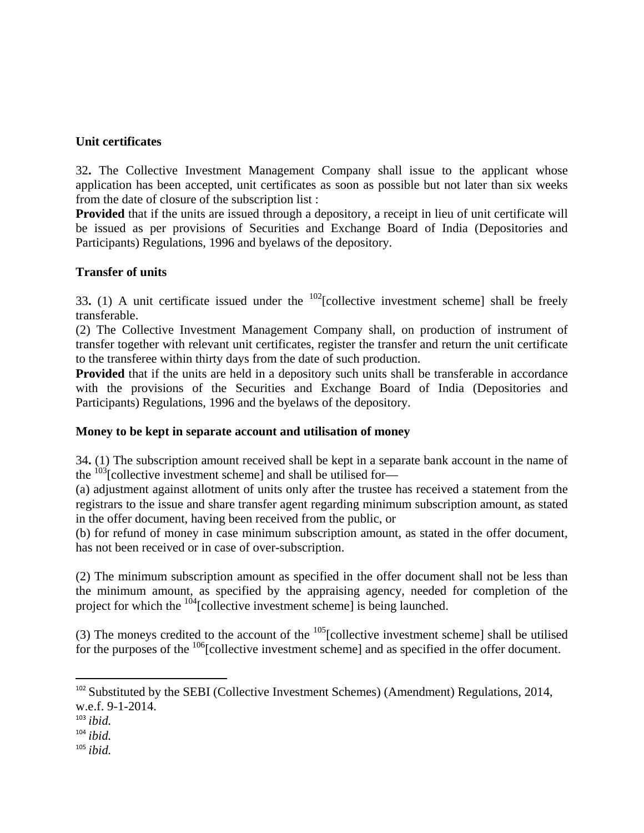## **Unit certificates**

32**.** The Collective Investment Management Company shall issue to the applicant whose application has been accepted, unit certificates as soon as possible but not later than six weeks from the date of closure of the subscription list :

**Provided** that if the units are issued through a depository, a receipt in lieu of unit certificate will be issued as per provisions of Securities and Exchange Board of India (Depositories and Participants) Regulations, 1996 and byelaws of the depository.

#### **Transfer of units**

33**.** (1) A unit certificate issued under the 102[collective investment scheme] shall be freely transferable.

(2) The Collective Investment Management Company shall, on production of instrument of transfer together with relevant unit certificates, register the transfer and return the unit certificate to the transferee within thirty days from the date of such production.

**Provided** that if the units are held in a depository such units shall be transferable in accordance with the provisions of the Securities and Exchange Board of India (Depositories and Participants) Regulations, 1996 and the byelaws of the depository.

## **Money to be kept in separate account and utilisation of money**

34**.** (1) The subscription amount received shall be kept in a separate bank account in the name of the  $103$ [collective investment scheme] and shall be utilised for-

(a) adjustment against allotment of units only after the trustee has received a statement from the registrars to the issue and share transfer agent regarding minimum subscription amount, as stated in the offer document, having been received from the public, or

(b) for refund of money in case minimum subscription amount, as stated in the offer document, has not been received or in case of over-subscription.

(2) The minimum subscription amount as specified in the offer document shall not be less than the minimum amount, as specified by the appraising agency, needed for completion of the project for which the  $\frac{104}{\text{Collective investment scheme}}$  is being launched.

(3) The moneys credited to the account of the  $105$ [collective investment scheme] shall be utilised for the purposes of the  $^{106}$ [collective investment scheme] and as specified in the offer document.

<sup>&</sup>lt;sup>102</sup> Substituted by the SEBI (Collective Investment Schemes) (Amendment) Regulations, 2014, w.e.f. 9-1-2014.

<sup>103</sup> *ibid.*

<sup>104</sup> *ibid.*

<sup>105</sup> *ibid.*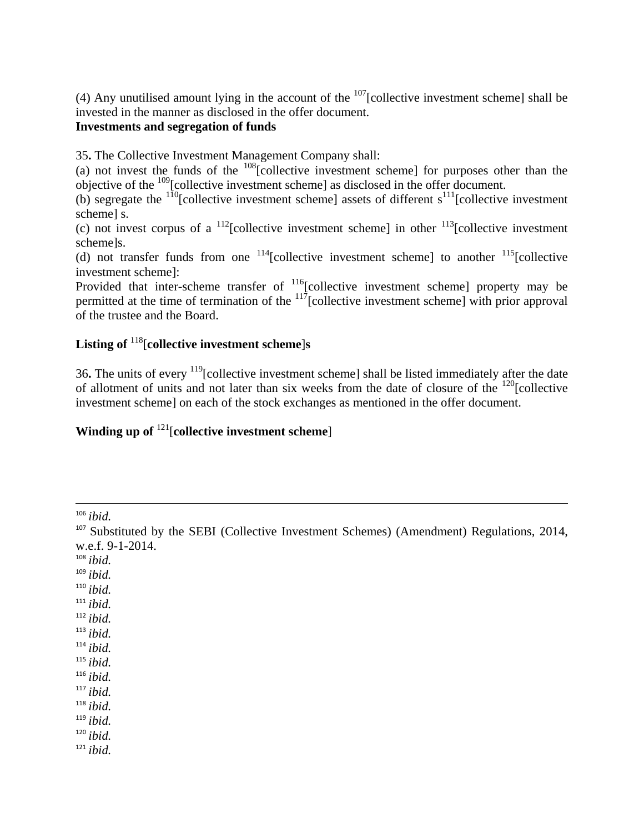(4) Any unutilised amount lying in the account of the  $107$ [collective investment scheme] shall be invested in the manner as disclosed in the offer document.

## **Investments and segregation of funds**

35**.** The Collective Investment Management Company shall:

(a) not invest the funds of the  $^{108}$ [collective investment scheme] for purposes other than the objective of the 109[collective investment scheme] as disclosed in the offer document.

(b) segregate the  $^{110}$ [collective investment scheme] assets of different s<sup>111</sup>[collective investment scheme] s.

(c) not invest corpus of a  $\frac{112}{2}$ [collective investment scheme] in other  $\frac{113}{2}$ [collective investment scheme]s.

(d) not transfer funds from one  $^{114}$ [collective investment scheme] to another  $^{115}$ [collective investment scheme]:

Provided that inter-scheme transfer of <sup>116</sup>[collective investment scheme] property may be permitted at the time of termination of the  $117$ [collective investment scheme] with prior approval of the trustee and the Board.

# **Listing of** 118[**collective investment scheme**]**s**

36**.** The units of every 119[collective investment scheme] shall be listed immediately after the date of allotment of units and not later than six weeks from the date of closure of the  $^{120}$ [collective investment scheme] on each of the stock exchanges as mentioned in the offer document.

# **Winding up of <sup>121</sup>[collective investment scheme]**

<sup>106</sup> *ibid.*

<u> 1989 - Johann Stoff, amerikansk politiker (d. 1989)</u>

<sup>108</sup> *ibid.*

<sup>109</sup> *ibid.*

<sup>110</sup> *ibid.*

<sup>111</sup> *ibid.*

<sup>112</sup> *ibid.*

<sup>113</sup> *ibid.*

<sup>114</sup> *ibid.*

<sup>115</sup> *ibid.*

<sup>116</sup> *ibid.*

 $117$  *ibid.* 

<sup>118</sup> *ibid.*

<sup>119</sup> *ibid.*

<sup>120</sup> *ibid.*

<sup>&</sup>lt;sup>107</sup> Substituted by the SEBI (Collective Investment Schemes) (Amendment) Regulations, 2014, w.e.f. 9-1-2014.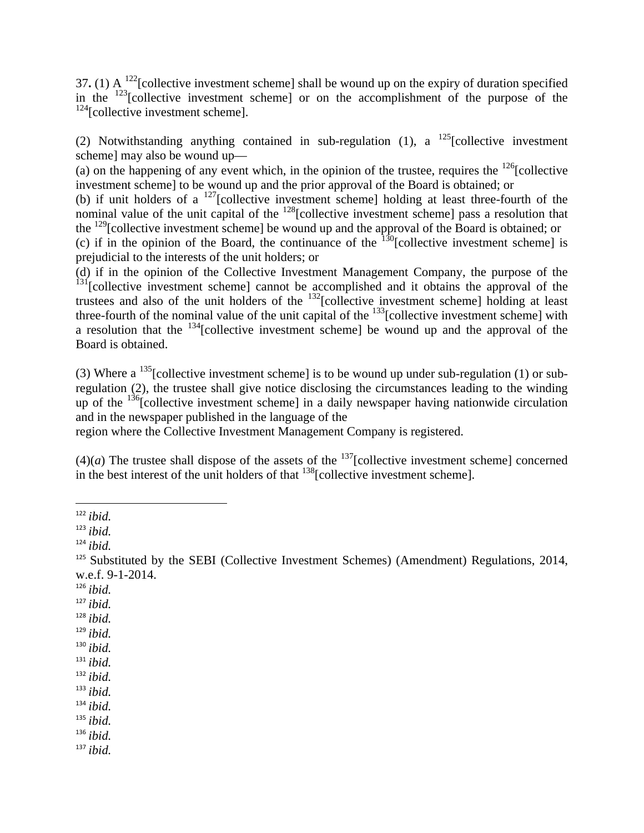37**.** (1) A 122[collective investment scheme] shall be wound up on the expiry of duration specified in the  $123$ [collective investment scheme] or on the accomplishment of the purpose of the  $124$ [collective investment scheme].

(2) Notwithstanding anything contained in sub-regulation (1), a  $^{125}$ [collective investment scheme] may also be wound up—

(a) on the happening of any event which, in the opinion of the trustee, requires the  $^{126}$ [collective] investment scheme] to be wound up and the prior approval of the Board is obtained; or

(b) if unit holders of a  $^{127}$ [collective investment scheme] holding at least three-fourth of the nominal value of the unit capital of the  $128$ [collective investment scheme] pass a resolution that the <sup>129</sup>[collective investment scheme] be wound up and the approval of the Board is obtained; or

(c) if in the opinion of the Board, the continuance of the  $\frac{130}{30}$ [collective investment scheme] is prejudicial to the interests of the unit holders; or

(d) if in the opinion of the Collective Investment Management Company, the purpose of the <sup>131</sup>[collective investment scheme] cannot be accomplished and it obtains the approval of the trustees and also of the unit holders of the 132[collective investment scheme] holding at least three-fourth of the nominal value of the unit capital of the  $^{133}$ [collective investment scheme] with a resolution that the  $^{134}$ [collective investment scheme] be wound up and the approval of the Board is obtained.

(3) Where a <sup>135</sup>[collective investment scheme] is to be wound up under sub-regulation (1) or subregulation (2), the trustee shall give notice disclosing the circumstances leading to the winding up of the  $^{136}$ [collective investment scheme] in a daily newspaper having nationwide circulation and in the newspaper published in the language of the

region where the Collective Investment Management Company is registered.

 $(4)(a)$  The trustee shall dispose of the assets of the <sup>137</sup>[collective investment scheme] concerned in the best interest of the unit holders of that  $^{138}$ [collective investment scheme].

- <sup>126</sup> *ibid.*
- <sup>127</sup> *ibid.*
- <sup>128</sup> *ibid.*
- <sup>129</sup> *ibid.*
- <sup>130</sup> *ibid.*
- <sup>131</sup> *ibid.*
- <sup>132</sup> *ibid.*
- <sup>133</sup> *ibid.*

<sup>134</sup> *ibid.*

<sup>135</sup> *ibid.*

<sup>136</sup> *ibid.*

<sup>122</sup> *ibid.*

<sup>123</sup> *ibid.*

<sup>124</sup> *ibid.*

 $125$  Substituted by the SEBI (Collective Investment Schemes) (Amendment) Regulations, 2014, w.e.f. 9-1-2014.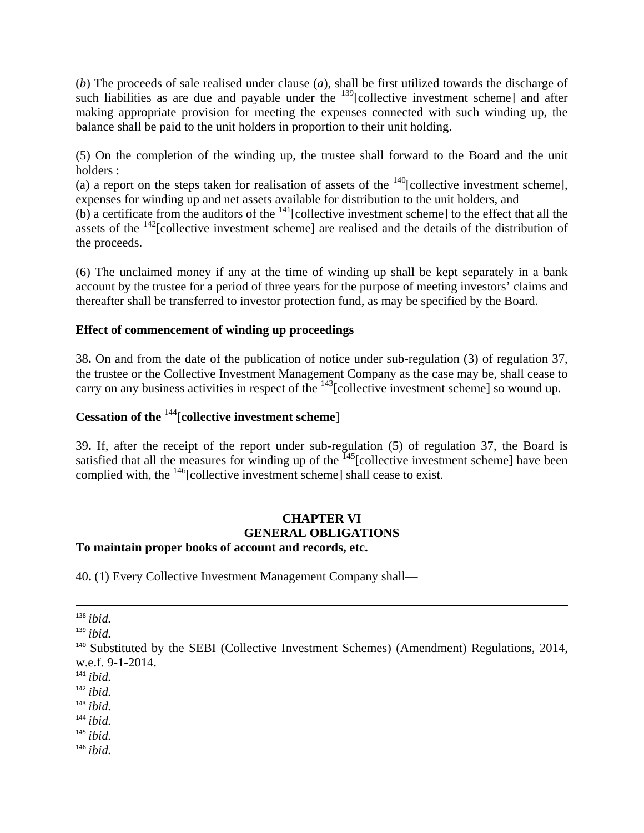(*b*) The proceeds of sale realised under clause (*a*), shall be first utilized towards the discharge of such liabilities as are due and payable under the  $^{139}$ [collective investment scheme] and after making appropriate provision for meeting the expenses connected with such winding up, the balance shall be paid to the unit holders in proportion to their unit holding.

(5) On the completion of the winding up, the trustee shall forward to the Board and the unit holders :

(a) a report on the steps taken for realisation of assets of the  $140$ [collective investment scheme], expenses for winding up and net assets available for distribution to the unit holders, and

(b) a certificate from the auditors of the  $141$ [collective investment scheme] to the effect that all the assets of the  $142$ [collective investment scheme] are realised and the details of the distribution of the proceeds.

(6) The unclaimed money if any at the time of winding up shall be kept separately in a bank account by the trustee for a period of three years for the purpose of meeting investors' claims and thereafter shall be transferred to investor protection fund, as may be specified by the Board.

#### **Effect of commencement of winding up proceedings**

38**.** On and from the date of the publication of notice under sub-regulation (3) of regulation 37, the trustee or the Collective Investment Management Company as the case may be, shall cease to carry on any business activities in respect of the  $^{143}$ [collective investment scheme] so wound up.

## **Cessation of the** 144[**collective investment scheme**]

39**.** If, after the receipt of the report under sub-regulation (5) of regulation 37, the Board is satisfied that all the measures for winding up of the  $\frac{145}{2}$ [collective investment scheme] have been complied with, the  $146$ [collective investment scheme] shall cease to exist.

## **CHAPTER VI GENERAL OBLIGATIONS**

#### **To maintain proper books of account and records, etc.**

40**.** (1) Every Collective Investment Management Company shall—

<u> 1989 - Andrea Santa Alemania, politika amerikana (h. 1989).</u> <sup>138</sup> *ibid.*

- <sup>143</sup> *ibid.*
- <sup>144</sup> *ibid.*
- <sup>145</sup> *ibid.*
- <sup>146</sup> *ibid.*

<sup>139</sup> *ibid.*

 $140$  Substituted by the SEBI (Collective Investment Schemes) (Amendment) Regulations, 2014, w.e.f. 9-1-2014.

<sup>141</sup> *ibid.*

<sup>142</sup> *ibid.*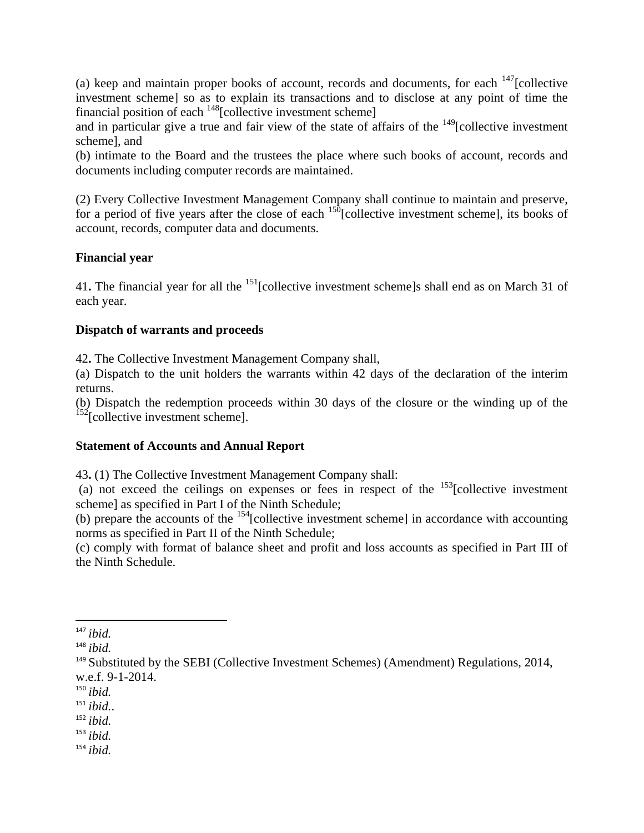(a) keep and maintain proper books of account, records and documents, for each  $147$ [collective investment scheme] so as to explain its transactions and to disclose at any point of time the financial position of each  $^{148}$ [collective investment scheme]

and in particular give a true and fair view of the state of affairs of the  $149$ [collective investment scheme], and

(b) intimate to the Board and the trustees the place where such books of account, records and documents including computer records are maintained.

(2) Every Collective Investment Management Company shall continue to maintain and preserve, for a period of five years after the close of each  $150$ [collective investment scheme], its books of account, records, computer data and documents.

## **Financial year**

41. The financial year for all the <sup>151</sup>[collective investment scheme]s shall end as on March 31 of each year.

#### **Dispatch of warrants and proceeds**

42**.** The Collective Investment Management Company shall,

(a) Dispatch to the unit holders the warrants within 42 days of the declaration of the interim returns.

(b) Dispatch the redemption proceeds within 30 days of the closure or the winding up of the  $152$ [collective investment scheme].

## **Statement of Accounts and Annual Report**

43**.** (1) The Collective Investment Management Company shall:

(a) not exceed the ceilings on expenses or fees in respect of the  $153$ [collective investment scheme] as specified in Part I of the Ninth Schedule;

(b) prepare the accounts of the  $154$ [collective investment scheme] in accordance with accounting norms as specified in Part II of the Ninth Schedule;

(c) comply with format of balance sheet and profit and loss accounts as specified in Part III of the Ninth Schedule.

<sup>147</sup> *ibid.*

<sup>148</sup> *ibid.*

<sup>&</sup>lt;sup>149</sup> Substituted by the SEBI (Collective Investment Schemes) (Amendment) Regulations, 2014, w.e.f. 9-1-2014.

<sup>150</sup> *ibid.*

<sup>151</sup> *ibid.*.

<sup>152</sup> *ibid.*

<sup>153</sup> *ibid.*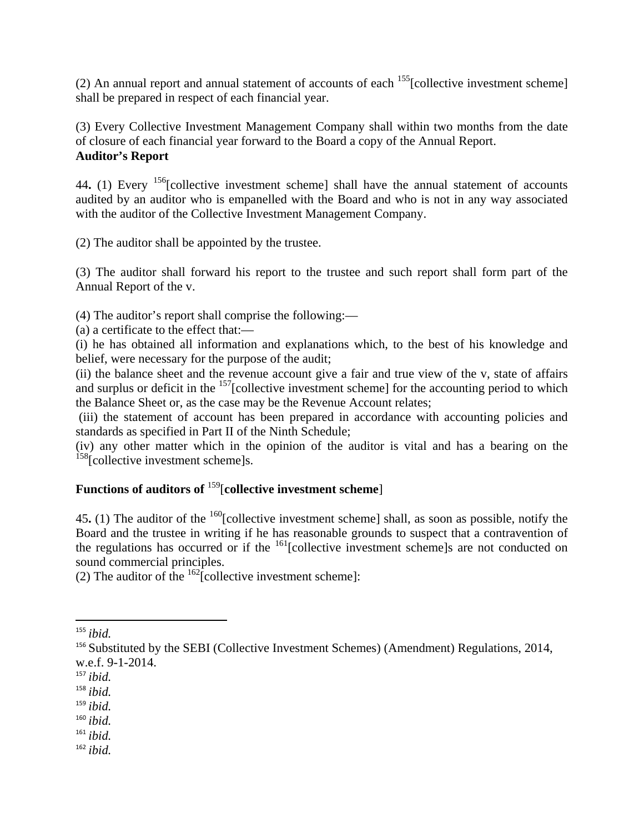(2) An annual report and annual statement of accounts of each  $155$ [collective investment scheme] shall be prepared in respect of each financial year.

(3) Every Collective Investment Management Company shall within two months from the date of closure of each financial year forward to the Board a copy of the Annual Report. **Auditor's Report** 

44. (1) Every <sup>156</sup>[collective investment scheme] shall have the annual statement of accounts audited by an auditor who is empanelled with the Board and who is not in any way associated with the auditor of the Collective Investment Management Company.

(2) The auditor shall be appointed by the trustee.

(3) The auditor shall forward his report to the trustee and such report shall form part of the Annual Report of the v.

(4) The auditor's report shall comprise the following:—

(a) a certificate to the effect that:—

(i) he has obtained all information and explanations which, to the best of his knowledge and belief, were necessary for the purpose of the audit;

(ii) the balance sheet and the revenue account give a fair and true view of the v, state of affairs and surplus or deficit in the <sup>157</sup>[collective investment scheme] for the accounting period to which the Balance Sheet or, as the case may be the Revenue Account relates;

 (iii) the statement of account has been prepared in accordance with accounting policies and standards as specified in Part II of the Ninth Schedule;

(iv) any other matter which in the opinion of the auditor is vital and has a bearing on the <sup>158</sup>[collective investment scheme]s.

# **Functions of auditors of** 159[**collective investment scheme**]

45**.** (1) The auditor of the 160[collective investment scheme] shall, as soon as possible, notify the Board and the trustee in writing if he has reasonable grounds to suspect that a contravention of the regulations has occurred or if the  $\frac{161}{2}$ [collective investment scheme]s are not conducted on sound commercial principles.

(2) The auditor of the  $\frac{162}{2}$ [collective investment scheme]:

- <sup>161</sup> *ibid.*
- <sup>162</sup> *ibid.*

<sup>155</sup> *ibid.*

<sup>&</sup>lt;sup>156</sup> Substituted by the SEBI (Collective Investment Schemes) (Amendment) Regulations, 2014, w.e.f. 9-1-2014.

<sup>157</sup> *ibid.*

<sup>158</sup> *ibid.*

<sup>159</sup> *ibid.*

<sup>160</sup> *ibid.*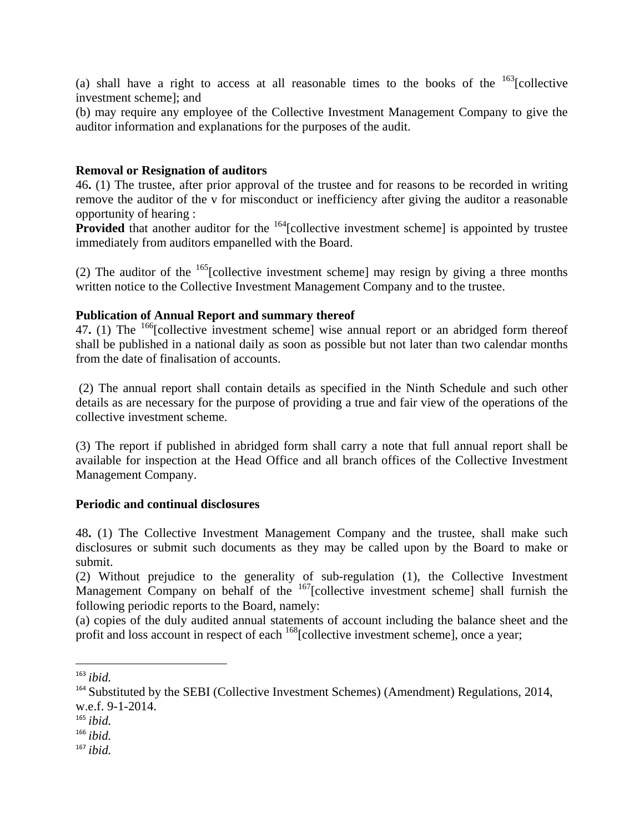(a) shall have a right to access at all reasonable times to the books of the  $163$ [collective investment scheme]; and

(b) may require any employee of the Collective Investment Management Company to give the auditor information and explanations for the purposes of the audit.

#### **Removal or Resignation of auditors**

46**.** (1) The trustee, after prior approval of the trustee and for reasons to be recorded in writing remove the auditor of the v for misconduct or inefficiency after giving the auditor a reasonable opportunity of hearing :

**Provided** that another auditor for the <sup>164</sup>[collective investment scheme] is appointed by trustee immediately from auditors empanelled with the Board.

(2) The auditor of the  $165$ [collective investment scheme] may resign by giving a three months written notice to the Collective Investment Management Company and to the trustee.

#### **Publication of Annual Report and summary thereof**

47**.** (1) The 166[collective investment scheme] wise annual report or an abridged form thereof shall be published in a national daily as soon as possible but not later than two calendar months from the date of finalisation of accounts.

 (2) The annual report shall contain details as specified in the Ninth Schedule and such other details as are necessary for the purpose of providing a true and fair view of the operations of the collective investment scheme.

(3) The report if published in abridged form shall carry a note that full annual report shall be available for inspection at the Head Office and all branch offices of the Collective Investment Management Company.

#### **Periodic and continual disclosures**

48**.** (1) The Collective Investment Management Company and the trustee, shall make such disclosures or submit such documents as they may be called upon by the Board to make or submit.

(2) Without prejudice to the generality of sub-regulation (1), the Collective Investment Management Company on behalf of the <sup>167</sup>[collective investment scheme] shall furnish the following periodic reports to the Board, namely:

(a) copies of the duly audited annual statements of account including the balance sheet and the profit and loss account in respect of each  $168$ [collective investment scheme], once a year;

<sup>163</sup> *ibid.*

<sup>&</sup>lt;sup>164</sup> Substituted by the SEBI (Collective Investment Schemes) (Amendment) Regulations, 2014, w.e.f. 9-1-2014.

<sup>165</sup> *ibid.*

<sup>166</sup> *ibid.*

<sup>167</sup> *ibid.*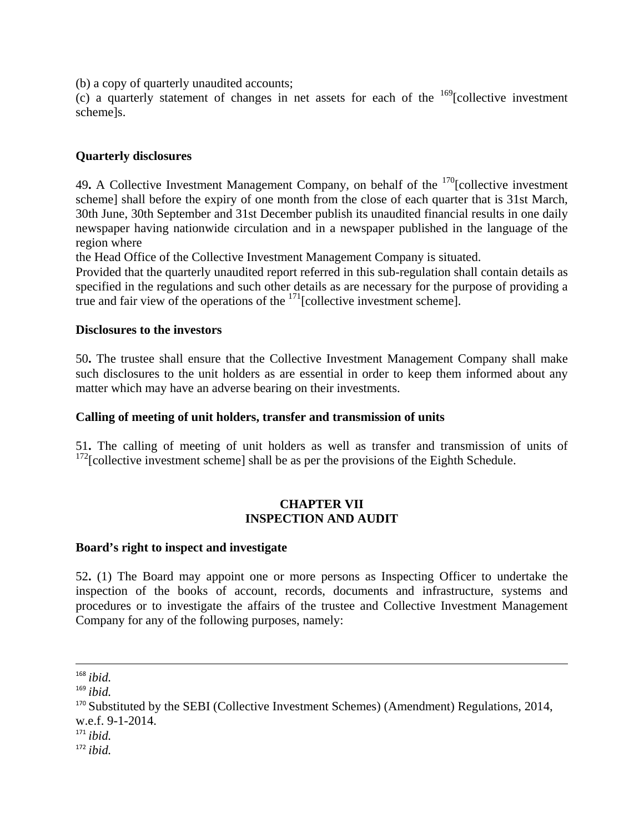(b) a copy of quarterly unaudited accounts;

(c) a quarterly statement of changes in net assets for each of the  $169$ [collective investment scheme]s.

#### **Quarterly disclosures**

49. A Collective Investment Management Company, on behalf of the <sup>170</sup>[collective investment scheme] shall before the expiry of one month from the close of each quarter that is 31st March, 30th June, 30th September and 31st December publish its unaudited financial results in one daily newspaper having nationwide circulation and in a newspaper published in the language of the region where

the Head Office of the Collective Investment Management Company is situated.

Provided that the quarterly unaudited report referred in this sub-regulation shall contain details as specified in the regulations and such other details as are necessary for the purpose of providing a true and fair view of the operations of the  $171$ [collective investment scheme].

#### **Disclosures to the investors**

50**.** The trustee shall ensure that the Collective Investment Management Company shall make such disclosures to the unit holders as are essential in order to keep them informed about any matter which may have an adverse bearing on their investments.

#### **Calling of meeting of unit holders, transfer and transmission of units**

51**.** The calling of meeting of unit holders as well as transfer and transmission of units of  $172$ [collective investment scheme] shall be as per the provisions of the Eighth Schedule.

#### **CHAPTER VII INSPECTION AND AUDIT**

#### **Board's right to inspect and investigate**

52**.** (1) The Board may appoint one or more persons as Inspecting Officer to undertake the inspection of the books of account, records, documents and infrastructure, systems and procedures or to investigate the affairs of the trustee and Collective Investment Management Company for any of the following purposes, namely:

<sup>&</sup>lt;u> 1989 - Johann Stein, marwolaethau a gweledydd a ganlad y ganlad y ganlad y ganlad y ganlad y ganlad y ganlad</u> <sup>168</sup> *ibid.*

<sup>169</sup> *ibid.*

<sup>&</sup>lt;sup>170</sup> Substituted by the SEBI (Collective Investment Schemes) (Amendment) Regulations, 2014, w.e.f. 9-1-2014.

 $171$  *ibid.* 

<sup>172</sup> *ibid.*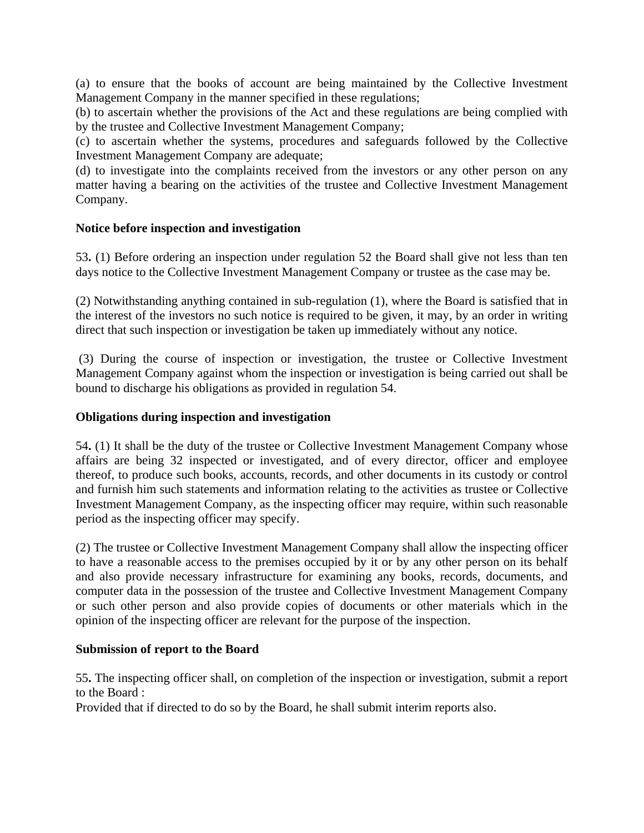(a) to ensure that the books of account are being maintained by the Collective Investment Management Company in the manner specified in these regulations;

(b) to ascertain whether the provisions of the Act and these regulations are being complied with by the trustee and Collective Investment Management Company;

(c) to ascertain whether the systems, procedures and safeguards followed by the Collective Investment Management Company are adequate;

(d) to investigate into the complaints received from the investors or any other person on any matter having a bearing on the activities of the trustee and Collective Investment Management Company.

#### **Notice before inspection and investigation**

53**.** (1) Before ordering an inspection under regulation 52 the Board shall give not less than ten days notice to the Collective Investment Management Company or trustee as the case may be.

(2) Notwithstanding anything contained in sub-regulation (1), where the Board is satisfied that in the interest of the investors no such notice is required to be given, it may, by an order in writing direct that such inspection or investigation be taken up immediately without any notice.

 (3) During the course of inspection or investigation, the trustee or Collective Investment Management Company against whom the inspection or investigation is being carried out shall be bound to discharge his obligations as provided in regulation 54.

#### **Obligations during inspection and investigation**

54**.** (1) It shall be the duty of the trustee or Collective Investment Management Company whose affairs are being 32 inspected or investigated, and of every director, officer and employee thereof, to produce such books, accounts, records, and other documents in its custody or control and furnish him such statements and information relating to the activities as trustee or Collective Investment Management Company, as the inspecting officer may require, within such reasonable period as the inspecting officer may specify.

(2) The trustee or Collective Investment Management Company shall allow the inspecting officer to have a reasonable access to the premises occupied by it or by any other person on its behalf and also provide necessary infrastructure for examining any books, records, documents, and computer data in the possession of the trustee and Collective Investment Management Company or such other person and also provide copies of documents or other materials which in the opinion of the inspecting officer are relevant for the purpose of the inspection.

#### **Submission of report to the Board**

55**.** The inspecting officer shall, on completion of the inspection or investigation, submit a report to the Board :

Provided that if directed to do so by the Board, he shall submit interim reports also.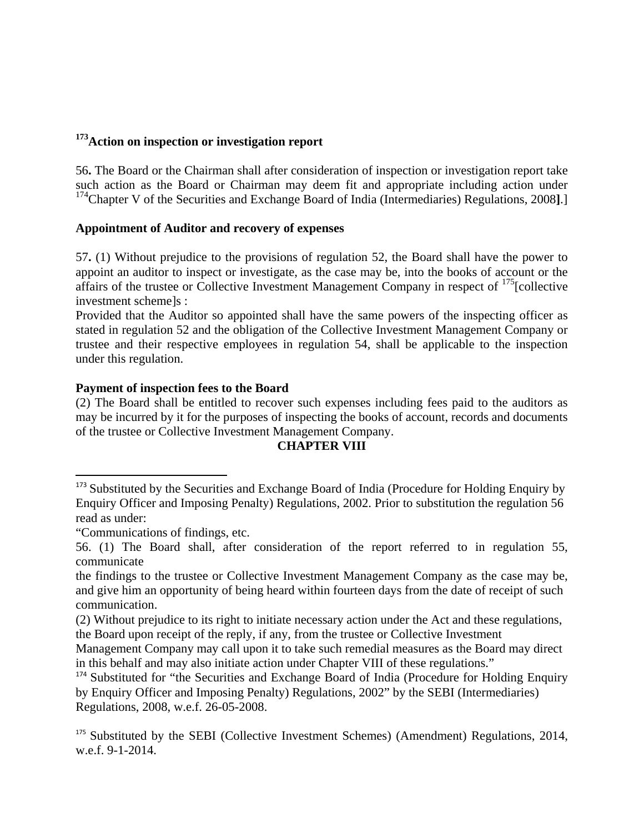## **173Action on inspection or investigation report**

56**.** The Board or the Chairman shall after consideration of inspection or investigation report take such action as the Board or Chairman may deem fit and appropriate including action under <sup>174</sup>Chapter V of the Securities and Exchange Board of India (Intermediaries) Regulations, 2008].]

#### **Appointment of Auditor and recovery of expenses**

57**.** (1) Without prejudice to the provisions of regulation 52, the Board shall have the power to appoint an auditor to inspect or investigate, as the case may be, into the books of account or the affairs of the trustee or Collective Investment Management Company in respect of <sup>175</sup>[collective investment scheme]s :

Provided that the Auditor so appointed shall have the same powers of the inspecting officer as stated in regulation 52 and the obligation of the Collective Investment Management Company or trustee and their respective employees in regulation 54, shall be applicable to the inspection under this regulation.

#### **Payment of inspection fees to the Board**

(2) The Board shall be entitled to recover such expenses including fees paid to the auditors as may be incurred by it for the purposes of inspecting the books of account, records and documents of the trustee or Collective Investment Management Company.

## **CHAPTER VIII**

<sup>&</sup>lt;sup>173</sup> Substituted by the Securities and Exchange Board of India (Procedure for Holding Enquiry by Enquiry Officer and Imposing Penalty) Regulations, 2002. Prior to substitution the regulation 56 read as under:

<sup>&</sup>quot;Communications of findings, etc.

<sup>56. (1)</sup> The Board shall, after consideration of the report referred to in regulation 55, communicate

the findings to the trustee or Collective Investment Management Company as the case may be, and give him an opportunity of being heard within fourteen days from the date of receipt of such communication.

<sup>(2)</sup> Without prejudice to its right to initiate necessary action under the Act and these regulations, the Board upon receipt of the reply, if any, from the trustee or Collective Investment

Management Company may call upon it to take such remedial measures as the Board may direct in this behalf and may also initiate action under Chapter VIII of these regulations."

<sup>&</sup>lt;sup>174</sup> Substituted for "the Securities and Exchange Board of India (Procedure for Holding Enquiry by Enquiry Officer and Imposing Penalty) Regulations, 2002" by the SEBI (Intermediaries) Regulations, 2008, w.e.f. 26-05-2008.

<sup>&</sup>lt;sup>175</sup> Substituted by the SEBI (Collective Investment Schemes) (Amendment) Regulations, 2014, w.e.f. 9-1-2014.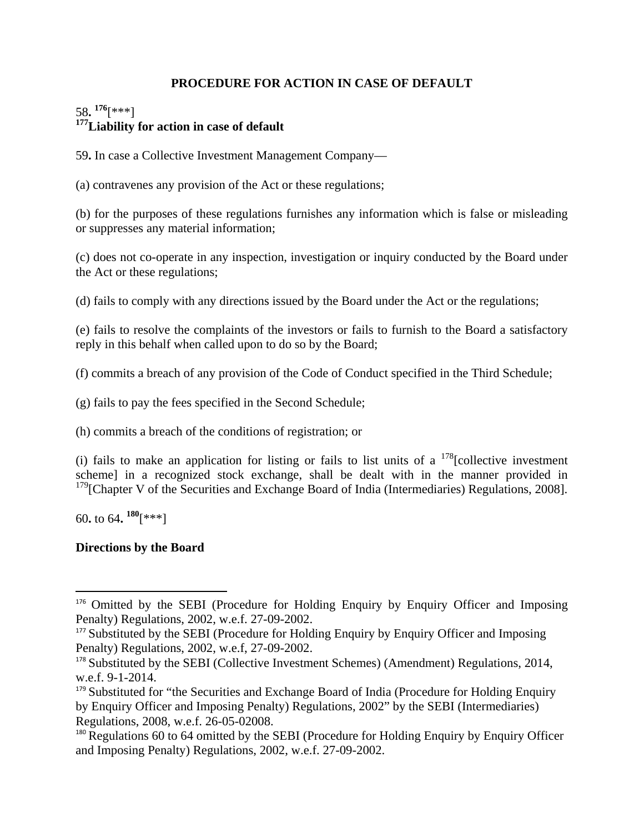## **PROCEDURE FOR ACTION IN CASE OF DEFAULT**

## 58**. 176**[\*\*\*] **177Liability for action in case of default**

59**.** In case a Collective Investment Management Company—

(a) contravenes any provision of the Act or these regulations;

(b) for the purposes of these regulations furnishes any information which is false or misleading or suppresses any material information;

(c) does not co-operate in any inspection, investigation or inquiry conducted by the Board under the Act or these regulations;

(d) fails to comply with any directions issued by the Board under the Act or the regulations;

(e) fails to resolve the complaints of the investors or fails to furnish to the Board a satisfactory reply in this behalf when called upon to do so by the Board;

(f) commits a breach of any provision of the Code of Conduct specified in the Third Schedule;

(g) fails to pay the fees specified in the Second Schedule;

(h) commits a breach of the conditions of registration; or

(i) fails to make an application for listing or fails to list units of a  $178$ [collective investment scheme] in a recognized stock exchange, shall be dealt with in the manner provided in  $179$ [Chapter V of the Securities and Exchange Board of India (Intermediaries) Regulations, 2008].

60**.** to 64**. 180**[\*\*\*]

## **Directions by the Board**

<sup>&</sup>lt;sup>176</sup> Omitted by the SEBI (Procedure for Holding Enquiry by Enquiry Officer and Imposing Penalty) Regulations, 2002, w.e.f. 27-09-2002.

<sup>&</sup>lt;sup>177</sup> Substituted by the SEBI (Procedure for Holding Enquiry by Enquiry Officer and Imposing Penalty) Regulations, 2002, w.e.f, 27-09-2002.

<sup>&</sup>lt;sup>178</sup> Substituted by the SEBI (Collective Investment Schemes) (Amendment) Regulations, 2014, w.e.f. 9-1-2014.

<sup>&</sup>lt;sup>179</sup> Substituted for "the Securities and Exchange Board of India (Procedure for Holding Enquiry by Enquiry Officer and Imposing Penalty) Regulations, 2002" by the SEBI (Intermediaries) Regulations, 2008, w.e.f. 26-05-02008.

 $180$  Regulations 60 to 64 omitted by the SEBI (Procedure for Holding Enquiry by Enquiry Officer and Imposing Penalty) Regulations, 2002, w.e.f. 27-09-2002.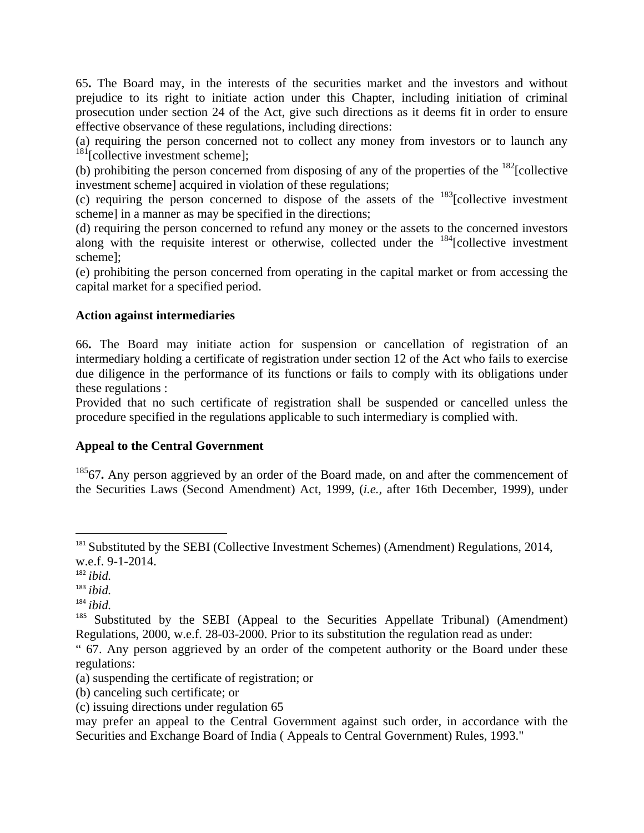65**.** The Board may, in the interests of the securities market and the investors and without prejudice to its right to initiate action under this Chapter, including initiation of criminal prosecution under section 24 of the Act, give such directions as it deems fit in order to ensure effective observance of these regulations, including directions:

(a) requiring the person concerned not to collect any money from investors or to launch any  $181$ [collective investment scheme];

(b) prohibiting the person concerned from disposing of any of the properties of the  $^{182}$ [collective] investment scheme] acquired in violation of these regulations;

(c) requiring the person concerned to dispose of the assets of the  $^{183}$ [collective investment] scheme] in a manner as may be specified in the directions;

(d) requiring the person concerned to refund any money or the assets to the concerned investors along with the requisite interest or otherwise, collected under the  $^{184}$ [collective investment scheme];

(e) prohibiting the person concerned from operating in the capital market or from accessing the capital market for a specified period.

#### **Action against intermediaries**

66**.** The Board may initiate action for suspension or cancellation of registration of an intermediary holding a certificate of registration under section 12 of the Act who fails to exercise due diligence in the performance of its functions or fails to comply with its obligations under these regulations :

Provided that no such certificate of registration shall be suspended or cancelled unless the procedure specified in the regulations applicable to such intermediary is complied with.

## **Appeal to the Central Government**

<sup>185</sup>67. Any person aggrieved by an order of the Board made, on and after the commencement of the Securities Laws (Second Amendment) Act, 1999, (*i.e.,* after 16th December, 1999), under

- (b) canceling such certificate; or
- (c) issuing directions under regulation 65

may prefer an appeal to the Central Government against such order, in accordance with the Securities and Exchange Board of India ( Appeals to Central Government) Rules, 1993."

 <sup>181</sup> Substituted by the SEBI (Collective Investment Schemes) (Amendment) Regulations, 2014, w.e.f. 9-1-2014.

<sup>182</sup> *ibid.*

<sup>183</sup> *ibid.*

<sup>184</sup> *ibid.*

<sup>&</sup>lt;sup>185</sup> Substituted by the SEBI (Appeal to the Securities Appellate Tribunal) (Amendment) Regulations, 2000, w.e.f. 28-03-2000. Prior to its substitution the regulation read as under:

<sup>&</sup>quot; 67. Any person aggrieved by an order of the competent authority or the Board under these regulations:

<sup>(</sup>a) suspending the certificate of registration; or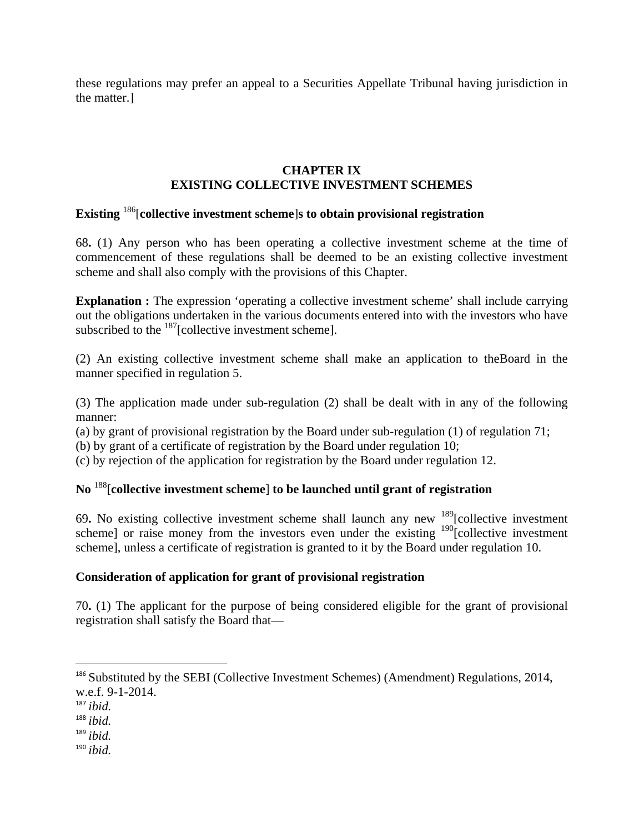these regulations may prefer an appeal to a Securities Appellate Tribunal having jurisdiction in the matter.]

#### **CHAPTER IX EXISTING COLLECTIVE INVESTMENT SCHEMES**

## **Existing** 186[**collective investment scheme**]**s to obtain provisional registration**

68**.** (1) Any person who has been operating a collective investment scheme at the time of commencement of these regulations shall be deemed to be an existing collective investment scheme and shall also comply with the provisions of this Chapter.

**Explanation :** The expression 'operating a collective investment scheme' shall include carrying out the obligations undertaken in the various documents entered into with the investors who have subscribed to the <sup>187</sup>[collective investment scheme].

(2) An existing collective investment scheme shall make an application to theBoard in the manner specified in regulation 5.

(3) The application made under sub-regulation (2) shall be dealt with in any of the following manner:

(a) by grant of provisional registration by the Board under sub-regulation (1) of regulation 71;

(b) by grant of a certificate of registration by the Board under regulation 10;

(c) by rejection of the application for registration by the Board under regulation 12.

# **No** 188[**collective investment scheme**] **to be launched until grant of registration**

69**.** No existing collective investment scheme shall launch any new 189[collective investment scheme] or raise money from the investors even under the existing <sup>190</sup>[collective investment scheme], unless a certificate of registration is granted to it by the Board under regulation 10.

#### **Consideration of application for grant of provisional registration**

70**.** (1) The applicant for the purpose of being considered eligible for the grant of provisional registration shall satisfy the Board that—

- <sup>189</sup> *ibid.*
- <sup>190</sup> *ibid.*

<sup>&</sup>lt;sup>186</sup> Substituted by the SEBI (Collective Investment Schemes) (Amendment) Regulations, 2014, w.e.f. 9-1-2014.

<sup>187</sup> *ibid.*

<sup>188</sup> *ibid.*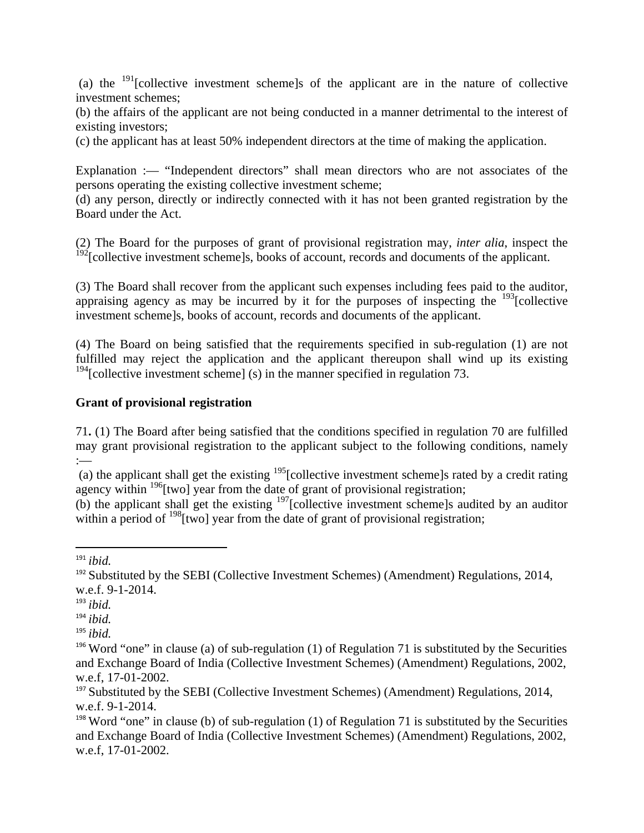(a) the  $191$ [collective investment scheme]s of the applicant are in the nature of collective investment schemes;

(b) the affairs of the applicant are not being conducted in a manner detrimental to the interest of existing investors;

(c) the applicant has at least 50% independent directors at the time of making the application.

Explanation :— "Independent directors" shall mean directors who are not associates of the persons operating the existing collective investment scheme;

(d) any person, directly or indirectly connected with it has not been granted registration by the Board under the Act.

(2) The Board for the purposes of grant of provisional registration may, *inter alia*, inspect the <sup>192</sup>[collective investment scheme]s, books of account, records and documents of the applicant.

(3) The Board shall recover from the applicant such expenses including fees paid to the auditor, appraising agency as may be incurred by it for the purposes of inspecting the  $^{193}$ [collective investment scheme]s, books of account, records and documents of the applicant.

(4) The Board on being satisfied that the requirements specified in sub-regulation (1) are not fulfilled may reject the application and the applicant thereupon shall wind up its existing  $194$ [collective investment scheme] (s) in the manner specified in regulation 73.

### **Grant of provisional registration**

71**.** (1) The Board after being satisfied that the conditions specified in regulation 70 are fulfilled may grant provisional registration to the applicant subject to the following conditions, namely :—

(a) the applicant shall get the existing  $195$ [collective investment scheme]s rated by a credit rating agency within  $196$ [two] year from the date of grant of provisional registration;

(b) the applicant shall get the existing 197[collective investment scheme]s audited by an auditor within a period of  $198$ [two] year from the date of grant of provisional registration;

 $191$  *ibid.* 

 $192$  Substituted by the SEBI (Collective Investment Schemes) (Amendment) Regulations, 2014, w.e.f. 9-1-2014.

<sup>193</sup> *ibid.*

<sup>194</sup> *ibid.*

<sup>195</sup> *ibid.*

<sup>&</sup>lt;sup>196</sup> Word "one" in clause (a) of sub-regulation (1) of Regulation 71 is substituted by the Securities and Exchange Board of India (Collective Investment Schemes) (Amendment) Regulations, 2002, w.e.f, 17-01-2002.

 $197$  Substituted by the SEBI (Collective Investment Schemes) (Amendment) Regulations, 2014, w.e.f. 9-1-2014.

<sup>&</sup>lt;sup>198</sup> Word "one" in clause (b) of sub-regulation (1) of Regulation 71 is substituted by the Securities and Exchange Board of India (Collective Investment Schemes) (Amendment) Regulations, 2002, w.e.f, 17-01-2002.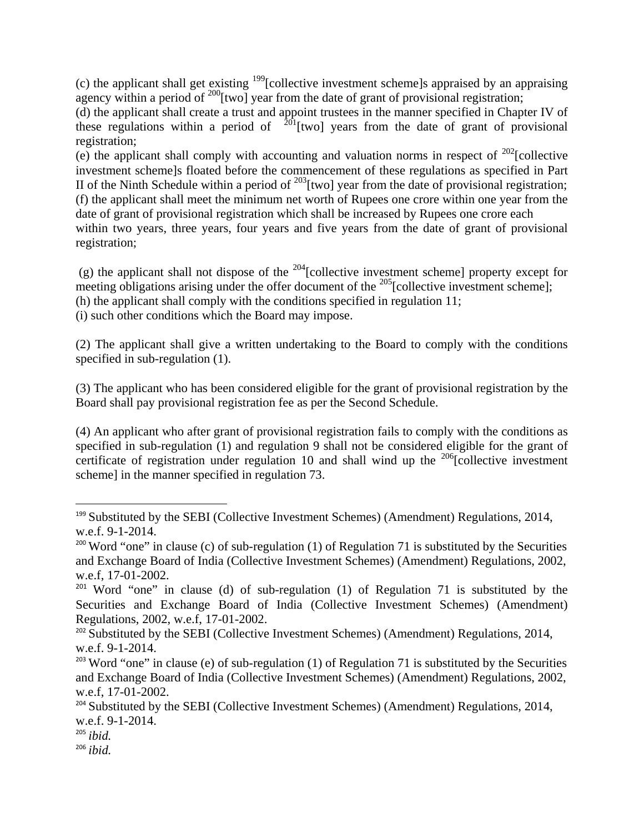(c) the applicant shall get existing  $199$ [collective investment scheme]s appraised by an appraising agency within a period of  $200$ [two] year from the date of grant of provisional registration;

(d) the applicant shall create a trust and appoint trustees in the manner specified in Chapter IV of these regulations within a period of  $^{201}$ [two] years from the date of grant of provisional registration;

(e) the applicant shall comply with accounting and valuation norms in respect of  $202$ [collective investment scheme]s floated before the commencement of these regulations as specified in Part II of the Ninth Schedule within a period of  $^{203}$ [two] year from the date of provisional registration; (f) the applicant shall meet the minimum net worth of Rupees one crore within one year from the date of grant of provisional registration which shall be increased by Rupees one crore each within two years, three years, four years and five years from the date of grant of provisional registration;

(g) the applicant shall not dispose of the  $^{204}$ [collective investment scheme] property except for meeting obligations arising under the offer document of the  $^{205}$ [collective investment scheme]; (h) the applicant shall comply with the conditions specified in regulation 11;

(i) such other conditions which the Board may impose.

(2) The applicant shall give a written undertaking to the Board to comply with the conditions specified in sub-regulation (1).

(3) The applicant who has been considered eligible for the grant of provisional registration by the Board shall pay provisional registration fee as per the Second Schedule.

(4) An applicant who after grant of provisional registration fails to comply with the conditions as specified in sub-regulation (1) and regulation 9 shall not be considered eligible for the grant of certificate of registration under regulation 10 and shall wind up the  $^{206}$ [collective investment scheme] in the manner specified in regulation 73.

 $199$  Substituted by the SEBI (Collective Investment Schemes) (Amendment) Regulations, 2014, w.e.f. 9-1-2014.

<sup>&</sup>lt;sup>200</sup> Word "one" in clause (c) of sub-regulation (1) of Regulation 71 is substituted by the Securities and Exchange Board of India (Collective Investment Schemes) (Amendment) Regulations, 2002, w.e.f, 17-01-2002.

<sup>&</sup>lt;sup>201</sup> Word "one" in clause (d) of sub-regulation (1) of Regulation 71 is substituted by the Securities and Exchange Board of India (Collective Investment Schemes) (Amendment) Regulations, 2002, w.e.f, 17-01-2002.

<sup>&</sup>lt;sup>202</sup> Substituted by the SEBI (Collective Investment Schemes) (Amendment) Regulations, 2014, w.e.f. 9-1-2014.

<sup>&</sup>lt;sup>203</sup> Word "one" in clause (e) of sub-regulation (1) of Regulation 71 is substituted by the Securities and Exchange Board of India (Collective Investment Schemes) (Amendment) Regulations, 2002, w.e.f, 17-01-2002.

<sup>&</sup>lt;sup>204</sup> Substituted by the SEBI (Collective Investment Schemes) (Amendment) Regulations, 2014, w.e.f. 9-1-2014.

<sup>205</sup> *ibid.*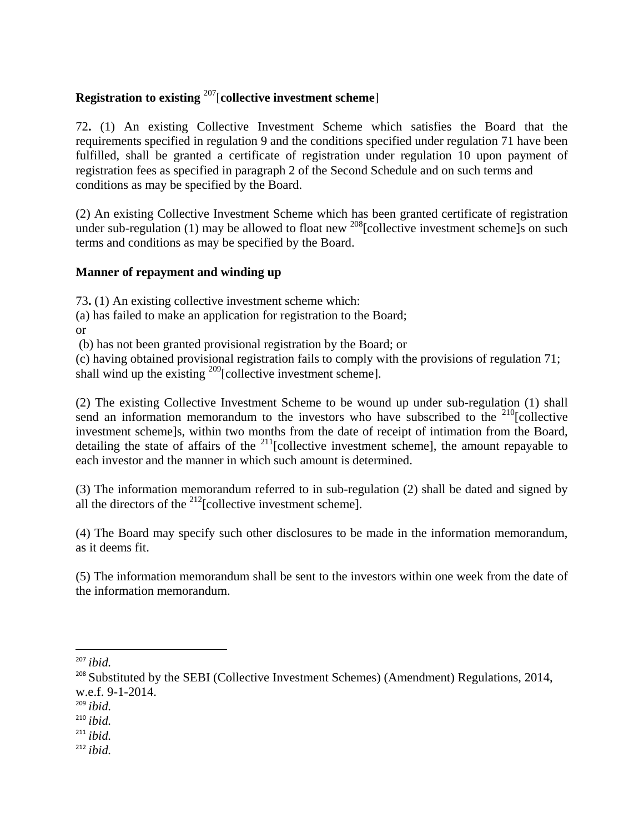### **Registration to existing** 207[**collective investment scheme**]

72**.** (1) An existing Collective Investment Scheme which satisfies the Board that the requirements specified in regulation 9 and the conditions specified under regulation 71 have been fulfilled, shall be granted a certificate of registration under regulation 10 upon payment of registration fees as specified in paragraph 2 of the Second Schedule and on such terms and conditions as may be specified by the Board.

(2) An existing Collective Investment Scheme which has been granted certificate of registration under sub-regulation (1) may be allowed to float new <sup>208</sup>[collective investment scheme]s on such terms and conditions as may be specified by the Board.

### **Manner of repayment and winding up**

73**.** (1) An existing collective investment scheme which:

(a) has failed to make an application for registration to the Board; or

(b) has not been granted provisional registration by the Board; or

(c) having obtained provisional registration fails to comply with the provisions of regulation 71; shall wind up the existing  $^{209}$ [collective investment scheme].

(2) The existing Collective Investment Scheme to be wound up under sub-regulation (1) shall send an information memorandum to the investors who have subscribed to the  $210$ [collective investment scheme]s, within two months from the date of receipt of intimation from the Board, detailing the state of affairs of the  $^{211}$ [collective investment scheme], the amount repayable to each investor and the manner in which such amount is determined.

(3) The information memorandum referred to in sub-regulation (2) shall be dated and signed by all the directors of the  $^{212}$ [collective investment scheme].

(4) The Board may specify such other disclosures to be made in the information memorandum, as it deems fit.

(5) The information memorandum shall be sent to the investors within one week from the date of the information memorandum.

<sup>207</sup> *ibid.*

<sup>&</sup>lt;sup>208</sup> Substituted by the SEBI (Collective Investment Schemes) (Amendment) Regulations, 2014, w.e.f. 9-1-2014.

<sup>209</sup> *ibid.*

<sup>210</sup> *ibid.*

<sup>211</sup> *ibid.*

<sup>212</sup> *ibid.*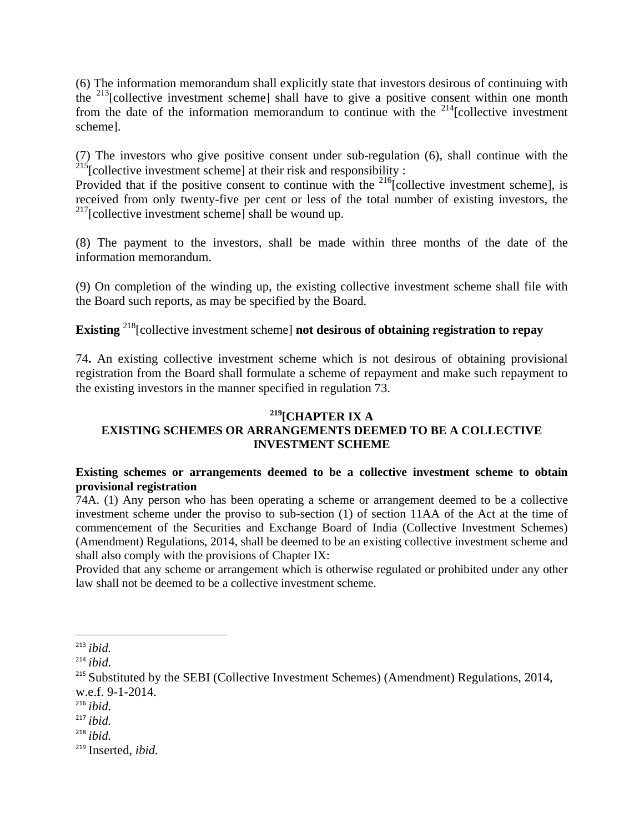(6) The information memorandum shall explicitly state that investors desirous of continuing with the  $213$ [collective investment scheme] shall have to give a positive consent within one month from the date of the information memorandum to continue with the  $2^{14}$ [collective investment scheme].

(7) The investors who give positive consent under sub-regulation (6), shall continue with the  $215$ [collective investment scheme] at their risk and responsibility :

Provided that if the positive consent to continue with the  $^{216}$ [collective investment scheme], is received from only twenty-five per cent or less of the total number of existing investors, the  $2^{17}$ [collective investment scheme] shall be wound up.

(8) The payment to the investors, shall be made within three months of the date of the information memorandum.

(9) On completion of the winding up, the existing collective investment scheme shall file with the Board such reports, as may be specified by the Board.

**Existing** <sup>218</sup>[collective investment scheme] **not desirous of obtaining registration to repay** 

74**.** An existing collective investment scheme which is not desirous of obtaining provisional registration from the Board shall formulate a scheme of repayment and make such repayment to the existing investors in the manner specified in regulation 73.

# **219[CHAPTER IX A**

### **EXISTING SCHEMES OR ARRANGEMENTS DEEMED TO BE A COLLECTIVE INVESTMENT SCHEME**

### **Existing schemes or arrangements deemed to be a collective investment scheme to obtain provisional registration**

74A. (1) Any person who has been operating a scheme or arrangement deemed to be a collective investment scheme under the proviso to sub-section (1) of section 11AA of the Act at the time of commencement of the Securities and Exchange Board of India (Collective Investment Schemes) (Amendment) Regulations, 2014, shall be deemed to be an existing collective investment scheme and shall also comply with the provisions of Chapter IX:

Provided that any scheme or arrangement which is otherwise regulated or prohibited under any other law shall not be deemed to be a collective investment scheme.

 <sup>213</sup> *ibid.*

<sup>214</sup> *ibid.*

<sup>&</sup>lt;sup>215</sup> Substituted by the SEBI (Collective Investment Schemes) (Amendment) Regulations, 2014, w.e.f. 9-1-2014.

<sup>216</sup> *ibid.*

<sup>217</sup> *ibid.*

<sup>218</sup> *ibid.*

<sup>219</sup> Inserted, *ibid.*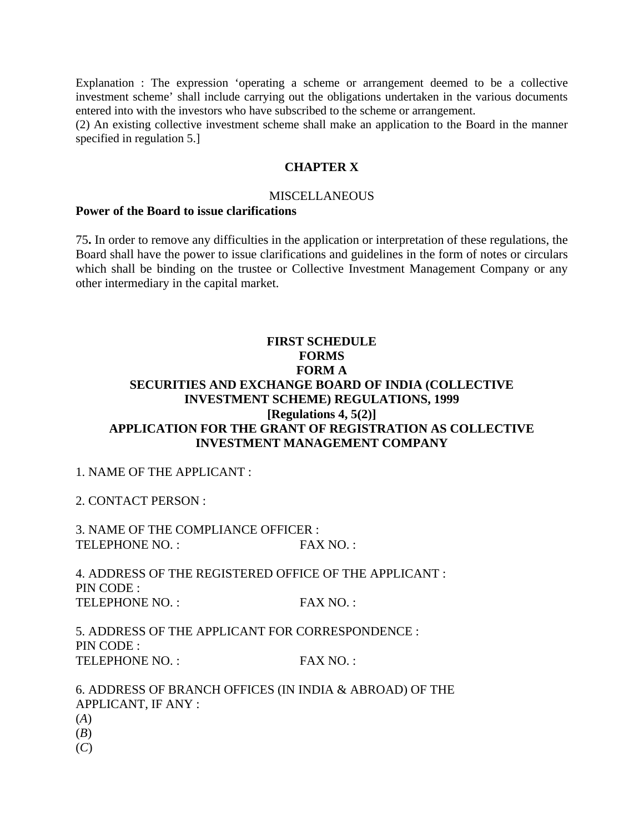Explanation : The expression 'operating a scheme or arrangement deemed to be a collective investment scheme' shall include carrying out the obligations undertaken in the various documents entered into with the investors who have subscribed to the scheme or arrangement.

(2) An existing collective investment scheme shall make an application to the Board in the manner specified in regulation 5.]

#### **CHAPTER X**

#### **MISCELLANEOUS**

#### **Power of the Board to issue clarifications**

75**.** In order to remove any difficulties in the application or interpretation of these regulations, the Board shall have the power to issue clarifications and guidelines in the form of notes or circulars which shall be binding on the trustee or Collective Investment Management Company or any other intermediary in the capital market.

### **FIRST SCHEDULE FORMS FORM A SECURITIES AND EXCHANGE BOARD OF INDIA (COLLECTIVE INVESTMENT SCHEME) REGULATIONS, 1999 [Regulations 4, 5(2)] APPLICATION FOR THE GRANT OF REGISTRATION AS COLLECTIVE INVESTMENT MANAGEMENT COMPANY**

1. NAME OF THE APPLICANT :

2. CONTACT PERSON :

3. NAME OF THE COMPLIANCE OFFICER : TELEPHONE NO. : FAX NO. :

4. ADDRESS OF THE REGISTERED OFFICE OF THE APPLICANT : PIN CODE : TELEPHONE NO. : FAX NO. :

5. ADDRESS OF THE APPLICANT FOR CORRESPONDENCE : PIN CODE : TELEPHONE NO. : FAX NO. :

6. ADDRESS OF BRANCH OFFICES (IN INDIA & ABROAD) OF THE APPLICANT, IF ANY : (*A*) (*B*) (*C*)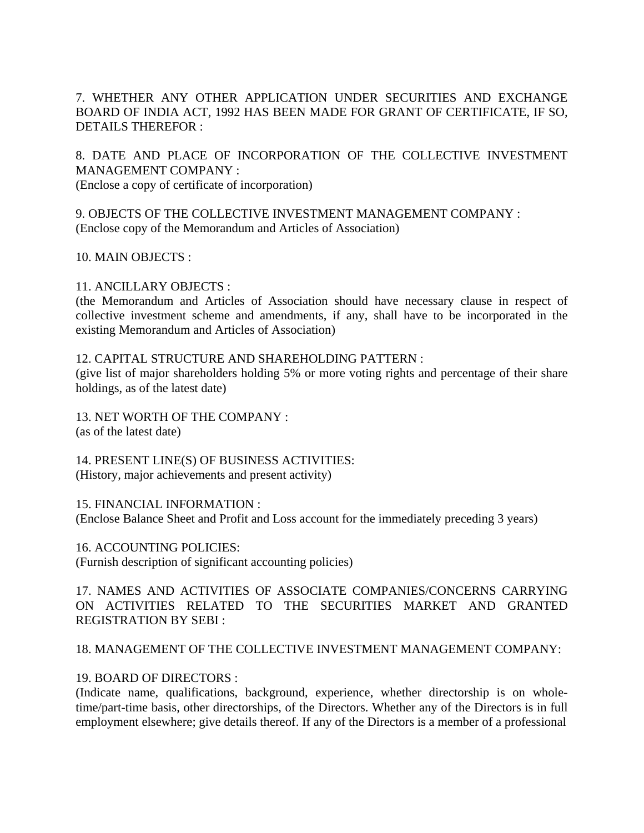### 7. WHETHER ANY OTHER APPLICATION UNDER SECURITIES AND EXCHANGE BOARD OF INDIA ACT, 1992 HAS BEEN MADE FOR GRANT OF CERTIFICATE, IF SO, DETAILS THEREFOR :

8. DATE AND PLACE OF INCORPORATION OF THE COLLECTIVE INVESTMENT MANAGEMENT COMPANY :

(Enclose a copy of certificate of incorporation)

9. OBJECTS OF THE COLLECTIVE INVESTMENT MANAGEMENT COMPANY : (Enclose copy of the Memorandum and Articles of Association)

10. MAIN OBJECTS :

### 11. ANCILLARY OBJECTS :

(the Memorandum and Articles of Association should have necessary clause in respect of collective investment scheme and amendments, if any, shall have to be incorporated in the existing Memorandum and Articles of Association)

12. CAPITAL STRUCTURE AND SHAREHOLDING PATTERN :

(give list of major shareholders holding 5% or more voting rights and percentage of their share holdings, as of the latest date)

13. NET WORTH OF THE COMPANY : (as of the latest date)

14. PRESENT LINE(S) OF BUSINESS ACTIVITIES: (History, major achievements and present activity)

#### 15. FINANCIAL INFORMATION :

(Enclose Balance Sheet and Profit and Loss account for the immediately preceding 3 years)

16. ACCOUNTING POLICIES: (Furnish description of significant accounting policies)

17. NAMES AND ACTIVITIES OF ASSOCIATE COMPANIES/CONCERNS CARRYING ON ACTIVITIES RELATED TO THE SECURITIES MARKET AND GRANTED REGISTRATION BY SEBI :

### 18. MANAGEMENT OF THE COLLECTIVE INVESTMENT MANAGEMENT COMPANY:

### 19. BOARD OF DIRECTORS :

(Indicate name, qualifications, background, experience, whether directorship is on wholetime/part-time basis, other directorships, of the Directors. Whether any of the Directors is in full employment elsewhere; give details thereof. If any of the Directors is a member of a professional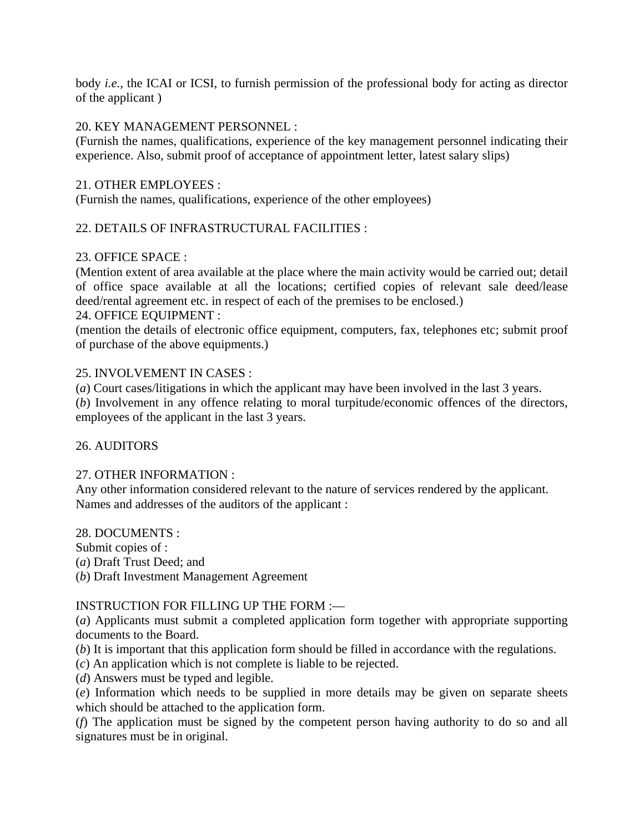body *i.e.,* the ICAI or ICSI, to furnish permission of the professional body for acting as director of the applicant )

#### 20. KEY MANAGEMENT PERSONNEL :

(Furnish the names, qualifications, experience of the key management personnel indicating their experience. Also, submit proof of acceptance of appointment letter, latest salary slips)

#### 21. OTHER EMPLOYEES :

(Furnish the names, qualifications, experience of the other employees)

### 22. DETAILS OF INFRASTRUCTURAL FACILITIES :

#### 23. OFFICE SPACE :

(Mention extent of area available at the place where the main activity would be carried out; detail of office space available at all the locations; certified copies of relevant sale deed/lease deed/rental agreement etc. in respect of each of the premises to be enclosed.) 24. OFFICE EQUIPMENT :

(mention the details of electronic office equipment, computers, fax, telephones etc; submit proof of purchase of the above equipments.)

#### 25. INVOLVEMENT IN CASES :

(*a*) Court cases/litigations in which the applicant may have been involved in the last 3 years.

(*b*) Involvement in any offence relating to moral turpitude/economic offences of the directors, employees of the applicant in the last 3 years.

#### 26. AUDITORS

#### 27. OTHER INFORMATION :

Any other information considered relevant to the nature of services rendered by the applicant. Names and addresses of the auditors of the applicant :

28. DOCUMENTS :

Submit copies of :

(*a*) Draft Trust Deed; and

(*b*) Draft Investment Management Agreement

#### INSTRUCTION FOR FILLING UP THE FORM :—

(*a*) Applicants must submit a completed application form together with appropriate supporting documents to the Board.

(*b*) It is important that this application form should be filled in accordance with the regulations.

(*c*) An application which is not complete is liable to be rejected.

(*d*) Answers must be typed and legible.

(*e*) Information which needs to be supplied in more details may be given on separate sheets which should be attached to the application form.

(*f*) The application must be signed by the competent person having authority to do so and all signatures must be in original.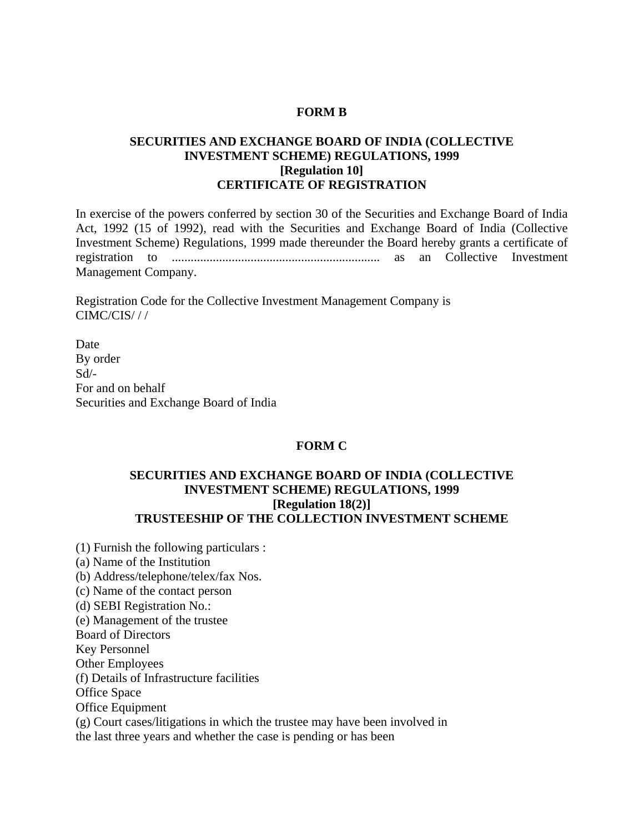#### **FORM B**

### **SECURITIES AND EXCHANGE BOARD OF INDIA (COLLECTIVE INVESTMENT SCHEME) REGULATIONS, 1999 [Regulation 10] CERTIFICATE OF REGISTRATION**

In exercise of the powers conferred by section 30 of the Securities and Exchange Board of India Act, 1992 (15 of 1992), read with the Securities and Exchange Board of India (Collective Investment Scheme) Regulations, 1999 made thereunder the Board hereby grants a certificate of registration to .................................................................. as an Collective Investment Management Company.

Registration Code for the Collective Investment Management Company is CIMC/CIS/ / /

Date By order Sd/- For and on behalf Securities and Exchange Board of India

#### **FORM C**

#### **SECURITIES AND EXCHANGE BOARD OF INDIA (COLLECTIVE INVESTMENT SCHEME) REGULATIONS, 1999 [Regulation 18(2)] TRUSTEESHIP OF THE COLLECTION INVESTMENT SCHEME**

(1) Furnish the following particulars : (a) Name of the Institution (b) Address/telephone/telex/fax Nos. (c) Name of the contact person (d) SEBI Registration No.: (e) Management of the trustee Board of Directors Key Personnel Other Employees (f) Details of Infrastructure facilities Office Space Office Equipment (g) Court cases/litigations in which the trustee may have been involved in the last three years and whether the case is pending or has been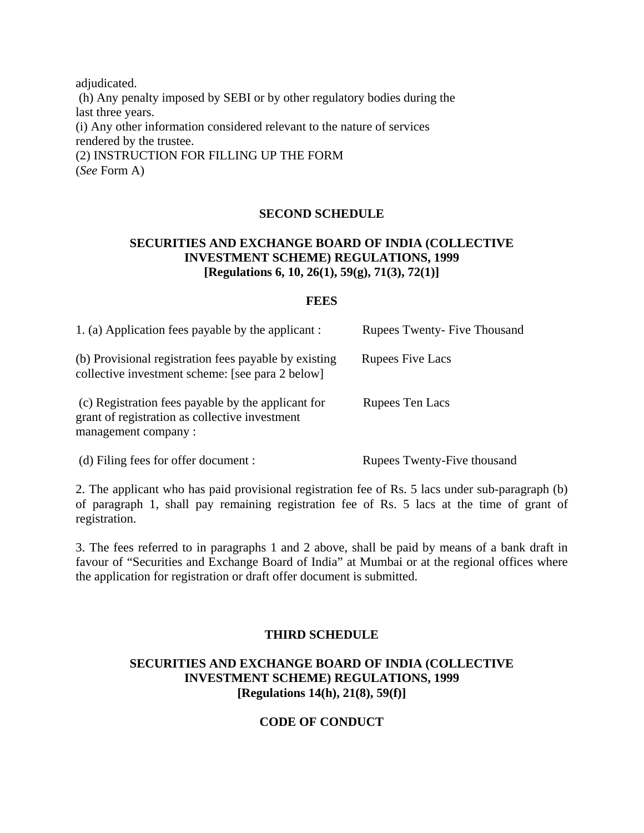adjudicated. (h) Any penalty imposed by SEBI or by other regulatory bodies during the last three years. (i) Any other information considered relevant to the nature of services rendered by the trustee. (2) INSTRUCTION FOR FILLING UP THE FORM (*See* Form A)

### **SECOND SCHEDULE**

### **SECURITIES AND EXCHANGE BOARD OF INDIA (COLLECTIVE INVESTMENT SCHEME) REGULATIONS, 1999 [Regulations 6, 10, 26(1), 59(g), 71(3), 72(1)]**

### **FEES**

| 1. (a) Application fees payable by the applicant :                                                                          | <b>Rupees Twenty-Five Thousand</b> |
|-----------------------------------------------------------------------------------------------------------------------------|------------------------------------|
| (b) Provisional registration fees payable by existing<br>collective investment scheme: [see para 2 below]                   | <b>Rupees Five Lacs</b>            |
| (c) Registration fees payable by the applicant for<br>grant of registration as collective investment<br>management company: | Rupees Ten Lacs                    |
| (d) Filing fees for offer document :                                                                                        | Rupees Twenty-Five thousand        |

2. The applicant who has paid provisional registration fee of Rs. 5 lacs under sub-paragraph (b) of paragraph 1, shall pay remaining registration fee of Rs. 5 lacs at the time of grant of registration.

3. The fees referred to in paragraphs 1 and 2 above, shall be paid by means of a bank draft in favour of "Securities and Exchange Board of India" at Mumbai or at the regional offices where the application for registration or draft offer document is submitted.

### **THIRD SCHEDULE**

### **SECURITIES AND EXCHANGE BOARD OF INDIA (COLLECTIVE INVESTMENT SCHEME) REGULATIONS, 1999 [Regulations 14(h), 21(8), 59(f)]**

### **CODE OF CONDUCT**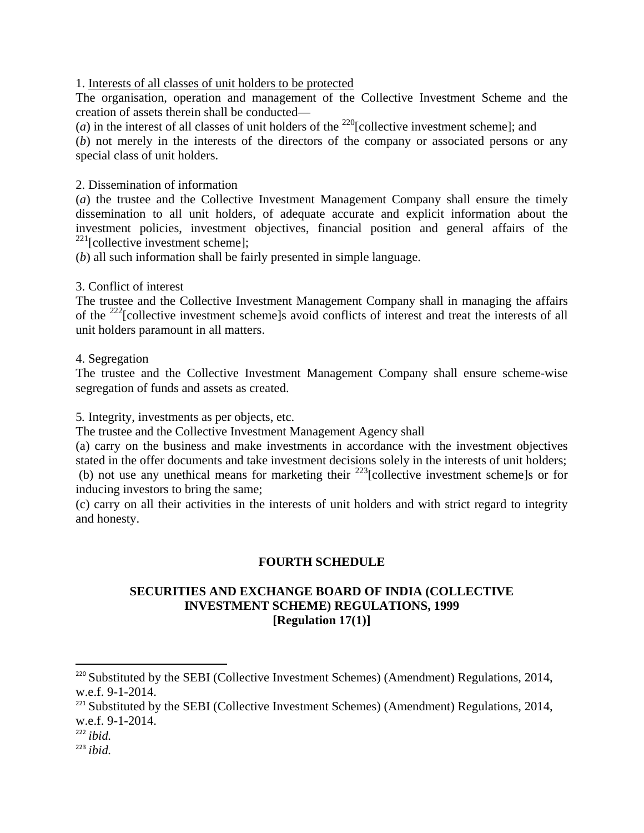1. Interests of all classes of unit holders to be protected

The organisation, operation and management of the Collective Investment Scheme and the creation of assets therein shall be conducted—

(*a*) in the interest of all classes of unit holders of the <sup>220</sup>[collective investment scheme]; and

(*b*) not merely in the interests of the directors of the company or associated persons or any special class of unit holders.

2. Dissemination of information

(*a*) the trustee and the Collective Investment Management Company shall ensure the timely dissemination to all unit holders, of adequate accurate and explicit information about the investment policies, investment objectives, financial position and general affairs of the  $221$ [collective investment scheme];

(*b*) all such information shall be fairly presented in simple language.

### 3. Conflict of interest

The trustee and the Collective Investment Management Company shall in managing the affairs of the <sup>222</sup>[collective investment scheme]s avoid conflicts of interest and treat the interests of all unit holders paramount in all matters.

4. Segregation

The trustee and the Collective Investment Management Company shall ensure scheme-wise segregation of funds and assets as created.

5*.* Integrity, investments as per objects, etc.

The trustee and the Collective Investment Management Agency shall

(a) carry on the business and make investments in accordance with the investment objectives stated in the offer documents and take investment decisions solely in the interests of unit holders; (b) not use any unethical means for marketing their  $^{223}$ [collective investment schemels or for inducing investors to bring the same;

(c) carry on all their activities in the interests of unit holders and with strict regard to integrity and honesty.

### **FOURTH SCHEDULE**

#### **SECURITIES AND EXCHANGE BOARD OF INDIA (COLLECTIVE INVESTMENT SCHEME) REGULATIONS, 1999 [Regulation 17(1)]**

<sup>&</sup>lt;sup>220</sup> Substituted by the SEBI (Collective Investment Schemes) (Amendment) Regulations, 2014, w.e.f. 9-1-2014.

 $221$  Substituted by the SEBI (Collective Investment Schemes) (Amendment) Regulations, 2014, w.e.f. 9-1-2014.

 $^{222}$ *ibid.* 

<sup>223</sup> *ibid.*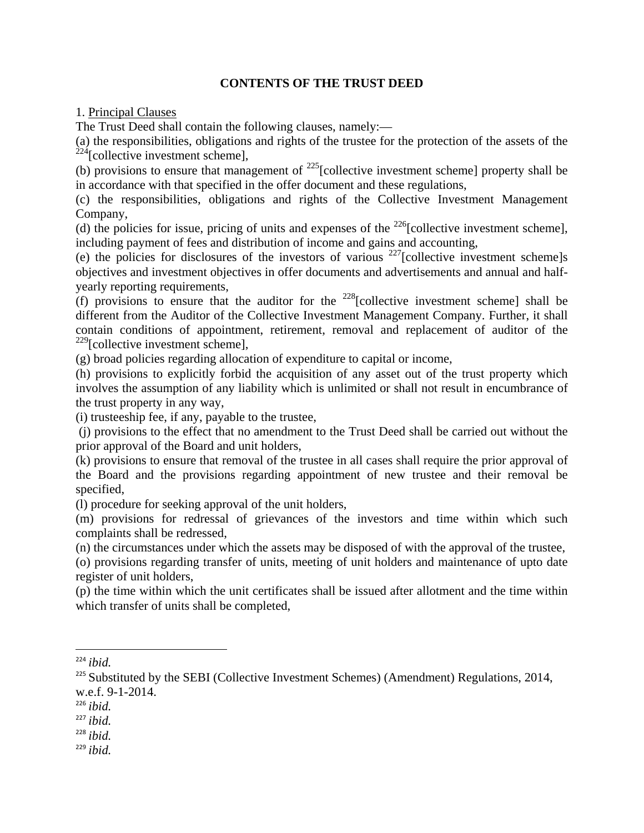### **CONTENTS OF THE TRUST DEED**

1. Principal Clauses

The Trust Deed shall contain the following clauses, namely:—

(a) the responsibilities, obligations and rights of the trustee for the protection of the assets of the  $^{224}$ [collective investment scheme],

(b) provisions to ensure that management of  $^{225}$ [collective investment scheme] property shall be in accordance with that specified in the offer document and these regulations,

(c) the responsibilities, obligations and rights of the Collective Investment Management Company,

(d) the policies for issue, pricing of units and expenses of the  $^{226}$ [collective investment scheme], including payment of fees and distribution of income and gains and accounting,

(e) the policies for disclosures of the investors of various  $227$ [collective investment scheme]s objectives and investment objectives in offer documents and advertisements and annual and halfyearly reporting requirements,

(f) provisions to ensure that the auditor for the <sup>228</sup>[collective investment scheme] shall be different from the Auditor of the Collective Investment Management Company. Further, it shall contain conditions of appointment, retirement, removal and replacement of auditor of the  $229$ [collective investment scheme],

(g) broad policies regarding allocation of expenditure to capital or income,

(h) provisions to explicitly forbid the acquisition of any asset out of the trust property which involves the assumption of any liability which is unlimited or shall not result in encumbrance of the trust property in any way,

(i) trusteeship fee, if any, payable to the trustee,

 (j) provisions to the effect that no amendment to the Trust Deed shall be carried out without the prior approval of the Board and unit holders,

(k) provisions to ensure that removal of the trustee in all cases shall require the prior approval of the Board and the provisions regarding appointment of new trustee and their removal be specified,

(l) procedure for seeking approval of the unit holders,

(m) provisions for redressal of grievances of the investors and time within which such complaints shall be redressed,

(n) the circumstances under which the assets may be disposed of with the approval of the trustee,

(o) provisions regarding transfer of units, meeting of unit holders and maintenance of upto date register of unit holders,

(p) the time within which the unit certificates shall be issued after allotment and the time within which transfer of units shall be completed,

<sup>228</sup> *ibid.*

<sup>224</sup> *ibid.*

 $225$  Substituted by the SEBI (Collective Investment Schemes) (Amendment) Regulations, 2014, w.e.f. 9-1-2014.

<sup>226</sup> *ibid.*

<sup>227</sup> *ibid.*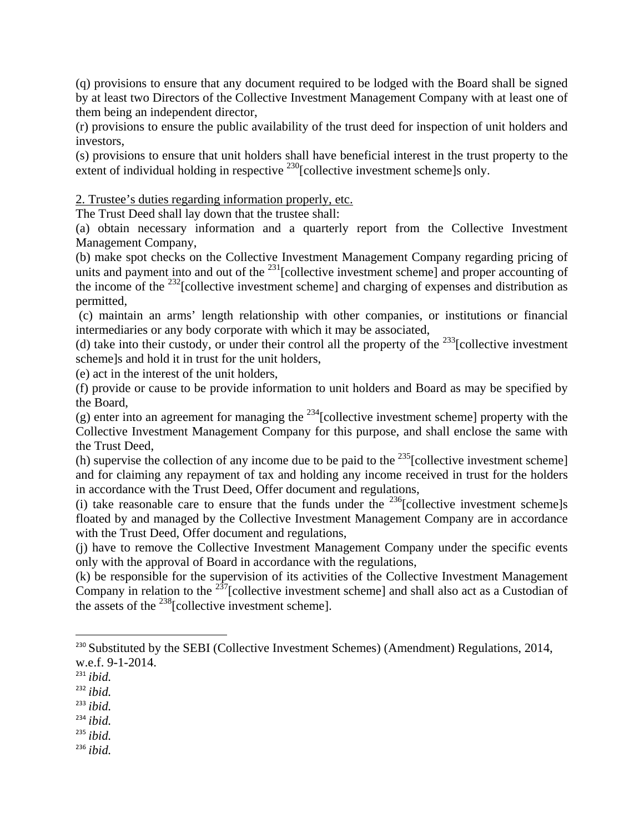(q) provisions to ensure that any document required to be lodged with the Board shall be signed by at least two Directors of the Collective Investment Management Company with at least one of them being an independent director,

(r) provisions to ensure the public availability of the trust deed for inspection of unit holders and investors,

(s) provisions to ensure that unit holders shall have beneficial interest in the trust property to the extent of individual holding in respective <sup>230</sup>[collective investment scheme]s only.

### 2. Trustee's duties regarding information properly, etc.

The Trust Deed shall lay down that the trustee shall:

(a) obtain necessary information and a quarterly report from the Collective Investment Management Company,

(b) make spot checks on the Collective Investment Management Company regarding pricing of units and payment into and out of the  $^{231}$ [collective investment scheme] and proper accounting of the income of the  $^{232}$ [collective investment scheme] and charging of expenses and distribution as permitted,

 (c) maintain an arms' length relationship with other companies, or institutions or financial intermediaries or any body corporate with which it may be associated,

(d) take into their custody, or under their control all the property of the  $^{233}$ [collective investment] scheme]s and hold it in trust for the unit holders,

(e) act in the interest of the unit holders,

(f) provide or cause to be provide information to unit holders and Board as may be specified by the Board,

(g) enter into an agreement for managing the  $^{234}$ [collective investment scheme] property with the Collective Investment Management Company for this purpose, and shall enclose the same with the Trust Deed,

(h) supervise the collection of any income due to be paid to the  $^{235}$ [collective investment scheme] and for claiming any repayment of tax and holding any income received in trust for the holders in accordance with the Trust Deed, Offer document and regulations,

(i) take reasonable care to ensure that the funds under the  $^{236}$ [collective investment scheme]s floated by and managed by the Collective Investment Management Company are in accordance with the Trust Deed, Offer document and regulations,

(j) have to remove the Collective Investment Management Company under the specific events only with the approval of Board in accordance with the regulations,

(k) be responsible for the supervision of its activities of the Collective Investment Management Company in relation to the  $2\frac{37}{7}$ [collective investment scheme] and shall also act as a Custodian of the assets of the  $^{238}$ [collective investment scheme].

<sup>234</sup> *ibid.*

<sup>235</sup> *ibid.*

 $^{230}$  Substituted by the SEBI (Collective Investment Schemes) (Amendment) Regulations, 2014, w.e.f. 9-1-2014.

<sup>231</sup> *ibid.*

<sup>232</sup> *ibid.*

<sup>233</sup> *ibid.*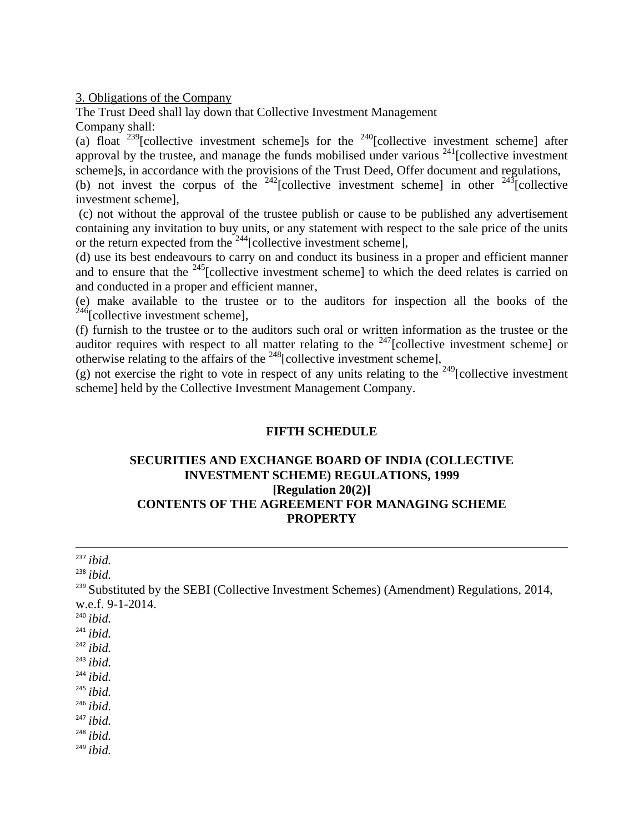3. Obligations of the Company

The Trust Deed shall lay down that Collective Investment Management Company shall:

(a) float  $^{239}$ [collective investment scheme]s for the  $^{240}$ [collective investment scheme] after approval by the trustee, and manage the funds mobilised under various  $^{241}$ [collective investment scheme]s, in accordance with the provisions of the Trust Deed, Offer document and regulations, (b) not invest the corpus of the  $242$ [collective investment scheme] in other  $243$ [collective investment scheme],

 (c) not without the approval of the trustee publish or cause to be published any advertisement containing any invitation to buy units, or any statement with respect to the sale price of the units or the return expected from the  $244$ [collective investment scheme],

(d) use its best endeavours to carry on and conduct its business in a proper and efficient manner and to ensure that the  $^{245}$ [collective investment scheme] to which the deed relates is carried on and conducted in a proper and efficient manner,

(e) make available to the trustee or to the auditors for inspection all the books of the  $^{246}$ [collective investment scheme],

(f) furnish to the trustee or to the auditors such oral or written information as the trustee or the auditor requires with respect to all matter relating to the  $247$ [collective investment scheme] or otherwise relating to the affairs of the  $248$ [collective investment scheme],

(g) not exercise the right to vote in respect of any units relating to the  $249$ [collective investment scheme] held by the Collective Investment Management Company.

### **FIFTH SCHEDULE**

### **SECURITIES AND EXCHANGE BOARD OF INDIA (COLLECTIVE INVESTMENT SCHEME) REGULATIONS, 1999 [Regulation 20(2)] CONTENTS OF THE AGREEMENT FOR MANAGING SCHEME PROPERTY**

| $^{237}$ ibid.                                                                                        |
|-------------------------------------------------------------------------------------------------------|
| $238$ ibid.                                                                                           |
| <sup>239</sup> Substituted by the SEBI (Collective Investment Schemes) (Amendment) Regulations, 2014, |
| w.e.f. 9-1-2014.                                                                                      |
| $240$ ibid.                                                                                           |
| $241$ ibid.                                                                                           |
| $242$ ibid.                                                                                           |
| $243$ ibid.                                                                                           |
| $244$ ibid.                                                                                           |
| $245$ ibid.                                                                                           |
| $246$ ibid.                                                                                           |
| $^{247}$ ibid.                                                                                        |
| $248$ ibid.                                                                                           |
| $^{249}$ ibid.                                                                                        |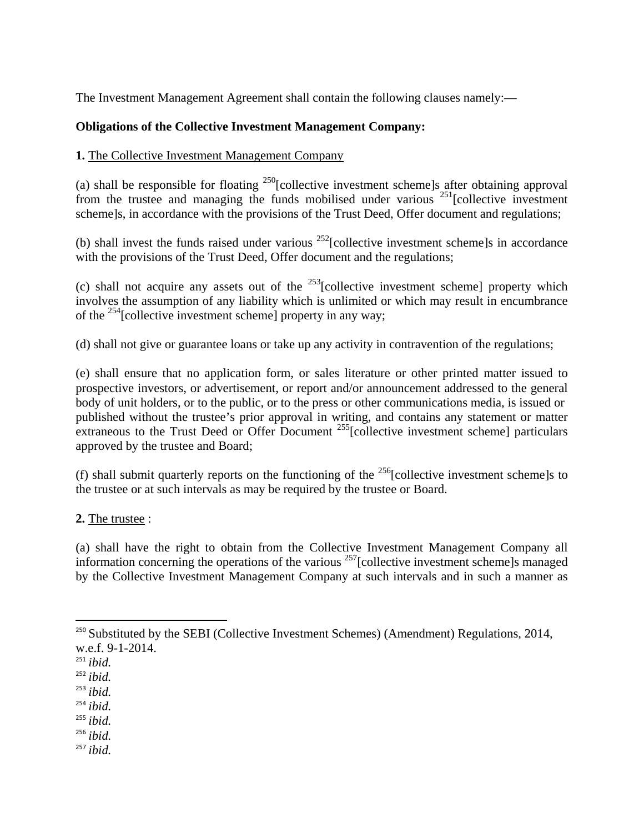The Investment Management Agreement shall contain the following clauses namely:—

### **Obligations of the Collective Investment Management Company:**

### **1.** The Collective Investment Management Company

(a) shall be responsible for floating 250[collective investment scheme]s after obtaining approval from the trustee and managing the funds mobilised under various  $^{251}$ [collective investment] scheme]s, in accordance with the provisions of the Trust Deed, Offer document and regulations;

(b) shall invest the funds raised under various  $^{252}$ [collective investment scheme]s in accordance with the provisions of the Trust Deed, Offer document and the regulations;

(c) shall not acquire any assets out of the  $^{253}$ [collective investment scheme] property which involves the assumption of any liability which is unlimited or which may result in encumbrance of the <sup>254</sup>[collective investment scheme] property in any way:

(d) shall not give or guarantee loans or take up any activity in contravention of the regulations;

(e) shall ensure that no application form, or sales literature or other printed matter issued to prospective investors, or advertisement, or report and/or announcement addressed to the general body of unit holders, or to the public, or to the press or other communications media, is issued or published without the trustee's prior approval in writing, and contains any statement or matter extraneous to the Trust Deed or Offer Document  $^{255}$ [collective investment scheme] particulars approved by the trustee and Board;

(f) shall submit quarterly reports on the functioning of the  $^{256}$ [collective investment scheme]s to the trustee or at such intervals as may be required by the trustee or Board.

**2.** The trustee :

(a) shall have the right to obtain from the Collective Investment Management Company all information concerning the operations of the various  $257$ [collective investment scheme]s managed by the Collective Investment Management Company at such intervals and in such a manner as

- <sup>253</sup> *ibid.*
- <sup>254</sup> *ibid.*
- <sup>255</sup> *ibid.*
- <sup>256</sup> *ibid.*
- <sup>257</sup> *ibid.*

 $250$  Substituted by the SEBI (Collective Investment Schemes) (Amendment) Regulations, 2014, w.e.f. 9-1-2014.

<sup>251</sup> *ibid.*

<sup>252</sup> *ibid.*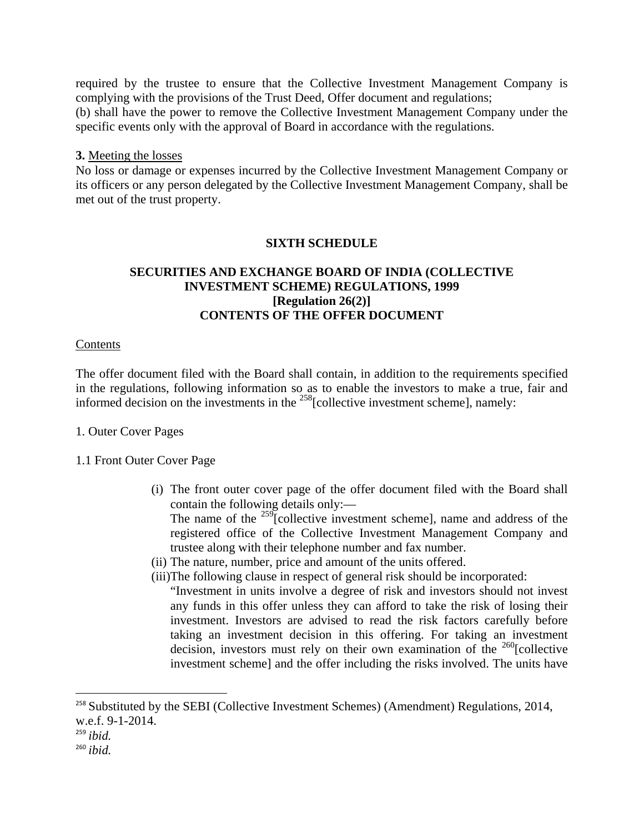required by the trustee to ensure that the Collective Investment Management Company is complying with the provisions of the Trust Deed, Offer document and regulations; (b) shall have the power to remove the Collective Investment Management Company under the specific events only with the approval of Board in accordance with the regulations.

#### **3.** Meeting the losses

No loss or damage or expenses incurred by the Collective Investment Management Company or its officers or any person delegated by the Collective Investment Management Company, shall be met out of the trust property.

### **SIXTH SCHEDULE**

### **SECURITIES AND EXCHANGE BOARD OF INDIA (COLLECTIVE INVESTMENT SCHEME) REGULATIONS, 1999 [Regulation 26(2)] CONTENTS OF THE OFFER DOCUMENT**

#### **Contents**

The offer document filed with the Board shall contain, in addition to the requirements specified in the regulations, following information so as to enable the investors to make a true, fair and informed decision on the investments in the  $^{258}$ [collective investment scheme], namely:

#### 1. Outer Cover Pages

#### 1.1 Front Outer Cover Page

(i) The front outer cover page of the offer document filed with the Board shall contain the following details only:—

The name of the  $^{259}$ [collective investment scheme], name and address of the registered office of the Collective Investment Management Company and trustee along with their telephone number and fax number.

- (ii) The nature, number, price and amount of the units offered.
- (iii)The following clause in respect of general risk should be incorporated:

"Investment in units involve a degree of risk and investors should not invest any funds in this offer unless they can afford to take the risk of losing their investment. Investors are advised to read the risk factors carefully before taking an investment decision in this offering. For taking an investment decision, investors must rely on their own examination of the  $^{260}$ [collective investment scheme] and the offer including the risks involved. The units have

<sup>&</sup>lt;sup>258</sup> Substituted by the SEBI (Collective Investment Schemes) (Amendment) Regulations, 2014, w.e.f. 9-1-2014.

<sup>259</sup> *ibid.*

<sup>260</sup> *ibid.*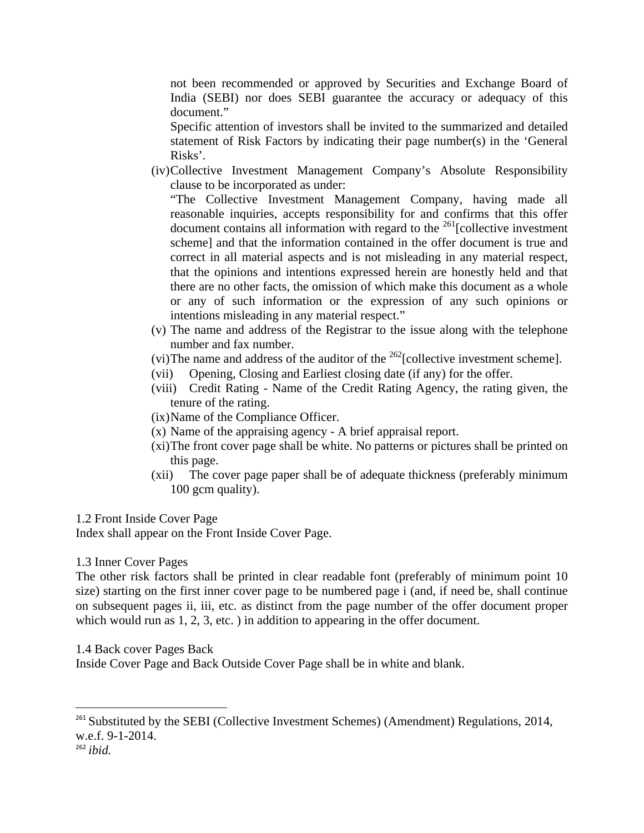not been recommended or approved by Securities and Exchange Board of India (SEBI) nor does SEBI guarantee the accuracy or adequacy of this document."

Specific attention of investors shall be invited to the summarized and detailed statement of Risk Factors by indicating their page number(s) in the 'General Risks'.

(iv)Collective Investment Management Company's Absolute Responsibility clause to be incorporated as under:

"The Collective Investment Management Company, having made all reasonable inquiries, accepts responsibility for and confirms that this offer document contains all information with regard to the  $^{261}$ [collective investment] scheme] and that the information contained in the offer document is true and correct in all material aspects and is not misleading in any material respect, that the opinions and intentions expressed herein are honestly held and that there are no other facts, the omission of which make this document as a whole or any of such information or the expression of any such opinions or intentions misleading in any material respect."

- (v) The name and address of the Registrar to the issue along with the telephone number and fax number.
- (vi)The name and address of the auditor of the  $^{262}$ [collective investment scheme].
- (vii) Opening, Closing and Earliest closing date (if any) for the offer.
- (viii) Credit Rating Name of the Credit Rating Agency, the rating given, the tenure of the rating.

(ix)Name of the Compliance Officer.

- (x) Name of the appraising agency A brief appraisal report.
- (xi)The front cover page shall be white. No patterns or pictures shall be printed on this page.
- (xii) The cover page paper shall be of adequate thickness (preferably minimum 100 gcm quality).

#### 1.2 Front Inside Cover Page

Index shall appear on the Front Inside Cover Page.

#### 1.3 Inner Cover Pages

The other risk factors shall be printed in clear readable font (preferably of minimum point 10 size) starting on the first inner cover page to be numbered page i (and, if need be, shall continue on subsequent pages ii, iii, etc. as distinct from the page number of the offer document proper which would run as 1, 2, 3, etc. ) in addition to appearing in the offer document.

#### 1.4 Back cover Pages Back

Inside Cover Page and Back Outside Cover Page shall be in white and blank.

<sup>&</sup>lt;sup>261</sup> Substituted by the SEBI (Collective Investment Schemes) (Amendment) Regulations, 2014, w.e.f. 9-1-2014.

<sup>262</sup> *ibid.*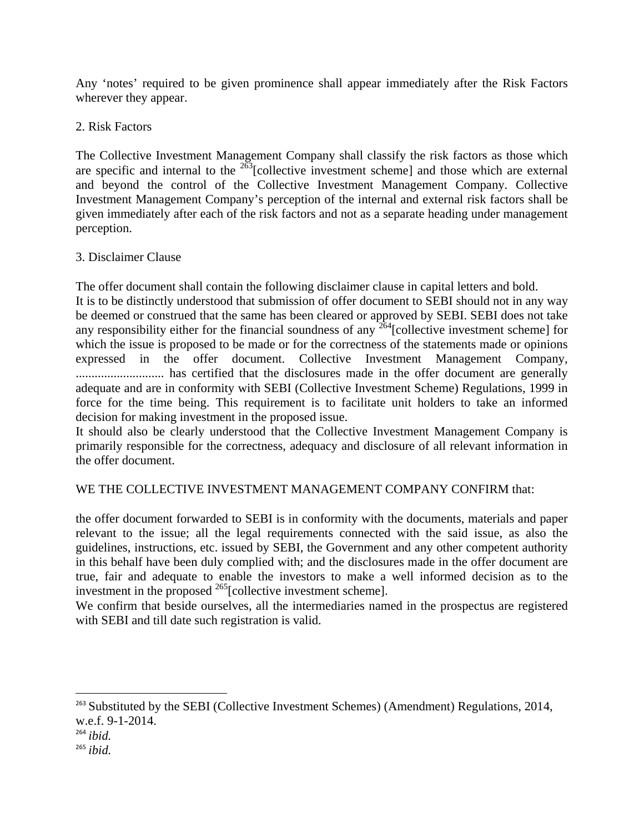Any 'notes' required to be given prominence shall appear immediately after the Risk Factors wherever they appear.

### 2. Risk Factors

The Collective Investment Management Company shall classify the risk factors as those which are specific and internal to the  $263$ [collective investment scheme] and those which are external and beyond the control of the Collective Investment Management Company. Collective Investment Management Company's perception of the internal and external risk factors shall be given immediately after each of the risk factors and not as a separate heading under management perception.

### 3. Disclaimer Clause

The offer document shall contain the following disclaimer clause in capital letters and bold. It is to be distinctly understood that submission of offer document to SEBI should not in any way be deemed or construed that the same has been cleared or approved by SEBI. SEBI does not take any responsibility either for the financial soundness of any  $264$ [collective investment scheme] for which the issue is proposed to be made or for the correctness of the statements made or opinions expressed in the offer document. Collective Investment Management Company, ............................ has certified that the disclosures made in the offer document are generally adequate and are in conformity with SEBI (Collective Investment Scheme) Regulations, 1999 in force for the time being. This requirement is to facilitate unit holders to take an informed decision for making investment in the proposed issue.

It should also be clearly understood that the Collective Investment Management Company is primarily responsible for the correctness, adequacy and disclosure of all relevant information in the offer document.

### WE THE COLLECTIVE INVESTMENT MANAGEMENT COMPANY CONFIRM that:

the offer document forwarded to SEBI is in conformity with the documents, materials and paper relevant to the issue; all the legal requirements connected with the said issue, as also the guidelines, instructions, etc. issued by SEBI, the Government and any other competent authority in this behalf have been duly complied with; and the disclosures made in the offer document are true, fair and adequate to enable the investors to make a well informed decision as to the investment in the proposed 265[collective investment scheme].

We confirm that beside ourselves, all the intermediaries named in the prospectus are registered with SEBI and till date such registration is valid.

<sup>&</sup>lt;sup>263</sup> Substituted by the SEBI (Collective Investment Schemes) (Amendment) Regulations, 2014, w.e.f. 9-1-2014.

<sup>264</sup> *ibid.*

<sup>265</sup> *ibid.*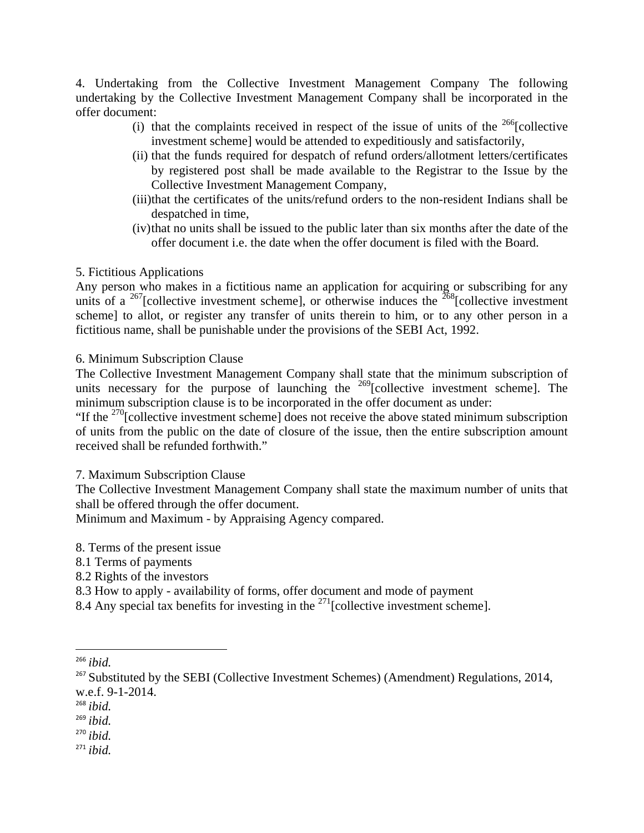4. Undertaking from the Collective Investment Management Company The following undertaking by the Collective Investment Management Company shall be incorporated in the offer document:

- (i) that the complaints received in respect of the issue of units of the  $^{266}$ [collective investment scheme] would be attended to expeditiously and satisfactorily,
- (ii) that the funds required for despatch of refund orders/allotment letters/certificates by registered post shall be made available to the Registrar to the Issue by the Collective Investment Management Company,
- (iii)that the certificates of the units/refund orders to the non-resident Indians shall be despatched in time,
- (iv)that no units shall be issued to the public later than six months after the date of the offer document i.e. the date when the offer document is filed with the Board.

### 5. Fictitious Applications

Any person who makes in a fictitious name an application for acquiring or subscribing for any units of a <sup>267</sup>[collective investment scheme], or otherwise induces the  $268$ [collective investment scheme] to allot, or register any transfer of units therein to him, or to any other person in a fictitious name, shall be punishable under the provisions of the SEBI Act, 1992.

6. Minimum Subscription Clause

The Collective Investment Management Company shall state that the minimum subscription of units necessary for the purpose of launching the <sup>269</sup>[collective investment scheme]. The minimum subscription clause is to be incorporated in the offer document as under:

"If the  $^{270}$ [collective investment scheme] does not receive the above stated minimum subscription of units from the public on the date of closure of the issue, then the entire subscription amount received shall be refunded forthwith."

7. Maximum Subscription Clause

The Collective Investment Management Company shall state the maximum number of units that shall be offered through the offer document.

Minimum and Maximum - by Appraising Agency compared.

- 8. Terms of the present issue
- 8.1 Terms of payments
- 8.2 Rights of the investors

- 8.3 How to apply availability of forms, offer document and mode of payment
- 8.4 Any special tax benefits for investing in the  $^{271}$ [collective investment scheme].

- <sup>268</sup> *ibid.*
- <sup>269</sup> *ibid.*

<sup>270</sup> *ibid.*

<sup>266</sup> *ibid.*

<sup>&</sup>lt;sup>267</sup> Substituted by the SEBI (Collective Investment Schemes) (Amendment) Regulations, 2014, w.e.f. 9-1-2014.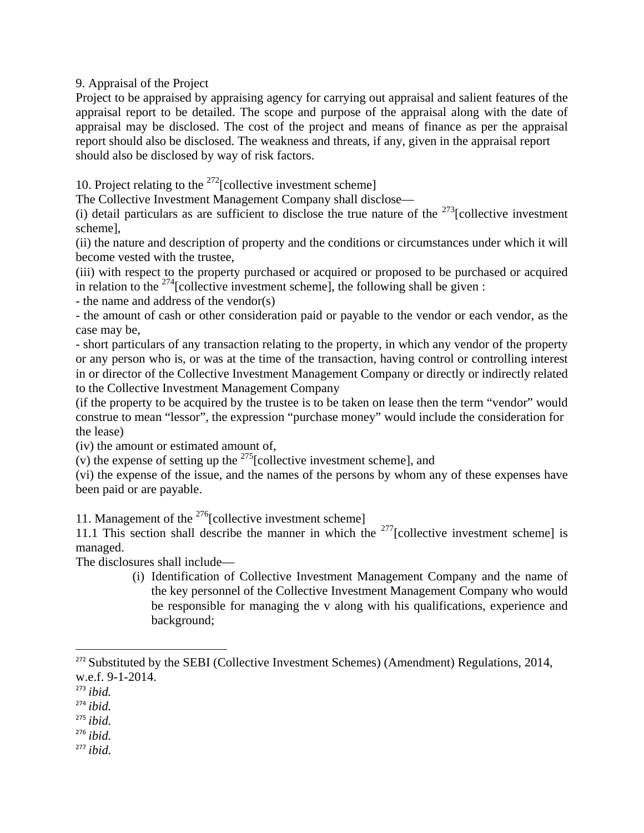9. Appraisal of the Project

Project to be appraised by appraising agency for carrying out appraisal and salient features of the appraisal report to be detailed. The scope and purpose of the appraisal along with the date of appraisal may be disclosed. The cost of the project and means of finance as per the appraisal report should also be disclosed. The weakness and threats, if any, given in the appraisal report should also be disclosed by way of risk factors.

10. Project relating to the  $^{272}$ [collective investment scheme]

The Collective Investment Management Company shall disclose—

(i) detail particulars as are sufficient to disclose the true nature of the  $^{273}$ [collective investment scheme],

(ii) the nature and description of property and the conditions or circumstances under which it will become vested with the trustee,

(iii) with respect to the property purchased or acquired or proposed to be purchased or acquired in relation to the  $^{274}$ [collective investment scheme], the following shall be given :

- the name and address of the vendor(s)

- the amount of cash or other consideration paid or payable to the vendor or each vendor, as the case may be,

- short particulars of any transaction relating to the property, in which any vendor of the property or any person who is, or was at the time of the transaction, having control or controlling interest in or director of the Collective Investment Management Company or directly or indirectly related to the Collective Investment Management Company

(if the property to be acquired by the trustee is to be taken on lease then the term "vendor" would construe to mean "lessor", the expression "purchase money" would include the consideration for the lease)

(iv) the amount or estimated amount of,

(v) the expense of setting up the  $^{275}$ [collective investment scheme], and

(vi) the expense of the issue, and the names of the persons by whom any of these expenses have been paid or are payable.

11. Management of the  $^{276}$ [collective investment scheme]

11.1 This section shall describe the manner in which the  $277$ [collective investment scheme] is managed.

The disclosures shall include—

(i) Identification of Collective Investment Management Company and the name of the key personnel of the Collective Investment Management Company who would be responsible for managing the v along with his qualifications, experience and background;

<sup>276</sup> *ibid.*

<sup>&</sup>lt;sup>272</sup> Substituted by the SEBI (Collective Investment Schemes) (Amendment) Regulations, 2014, w.e.f. 9-1-2014.

<sup>273</sup> *ibid.*

<sup>274</sup> *ibid.*

<sup>275</sup> *ibid.*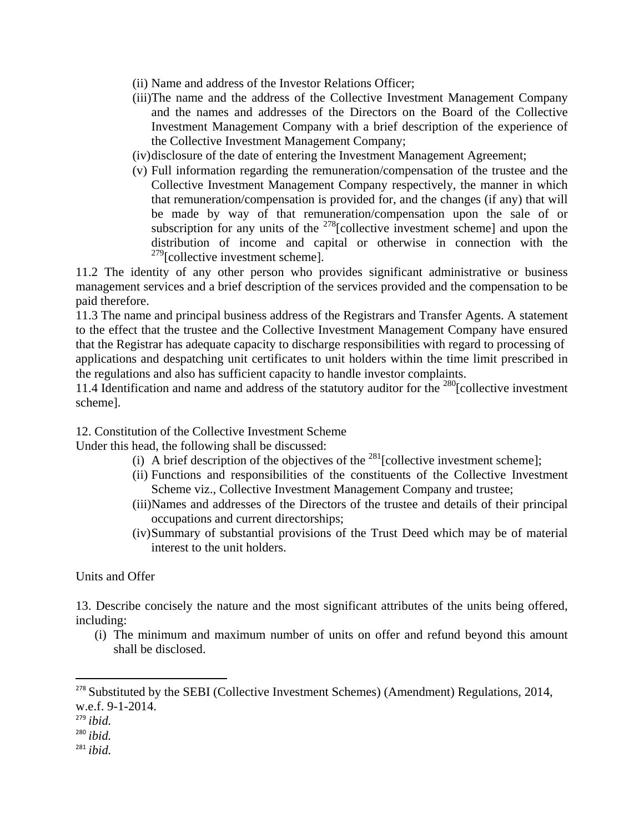- (ii) Name and address of the Investor Relations Officer;
- (iii)The name and the address of the Collective Investment Management Company and the names and addresses of the Directors on the Board of the Collective Investment Management Company with a brief description of the experience of the Collective Investment Management Company;
- (iv)disclosure of the date of entering the Investment Management Agreement;
- (v) Full information regarding the remuneration/compensation of the trustee and the Collective Investment Management Company respectively, the manner in which that remuneration/compensation is provided for, and the changes (if any) that will be made by way of that remuneration/compensation upon the sale of or subscription for any units of the  $278$ [collective investment scheme] and upon the distribution of income and capital or otherwise in connection with the  $279$ [collective investment scheme].

11.2 The identity of any other person who provides significant administrative or business management services and a brief description of the services provided and the compensation to be paid therefore.

11.3 The name and principal business address of the Registrars and Transfer Agents. A statement to the effect that the trustee and the Collective Investment Management Company have ensured that the Registrar has adequate capacity to discharge responsibilities with regard to processing of applications and despatching unit certificates to unit holders within the time limit prescribed in the regulations and also has sufficient capacity to handle investor complaints.

11.4 Identification and name and address of the statutory auditor for the <sup>280</sup>[collective investment scheme].

12. Constitution of the Collective Investment Scheme

Under this head, the following shall be discussed:

- (i) A brief description of the objectives of the  $^{281}$ [collective investment scheme];
- (ii) Functions and responsibilities of the constituents of the Collective Investment Scheme viz., Collective Investment Management Company and trustee;
- (iii)Names and addresses of the Directors of the trustee and details of their principal occupations and current directorships;
- (iv)Summary of substantial provisions of the Trust Deed which may be of material interest to the unit holders.

Units and Offer

13. Describe concisely the nature and the most significant attributes of the units being offered, including:

(i) The minimum and maximum number of units on offer and refund beyond this amount shall be disclosed.

- <sup>280</sup> *ibid.*
- <sup>281</sup> *ibid.*

<sup>&</sup>lt;sup>278</sup> Substituted by the SEBI (Collective Investment Schemes) (Amendment) Regulations, 2014, w.e.f. 9-1-2014.

<sup>279</sup> *ibid.*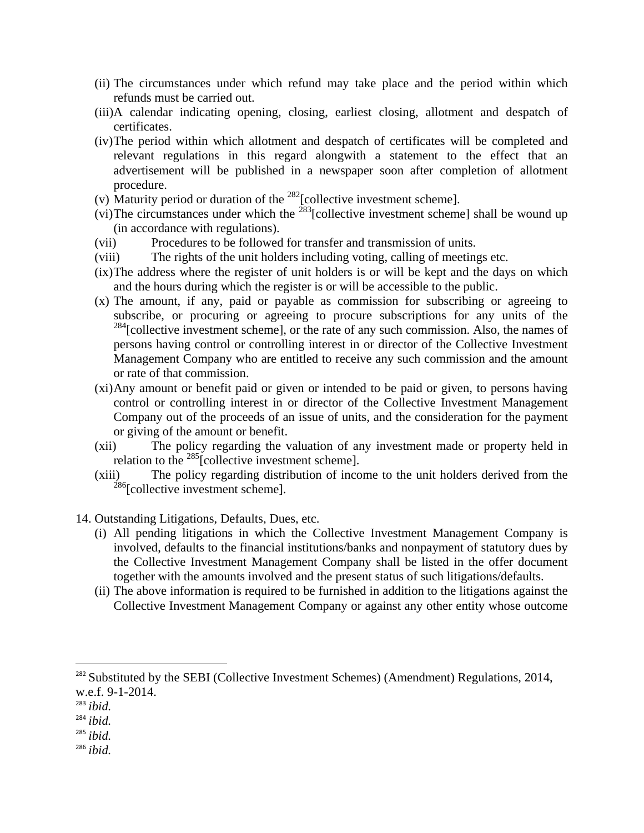- (ii) The circumstances under which refund may take place and the period within which refunds must be carried out.
- (iii)A calendar indicating opening, closing, earliest closing, allotment and despatch of certificates.
- (iv)The period within which allotment and despatch of certificates will be completed and relevant regulations in this regard alongwith a statement to the effect that an advertisement will be published in a newspaper soon after completion of allotment procedure.
- (v) Maturity period or duration of the  $^{282}$ [collective investment scheme].
- (vi)The circumstances under which the  $^{283}$ [collective investment scheme] shall be wound up (in accordance with regulations).
- (vii) Procedures to be followed for transfer and transmission of units.
- (viii) The rights of the unit holders including voting, calling of meetings etc.
- (ix)The address where the register of unit holders is or will be kept and the days on which and the hours during which the register is or will be accessible to the public.
- (x) The amount, if any, paid or payable as commission for subscribing or agreeing to subscribe, or procuring or agreeing to procure subscriptions for any units of the  $284$ [collective investment scheme], or the rate of any such commission. Also, the names of persons having control or controlling interest in or director of the Collective Investment Management Company who are entitled to receive any such commission and the amount or rate of that commission.
- (xi)Any amount or benefit paid or given or intended to be paid or given, to persons having control or controlling interest in or director of the Collective Investment Management Company out of the proceeds of an issue of units, and the consideration for the payment or giving of the amount or benefit.
- (xii) The policy regarding the valuation of any investment made or property held in relation to the  $^{285}$ [collective investment scheme].
- (xiii) The policy regarding distribution of income to the unit holders derived from the  $286$ [collective investment scheme].
- 14. Outstanding Litigations, Defaults, Dues, etc.
	- (i) All pending litigations in which the Collective Investment Management Company is involved, defaults to the financial institutions/banks and nonpayment of statutory dues by the Collective Investment Management Company shall be listed in the offer document together with the amounts involved and the present status of such litigations/defaults.
	- (ii) The above information is required to be furnished in addition to the litigations against the Collective Investment Management Company or against any other entity whose outcome

<sup>283</sup> *ibid.*

- <sup>284</sup> *ibid.*
- <sup>285</sup> *ibid.*
- <sup>286</sup> *ibid.*

<sup>&</sup>lt;sup>282</sup> Substituted by the SEBI (Collective Investment Schemes) (Amendment) Regulations, 2014, w.e.f. 9-1-2014.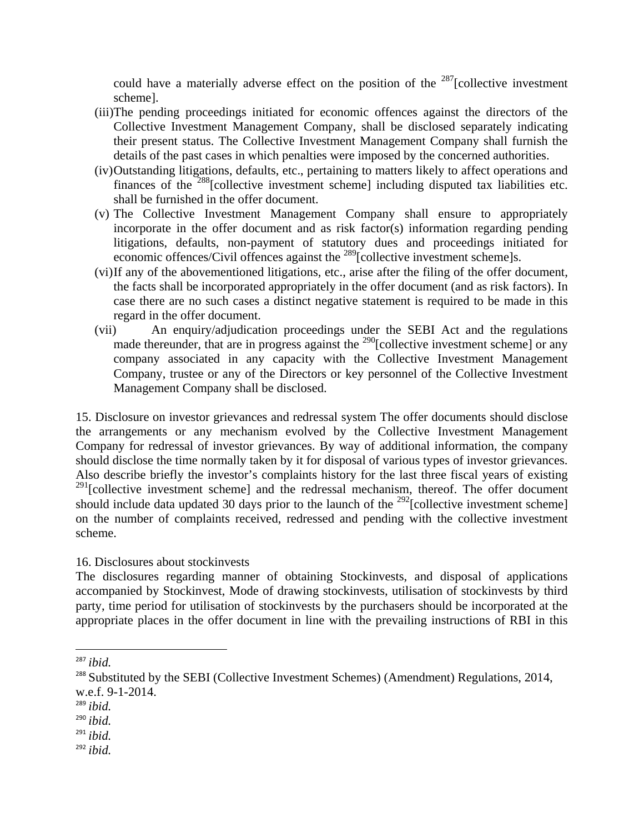could have a materially adverse effect on the position of the  $287$ [collective investment scheme].

- (iii)The pending proceedings initiated for economic offences against the directors of the Collective Investment Management Company, shall be disclosed separately indicating their present status. The Collective Investment Management Company shall furnish the details of the past cases in which penalties were imposed by the concerned authorities.
- (iv)Outstanding litigations, defaults, etc., pertaining to matters likely to affect operations and finances of the <sup>288</sup>[collective investment scheme] including disputed tax liabilities etc. shall be furnished in the offer document.
- (v) The Collective Investment Management Company shall ensure to appropriately incorporate in the offer document and as risk factor(s) information regarding pending litigations, defaults, non-payment of statutory dues and proceedings initiated for economic offences/Civil offences against the <sup>289</sup>[collective investment scheme]s.
- (vi)If any of the abovementioned litigations, etc., arise after the filing of the offer document, the facts shall be incorporated appropriately in the offer document (and as risk factors). In case there are no such cases a distinct negative statement is required to be made in this regard in the offer document.
- (vii) An enquiry/adjudication proceedings under the SEBI Act and the regulations made thereunder, that are in progress against the  $^{290}$ [collective investment scheme] or any company associated in any capacity with the Collective Investment Management Company, trustee or any of the Directors or key personnel of the Collective Investment Management Company shall be disclosed.

15. Disclosure on investor grievances and redressal system The offer documents should disclose the arrangements or any mechanism evolved by the Collective Investment Management Company for redressal of investor grievances. By way of additional information, the company should disclose the time normally taken by it for disposal of various types of investor grievances. Also describe briefly the investor's complaints history for the last three fiscal years of existing  $291$ [collective investment scheme] and the redressal mechanism, thereof. The offer document should include data updated 30 days prior to the launch of the <sup>292</sup>[collective investment scheme] on the number of complaints received, redressed and pending with the collective investment scheme.

#### 16. Disclosures about stockinvests

The disclosures regarding manner of obtaining Stockinvests, and disposal of applications accompanied by Stockinvest, Mode of drawing stockinvests, utilisation of stockinvests by third party, time period for utilisation of stockinvests by the purchasers should be incorporated at the appropriate places in the offer document in line with the prevailing instructions of RBI in this

<sup>289</sup> *ibid.*

<sup>291</sup> *ibid.*

<sup>287</sup> *ibid.*

<sup>&</sup>lt;sup>288</sup> Substituted by the SEBI (Collective Investment Schemes) (Amendment) Regulations, 2014, w.e.f. 9-1-2014.

<sup>290</sup> *ibid.*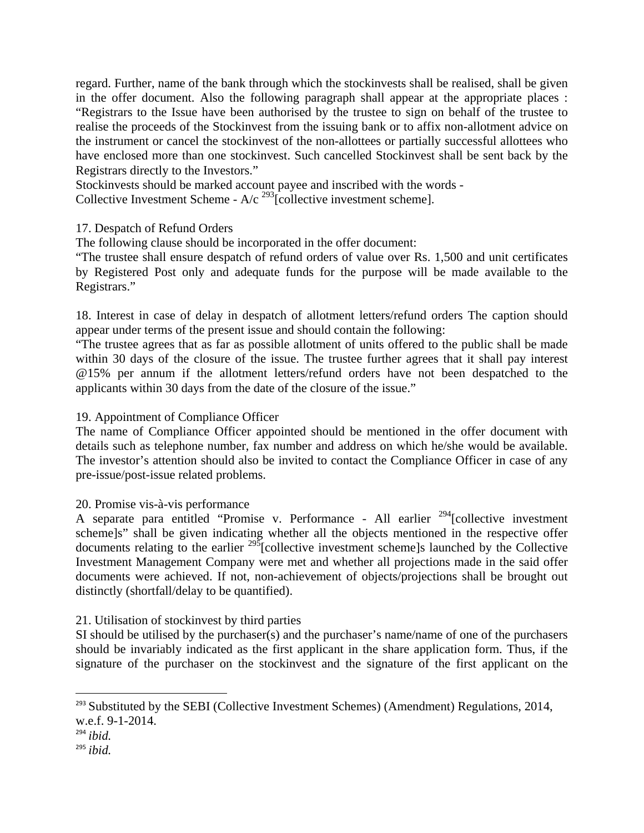regard. Further, name of the bank through which the stockinvests shall be realised, shall be given in the offer document. Also the following paragraph shall appear at the appropriate places : "Registrars to the Issue have been authorised by the trustee to sign on behalf of the trustee to realise the proceeds of the Stockinvest from the issuing bank or to affix non-allotment advice on the instrument or cancel the stockinvest of the non-allottees or partially successful allottees who have enclosed more than one stockinvest. Such cancelled Stockinvest shall be sent back by the Registrars directly to the Investors."

Stockinvests should be marked account payee and inscribed with the words - Collective Investment Scheme -  $A/c^{293}$ [collective investment scheme].

### 17. Despatch of Refund Orders

The following clause should be incorporated in the offer document:

"The trustee shall ensure despatch of refund orders of value over Rs. 1,500 and unit certificates by Registered Post only and adequate funds for the purpose will be made available to the Registrars."

18. Interest in case of delay in despatch of allotment letters/refund orders The caption should appear under terms of the present issue and should contain the following:

"The trustee agrees that as far as possible allotment of units offered to the public shall be made within 30 days of the closure of the issue. The trustee further agrees that it shall pay interest @15% per annum if the allotment letters/refund orders have not been despatched to the applicants within 30 days from the date of the closure of the issue."

#### 19. Appointment of Compliance Officer

The name of Compliance Officer appointed should be mentioned in the offer document with details such as telephone number, fax number and address on which he/she would be available. The investor's attention should also be invited to contact the Compliance Officer in case of any pre-issue/post-issue related problems.

#### 20. Promise vis-à-vis performance

A separate para entitled "Promise v. Performance - All earlier <sup>294</sup>[collective investment scheme]s" shall be given indicating whether all the objects mentioned in the respective offer documents relating to the earlier  $^{295}$ [collective investment scheme]s launched by the Collective Investment Management Company were met and whether all projections made in the said offer documents were achieved. If not, non-achievement of objects/projections shall be brought out distinctly (shortfall/delay to be quantified).

#### 21. Utilisation of stockinvest by third parties

SI should be utilised by the purchaser(s) and the purchaser's name/name of one of the purchasers should be invariably indicated as the first applicant in the share application form. Thus, if the signature of the purchaser on the stockinvest and the signature of the first applicant on the

<sup>&</sup>lt;sup>293</sup> Substituted by the SEBI (Collective Investment Schemes) (Amendment) Regulations, 2014, w.e.f. 9-1-2014.

<sup>294</sup> *ibid.*

<sup>295</sup> *ibid.*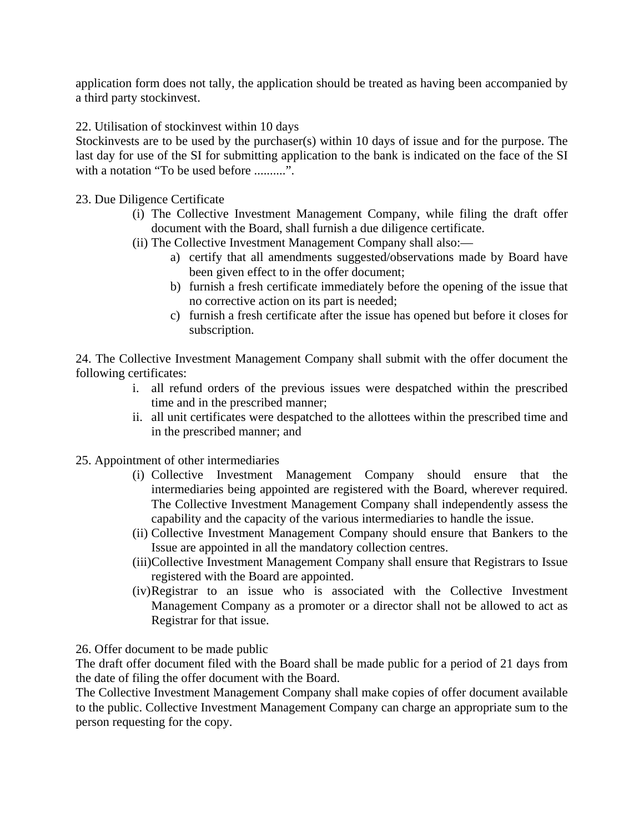application form does not tally, the application should be treated as having been accompanied by a third party stockinvest.

22. Utilisation of stockinvest within 10 days

Stockinvests are to be used by the purchaser(s) within 10 days of issue and for the purpose. The last day for use of the SI for submitting application to the bank is indicated on the face of the SI with a notation "To be used before .........".

23. Due Diligence Certificate

- (i) The Collective Investment Management Company, while filing the draft offer document with the Board, shall furnish a due diligence certificate.
- (ii) The Collective Investment Management Company shall also:
	- a) certify that all amendments suggested/observations made by Board have been given effect to in the offer document;
	- b) furnish a fresh certificate immediately before the opening of the issue that no corrective action on its part is needed;
	- c) furnish a fresh certificate after the issue has opened but before it closes for subscription.

24. The Collective Investment Management Company shall submit with the offer document the following certificates:

- i. all refund orders of the previous issues were despatched within the prescribed time and in the prescribed manner;
- ii. all unit certificates were despatched to the allottees within the prescribed time and in the prescribed manner; and
- 25. Appointment of other intermediaries
	- (i) Collective Investment Management Company should ensure that the intermediaries being appointed are registered with the Board, wherever required. The Collective Investment Management Company shall independently assess the capability and the capacity of the various intermediaries to handle the issue.
	- (ii) Collective Investment Management Company should ensure that Bankers to the Issue are appointed in all the mandatory collection centres.
	- (iii)Collective Investment Management Company shall ensure that Registrars to Issue registered with the Board are appointed.
	- (iv)Registrar to an issue who is associated with the Collective Investment Management Company as a promoter or a director shall not be allowed to act as Registrar for that issue.

26. Offer document to be made public

The draft offer document filed with the Board shall be made public for a period of 21 days from the date of filing the offer document with the Board.

The Collective Investment Management Company shall make copies of offer document available to the public. Collective Investment Management Company can charge an appropriate sum to the person requesting for the copy.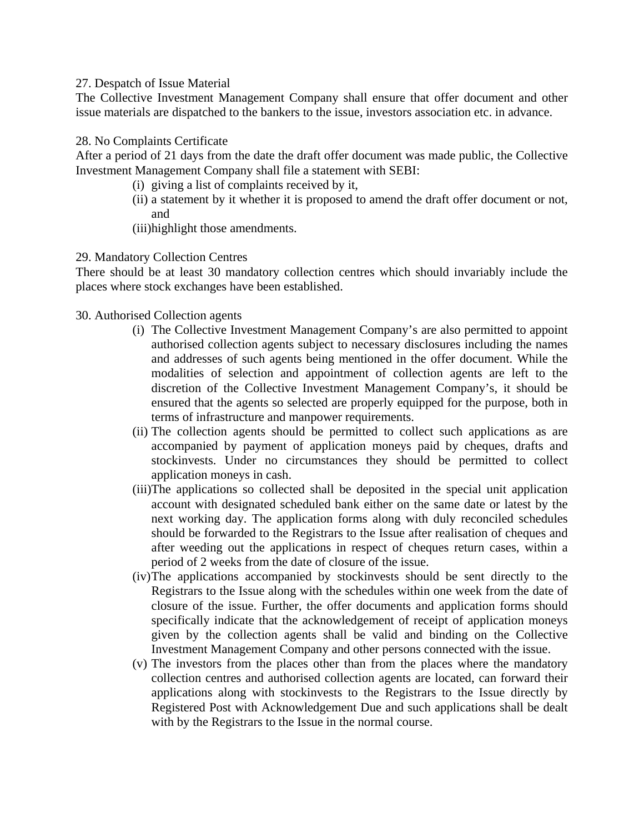#### 27. Despatch of Issue Material

The Collective Investment Management Company shall ensure that offer document and other issue materials are dispatched to the bankers to the issue, investors association etc. in advance.

#### 28. No Complaints Certificate

After a period of 21 days from the date the draft offer document was made public, the Collective Investment Management Company shall file a statement with SEBI:

- (i) giving a list of complaints received by it,
- (ii) a statement by it whether it is proposed to amend the draft offer document or not, and
- (iii)highlight those amendments.

#### 29. Mandatory Collection Centres

There should be at least 30 mandatory collection centres which should invariably include the places where stock exchanges have been established.

#### 30. Authorised Collection agents

- (i) The Collective Investment Management Company's are also permitted to appoint authorised collection agents subject to necessary disclosures including the names and addresses of such agents being mentioned in the offer document. While the modalities of selection and appointment of collection agents are left to the discretion of the Collective Investment Management Company's, it should be ensured that the agents so selected are properly equipped for the purpose, both in terms of infrastructure and manpower requirements.
- (ii) The collection agents should be permitted to collect such applications as are accompanied by payment of application moneys paid by cheques, drafts and stockinvests. Under no circumstances they should be permitted to collect application moneys in cash.
- (iii)The applications so collected shall be deposited in the special unit application account with designated scheduled bank either on the same date or latest by the next working day. The application forms along with duly reconciled schedules should be forwarded to the Registrars to the Issue after realisation of cheques and after weeding out the applications in respect of cheques return cases, within a period of 2 weeks from the date of closure of the issue.
- (iv)The applications accompanied by stockinvests should be sent directly to the Registrars to the Issue along with the schedules within one week from the date of closure of the issue. Further, the offer documents and application forms should specifically indicate that the acknowledgement of receipt of application moneys given by the collection agents shall be valid and binding on the Collective Investment Management Company and other persons connected with the issue.
- (v) The investors from the places other than from the places where the mandatory collection centres and authorised collection agents are located, can forward their applications along with stockinvests to the Registrars to the Issue directly by Registered Post with Acknowledgement Due and such applications shall be dealt with by the Registrars to the Issue in the normal course.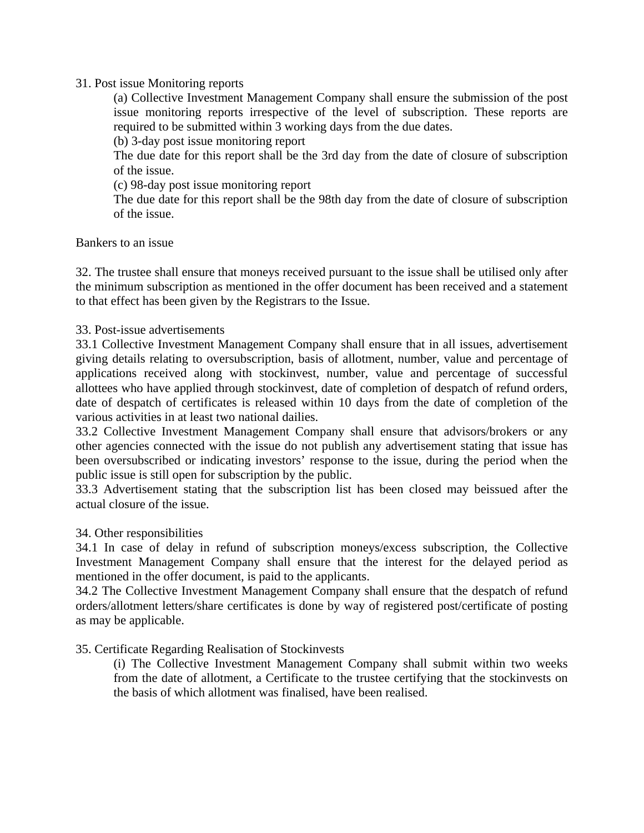#### 31. Post issue Monitoring reports

(a) Collective Investment Management Company shall ensure the submission of the post issue monitoring reports irrespective of the level of subscription. These reports are required to be submitted within 3 working days from the due dates.

(b) 3-day post issue monitoring report

The due date for this report shall be the 3rd day from the date of closure of subscription of the issue.

(c) 98-day post issue monitoring report

The due date for this report shall be the 98th day from the date of closure of subscription of the issue.

Bankers to an issue

32. The trustee shall ensure that moneys received pursuant to the issue shall be utilised only after the minimum subscription as mentioned in the offer document has been received and a statement to that effect has been given by the Registrars to the Issue.

#### 33. Post-issue advertisements

33.1 Collective Investment Management Company shall ensure that in all issues, advertisement giving details relating to oversubscription, basis of allotment, number, value and percentage of applications received along with stockinvest, number, value and percentage of successful allottees who have applied through stockinvest, date of completion of despatch of refund orders, date of despatch of certificates is released within 10 days from the date of completion of the various activities in at least two national dailies.

33.2 Collective Investment Management Company shall ensure that advisors/brokers or any other agencies connected with the issue do not publish any advertisement stating that issue has been oversubscribed or indicating investors' response to the issue, during the period when the public issue is still open for subscription by the public.

33.3 Advertisement stating that the subscription list has been closed may beissued after the actual closure of the issue.

#### 34. Other responsibilities

34.1 In case of delay in refund of subscription moneys/excess subscription, the Collective Investment Management Company shall ensure that the interest for the delayed period as mentioned in the offer document, is paid to the applicants.

34.2 The Collective Investment Management Company shall ensure that the despatch of refund orders/allotment letters/share certificates is done by way of registered post/certificate of posting as may be applicable.

#### 35. Certificate Regarding Realisation of Stockinvests

(i) The Collective Investment Management Company shall submit within two weeks from the date of allotment, a Certificate to the trustee certifying that the stockinvests on the basis of which allotment was finalised, have been realised.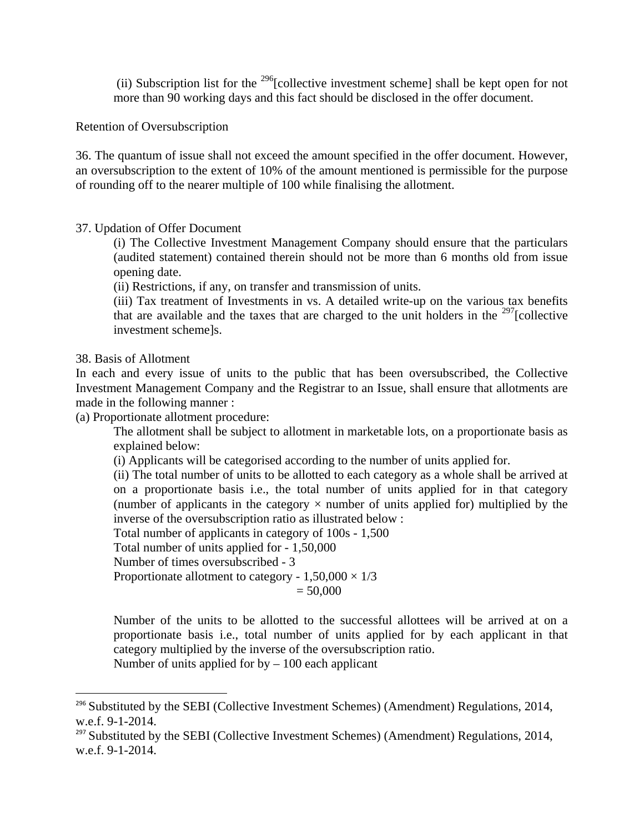(ii) Subscription list for the 296[collective investment scheme] shall be kept open for not more than 90 working days and this fact should be disclosed in the offer document.

Retention of Oversubscription

36. The quantum of issue shall not exceed the amount specified in the offer document. However, an oversubscription to the extent of 10% of the amount mentioned is permissible for the purpose of rounding off to the nearer multiple of 100 while finalising the allotment.

### 37. Updation of Offer Document

(i) The Collective Investment Management Company should ensure that the particulars (audited statement) contained therein should not be more than 6 months old from issue opening date.

(ii) Restrictions, if any, on transfer and transmission of units.

(iii) Tax treatment of Investments in vs. A detailed write-up on the various tax benefits that are available and the taxes that are charged to the unit holders in the  $^{297}$ [collective investment scheme]s.

#### 38. Basis of Allotment

In each and every issue of units to the public that has been oversubscribed, the Collective Investment Management Company and the Registrar to an Issue, shall ensure that allotments are made in the following manner :

(a) Proportionate allotment procedure:

The allotment shall be subject to allotment in marketable lots, on a proportionate basis as explained below:

(i) Applicants will be categorised according to the number of units applied for.

(ii) The total number of units to be allotted to each category as a whole shall be arrived at on a proportionate basis i.e., the total number of units applied for in that category (number of applicants in the category  $\times$  number of units applied for) multiplied by the inverse of the oversubscription ratio as illustrated below :

Total number of applicants in category of 100s - 1,500

Total number of units applied for - 1,50,000

Number of times oversubscribed - 3

Proportionate allotment to category -  $1,50,000 \times 1/3$ 

 $= 50,000$ 

Number of the units to be allotted to the successful allottees will be arrived at on a proportionate basis i.e., total number of units applied for by each applicant in that category multiplied by the inverse of the oversubscription ratio.

Number of units applied for  $by - 100$  each applicant

<sup>&</sup>lt;sup>296</sup> Substituted by the SEBI (Collective Investment Schemes) (Amendment) Regulations, 2014, w.e.f. 9-1-2014.

 $297$  Substituted by the SEBI (Collective Investment Schemes) (Amendment) Regulations, 2014, w.e.f. 9-1-2014.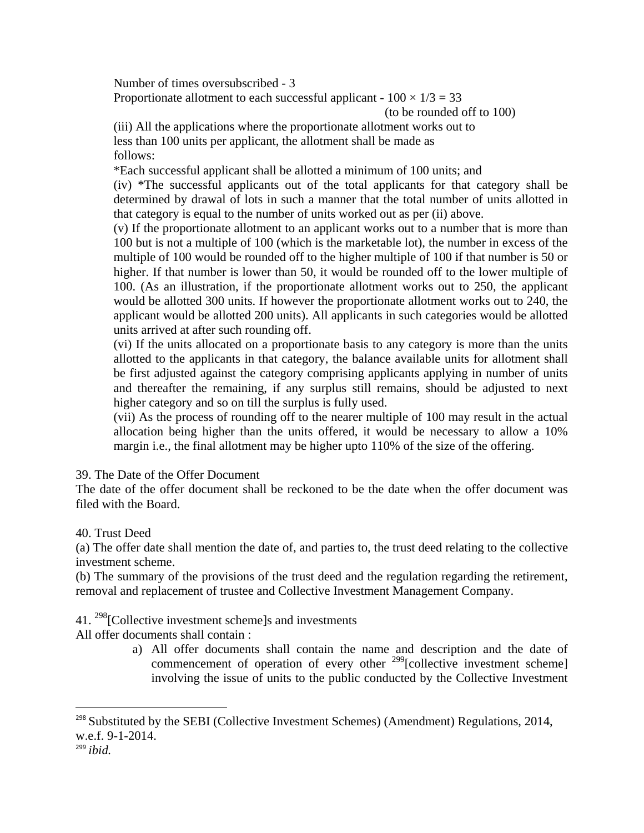Number of times oversubscribed - 3

Proportionate allotment to each successful applicant -  $100 \times 1/3 = 33$ 

(to be rounded off to 100)

(iii) All the applications where the proportionate allotment works out to less than 100 units per applicant, the allotment shall be made as follows:

\*Each successful applicant shall be allotted a minimum of 100 units; and

(iv) \*The successful applicants out of the total applicants for that category shall be determined by drawal of lots in such a manner that the total number of units allotted in that category is equal to the number of units worked out as per (ii) above.

(v) If the proportionate allotment to an applicant works out to a number that is more than 100 but is not a multiple of 100 (which is the marketable lot), the number in excess of the multiple of 100 would be rounded off to the higher multiple of 100 if that number is 50 or higher. If that number is lower than 50, it would be rounded off to the lower multiple of 100. (As an illustration, if the proportionate allotment works out to 250, the applicant would be allotted 300 units. If however the proportionate allotment works out to 240, the applicant would be allotted 200 units). All applicants in such categories would be allotted units arrived at after such rounding off.

(vi) If the units allocated on a proportionate basis to any category is more than the units allotted to the applicants in that category, the balance available units for allotment shall be first adjusted against the category comprising applicants applying in number of units and thereafter the remaining, if any surplus still remains, should be adjusted to next higher category and so on till the surplus is fully used.

(vii) As the process of rounding off to the nearer multiple of 100 may result in the actual allocation being higher than the units offered, it would be necessary to allow a 10% margin i.e., the final allotment may be higher upto 110% of the size of the offering.

39. The Date of the Offer Document

The date of the offer document shall be reckoned to be the date when the offer document was filed with the Board.

40. Trust Deed

(a) The offer date shall mention the date of, and parties to, the trust deed relating to the collective investment scheme.

(b) The summary of the provisions of the trust deed and the regulation regarding the retirement, removal and replacement of trustee and Collective Investment Management Company.

41. <sup>298</sup>[Collective investment scheme]s and investments

All offer documents shall contain :

a) All offer documents shall contain the name and description and the date of commencement of operation of every other  $^{299}$ [collective investment scheme] involving the issue of units to the public conducted by the Collective Investment

 $298$  Substituted by the SEBI (Collective Investment Schemes) (Amendment) Regulations, 2014, w.e.f. 9-1-2014.

<sup>299</sup> *ibid.*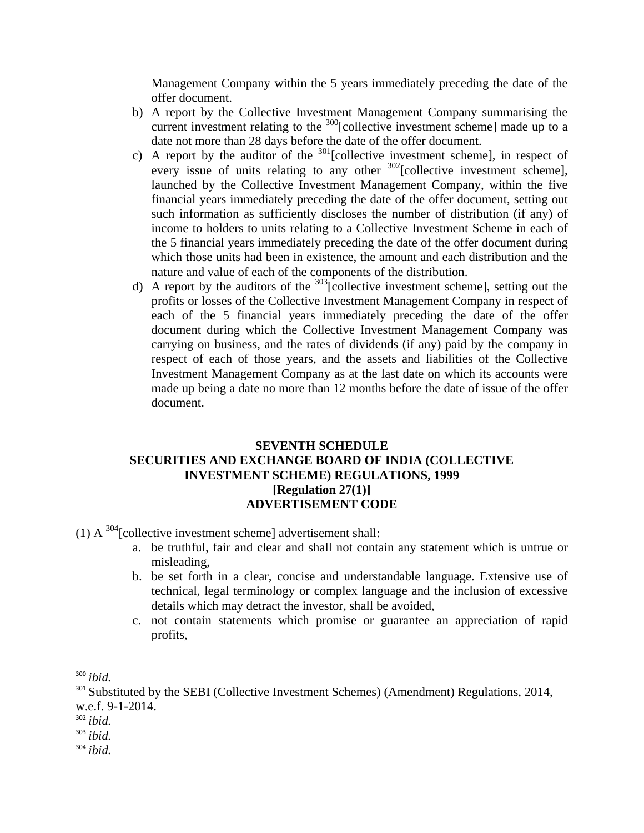Management Company within the 5 years immediately preceding the date of the offer document.

- b) A report by the Collective Investment Management Company summarising the current investment relating to the <sup>300</sup>[collective investment scheme] made up to a date not more than 28 days before the date of the offer document.
- c) A report by the auditor of the  $301$  [collective investment scheme], in respect of every issue of units relating to any other  $302$ [collective investment scheme], launched by the Collective Investment Management Company, within the five financial years immediately preceding the date of the offer document, setting out such information as sufficiently discloses the number of distribution (if any) of income to holders to units relating to a Collective Investment Scheme in each of the 5 financial years immediately preceding the date of the offer document during which those units had been in existence, the amount and each distribution and the nature and value of each of the components of the distribution.
- d) A report by the auditors of the  $303$  collective investment scheme], setting out the profits or losses of the Collective Investment Management Company in respect of each of the 5 financial years immediately preceding the date of the offer document during which the Collective Investment Management Company was carrying on business, and the rates of dividends (if any) paid by the company in respect of each of those years, and the assets and liabilities of the Collective Investment Management Company as at the last date on which its accounts were made up being a date no more than 12 months before the date of issue of the offer document.

#### **SEVENTH SCHEDULE SECURITIES AND EXCHANGE BOARD OF INDIA (COLLECTIVE INVESTMENT SCHEME) REGULATIONS, 1999 [Regulation 27(1)] ADVERTISEMENT CODE**

(1) A  $^{304}$ [collective investment scheme] advertisement shall:

- a. be truthful, fair and clear and shall not contain any statement which is untrue or misleading,
- b. be set forth in a clear, concise and understandable language. Extensive use of technical, legal terminology or complex language and the inclusion of excessive details which may detract the investor, shall be avoided,
- c. not contain statements which promise or guarantee an appreciation of rapid profits,

<sup>300</sup> *ibid.*

<sup>&</sup>lt;sup>301</sup> Substituted by the SEBI (Collective Investment Schemes) (Amendment) Regulations, 2014, w.e.f. 9-1-2014.

<sup>302</sup> *ibid.*

<sup>303</sup> *ibid.*

<sup>304</sup> *ibid.*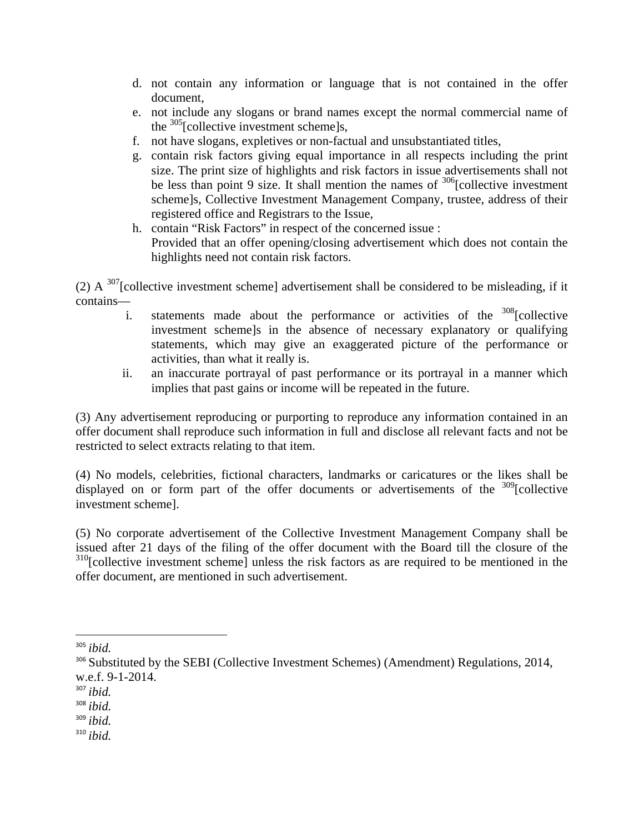- d. not contain any information or language that is not contained in the offer document,
- e. not include any slogans or brand names except the normal commercial name of the  $305$ [collective investment scheme]s,
- f. not have slogans, expletives or non-factual and unsubstantiated titles,
- g. contain risk factors giving equal importance in all respects including the print size. The print size of highlights and risk factors in issue advertisements shall not be less than point 9 size. It shall mention the names of  $306$ [collective investment] scheme]s, Collective Investment Management Company, trustee, address of their registered office and Registrars to the Issue,
- h. contain "Risk Factors" in respect of the concerned issue : Provided that an offer opening/closing advertisement which does not contain the highlights need not contain risk factors.

(2) A  $^{307}$ [collective investment scheme] advertisement shall be considered to be misleading, if it contains—

- i. statements made about the performance or activities of the  $308$ [collective investment scheme]s in the absence of necessary explanatory or qualifying statements, which may give an exaggerated picture of the performance or activities, than what it really is.
- ii. an inaccurate portrayal of past performance or its portrayal in a manner which implies that past gains or income will be repeated in the future.

(3) Any advertisement reproducing or purporting to reproduce any information contained in an offer document shall reproduce such information in full and disclose all relevant facts and not be restricted to select extracts relating to that item.

(4) No models, celebrities, fictional characters, landmarks or caricatures or the likes shall be displayed on or form part of the offer documents or advertisements of the  $309$ [collective investment scheme].

(5) No corporate advertisement of the Collective Investment Management Company shall be issued after 21 days of the filing of the offer document with the Board till the closure of the <sup>310</sup>[collective investment scheme] unless the risk factors as are required to be mentioned in the offer document, are mentioned in such advertisement.

<sup>305</sup> *ibid.*

<sup>&</sup>lt;sup>306</sup> Substituted by the SEBI (Collective Investment Schemes) (Amendment) Regulations, 2014, w.e.f. 9-1-2014.

<sup>307</sup> *ibid.*

<sup>308</sup> *ibid.*

<sup>309</sup> *ibid.*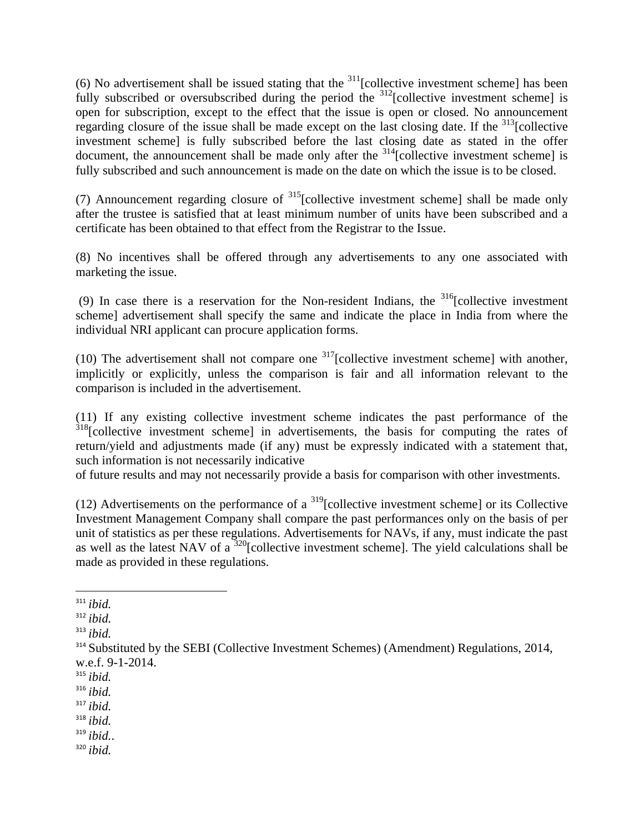(6) No advertisement shall be issued stating that the  $311$ [collective investment scheme] has been fully subscribed or oversubscribed during the period the  $312$ [collective investment scheme] is open for subscription, except to the effect that the issue is open or closed. No announcement regarding closure of the issue shall be made except on the last closing date. If the  $\frac{313}{2}$ [collective investment scheme] is fully subscribed before the last closing date as stated in the offer document, the announcement shall be made only after the  $314$ [collective investment scheme] is fully subscribed and such announcement is made on the date on which the issue is to be closed.

(7) Announcement regarding closure of  $^{315}$ [collective investment scheme] shall be made only after the trustee is satisfied that at least minimum number of units have been subscribed and a certificate has been obtained to that effect from the Registrar to the Issue.

(8) No incentives shall be offered through any advertisements to any one associated with marketing the issue.

(9) In case there is a reservation for the Non-resident Indians, the  $316$ [collective investment scheme] advertisement shall specify the same and indicate the place in India from where the individual NRI applicant can procure application forms.

(10) The advertisement shall not compare one  $317$ [collective investment scheme] with another, implicitly or explicitly, unless the comparison is fair and all information relevant to the comparison is included in the advertisement.

(11) If any existing collective investment scheme indicates the past performance of the  $318$ [collective investment scheme] in advertisements, the basis for computing the rates of return/yield and adjustments made (if any) must be expressly indicated with a statement that, such information is not necessarily indicative

of future results and may not necessarily provide a basis for comparison with other investments.

(12) Advertisements on the performance of a  $^{319}$ [collective investment scheme] or its Collective Investment Management Company shall compare the past performances only on the basis of per unit of statistics as per these regulations. Advertisements for NAVs, if any, must indicate the past as well as the latest NAV of a  $320$ [collective investment scheme]. The yield calculations shall be made as provided in these regulations.

- <sup>319</sup> *ibid.*.
- <sup>320</sup> *ibid.*

 <sup>311</sup> *ibid.*

<sup>312</sup> *ibid.*

<sup>313</sup> *ibid.*

<sup>&</sup>lt;sup>314</sup> Substituted by the SEBI (Collective Investment Schemes) (Amendment) Regulations, 2014, w.e.f. 9-1-2014.

<sup>315</sup> *ibid.*

<sup>316</sup> *ibid.*

<sup>317</sup> *ibid.*

<sup>318</sup> *ibid.*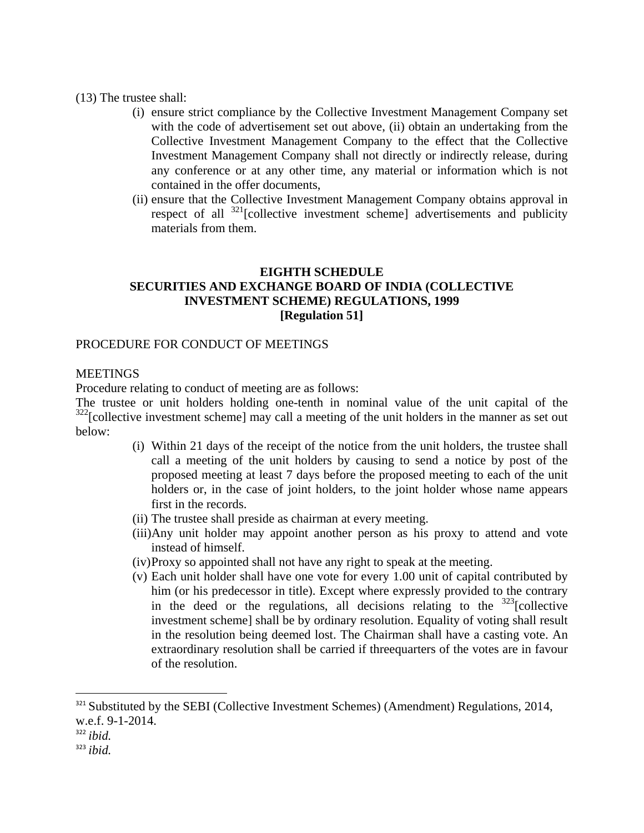(13) The trustee shall:

- (i) ensure strict compliance by the Collective Investment Management Company set with the code of advertisement set out above, (ii) obtain an undertaking from the Collective Investment Management Company to the effect that the Collective Investment Management Company shall not directly or indirectly release, during any conference or at any other time, any material or information which is not contained in the offer documents,
- (ii) ensure that the Collective Investment Management Company obtains approval in respect of all  $321$ [collective investment scheme] advertisements and publicity materials from them.

### **EIGHTH SCHEDULE SECURITIES AND EXCHANGE BOARD OF INDIA (COLLECTIVE INVESTMENT SCHEME) REGULATIONS, 1999 [Regulation 51]**

#### PROCEDURE FOR CONDUCT OF MEETINGS

#### **MEETINGS**

Procedure relating to conduct of meeting are as follows:

The trustee or unit holders holding one-tenth in nominal value of the unit capital of the  $322$ [collective investment scheme] may call a meeting of the unit holders in the manner as set out below:

- (i) Within 21 days of the receipt of the notice from the unit holders, the trustee shall call a meeting of the unit holders by causing to send a notice by post of the proposed meeting at least 7 days before the proposed meeting to each of the unit holders or, in the case of joint holders, to the joint holder whose name appears first in the records.
- (ii) The trustee shall preside as chairman at every meeting.
- (iii)Any unit holder may appoint another person as his proxy to attend and vote instead of himself.
- (iv)Proxy so appointed shall not have any right to speak at the meeting.
- (v) Each unit holder shall have one vote for every 1.00 unit of capital contributed by him (or his predecessor in title). Except where expressly provided to the contrary in the deed or the regulations, all decisions relating to the  $323$ [collective investment scheme] shall be by ordinary resolution. Equality of voting shall result in the resolution being deemed lost. The Chairman shall have a casting vote. An extraordinary resolution shall be carried if threequarters of the votes are in favour of the resolution.

<sup>&</sup>lt;sup>321</sup> Substituted by the SEBI (Collective Investment Schemes) (Amendment) Regulations, 2014, w.e.f. 9-1-2014.

<sup>322</sup> *ibid.*

<sup>323</sup> *ibid.*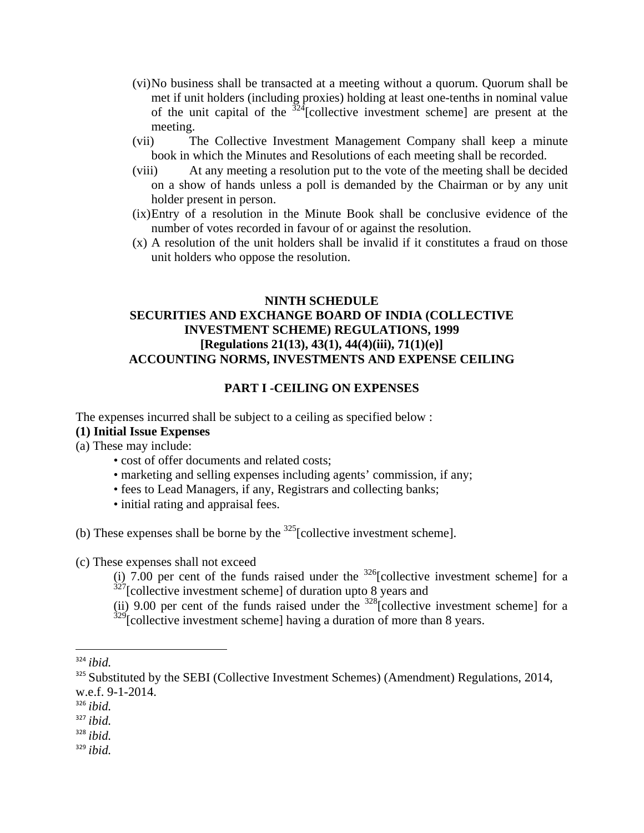- (vi)No business shall be transacted at a meeting without a quorum. Quorum shall be met if unit holders (including proxies) holding at least one-tenths in nominal value of the unit capital of the  $324$ [collective investment scheme] are present at the meeting.
- (vii) The Collective Investment Management Company shall keep a minute book in which the Minutes and Resolutions of each meeting shall be recorded.
- (viii) At any meeting a resolution put to the vote of the meeting shall be decided on a show of hands unless a poll is demanded by the Chairman or by any unit holder present in person.
- (ix)Entry of a resolution in the Minute Book shall be conclusive evidence of the number of votes recorded in favour of or against the resolution.
- (x) A resolution of the unit holders shall be invalid if it constitutes a fraud on those unit holders who oppose the resolution.

### **NINTH SCHEDULE SECURITIES AND EXCHANGE BOARD OF INDIA (COLLECTIVE INVESTMENT SCHEME) REGULATIONS, 1999 [Regulations 21(13), 43(1), 44(4)(iii), 71(1)(e)] ACCOUNTING NORMS, INVESTMENTS AND EXPENSE CEILING**

#### **PART I -CEILING ON EXPENSES**

The expenses incurred shall be subject to a ceiling as specified below :

- **(1) Initial Issue Expenses**
- (a) These may include:
	- cost of offer documents and related costs;
	- marketing and selling expenses including agents' commission, if any;
	- fees to Lead Managers, if any, Registrars and collecting banks;
	- initial rating and appraisal fees.

(b) These expenses shall be borne by the  $325$ [collective investment scheme].

(c) These expenses shall not exceed

(i) 7.00 per cent of the funds raised under the  $326$ [collective investment scheme] for a  $327$ [collective investment scheme] of duration upto 8 years and

(ii) 9.00 per cent of the funds raised under the  $328$ [collective investment scheme] for a  $329$ [collective investment scheme] having a duration of more than 8 years.

<sup>326</sup> *ibid.*

<sup>328</sup> *ibid.*

<sup>324</sup> *ibid.*

<sup>&</sup>lt;sup>325</sup> Substituted by the SEBI (Collective Investment Schemes) (Amendment) Regulations, 2014, w.e.f. 9-1-2014.

<sup>327</sup> *ibid.*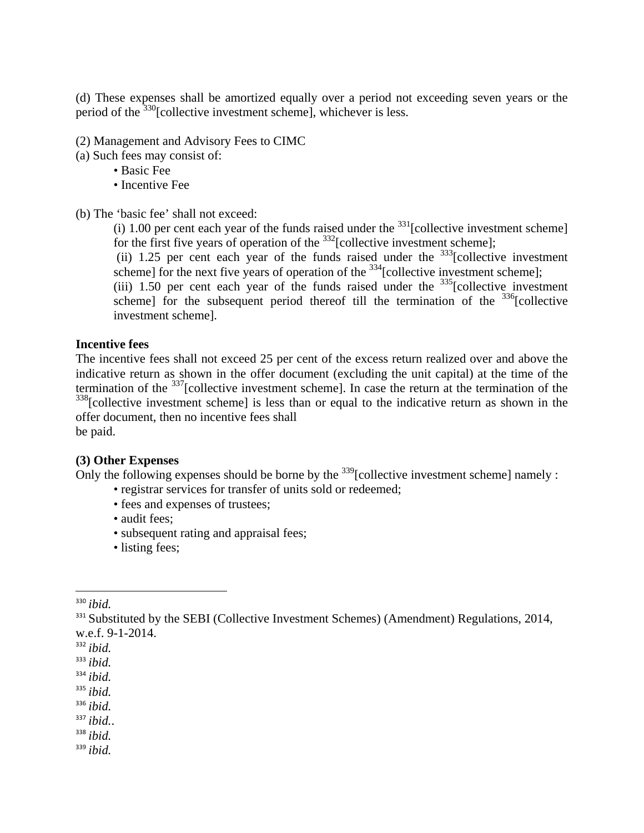(d) These expenses shall be amortized equally over a period not exceeding seven years or the period of the <sup>330</sup>[collective investment scheme], whichever is less.

(2) Management and Advisory Fees to CIMC

- (a) Such fees may consist of:
	- Basic Fee
	- Incentive Fee

(b) The 'basic fee' shall not exceed:

(i) 1.00 per cent each year of the funds raised under the  $331$  [collective investment scheme] for the first five years of operation of the  $332$ [collective investment scheme];

(ii) 1.25 per cent each year of the funds raised under the  $333$ [collective investment scheme] for the next five years of operation of the  $^{334}$ [collective investment scheme];

(iii) 1.50 per cent each year of the funds raised under the  $335$ [collective investment scheme] for the subsequent period thereof till the termination of the  $336$ [collective investment scheme].

#### **Incentive fees**

The incentive fees shall not exceed 25 per cent of the excess return realized over and above the indicative return as shown in the offer document (excluding the unit capital) at the time of the termination of the  $337$ [collective investment scheme]. In case the return at the termination of the <sup>338</sup>[collective investment scheme] is less than or equal to the indicative return as shown in the offer document, then no incentive fees shall

be paid.

#### **(3) Other Expenses**

Only the following expenses should be borne by the  $^{339}$ [collective investment scheme] namely :

- registrar services for transfer of units sold or redeemed;
- fees and expenses of trustees;
- audit fees;
- subsequent rating and appraisal fees;
- listing fees;

- <sup>332</sup> *ibid.*
- <sup>333</sup> *ibid.*
- <sup>334</sup> *ibid.*
- <sup>335</sup> *ibid.*
- <sup>336</sup> *ibid.*
- <sup>337</sup> *ibid.*.

<sup>338</sup> *ibid.*

<sup>330</sup> *ibid.*

<sup>&</sup>lt;sup>331</sup> Substituted by the SEBI (Collective Investment Schemes) (Amendment) Regulations, 2014, w.e.f. 9-1-2014.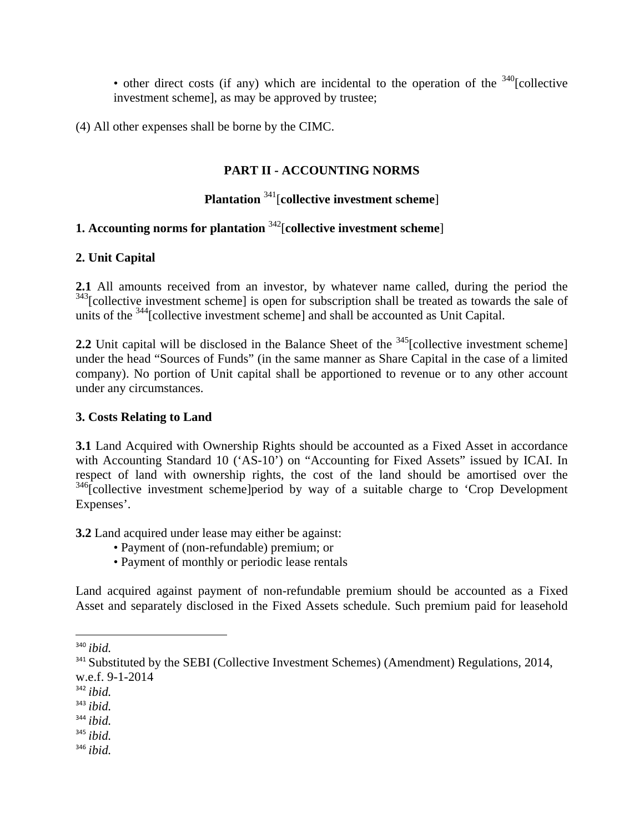• other direct costs (if any) which are incidental to the operation of the  $340$ [collective investment scheme], as may be approved by trustee;

(4) All other expenses shall be borne by the CIMC.

### **PART II - ACCOUNTING NORMS**

## **Plantation** 341[**collective investment scheme**]

# **1. Accounting norms for plantation** 342[**collective investment scheme**]

### **2. Unit Capital**

**2.1** All amounts received from an investor, by whatever name called, during the period the <sup>343</sup>[collective investment scheme] is open for subscription shall be treated as towards the sale of units of the <sup>344</sup>[collective investment scheme] and shall be accounted as Unit Capital.

**2.2** Unit capital will be disclosed in the Balance Sheet of the <sup>345</sup>[collective investment scheme] under the head "Sources of Funds" (in the same manner as Share Capital in the case of a limited company). No portion of Unit capital shall be apportioned to revenue or to any other account under any circumstances.

### **3. Costs Relating to Land**

**3.1** Land Acquired with Ownership Rights should be accounted as a Fixed Asset in accordance with Accounting Standard 10 ('AS-10') on "Accounting for Fixed Assets" issued by ICAI. In respect of land with ownership rights, the cost of the land should be amortised over the <sup>346</sup>[collective investment scheme]period by way of a suitable charge to 'Crop Development Expenses'.

**3.2** Land acquired under lease may either be against:

- Payment of (non-refundable) premium; or
- Payment of monthly or periodic lease rentals

Land acquired against payment of non-refundable premium should be accounted as a Fixed Asset and separately disclosed in the Fixed Assets schedule. Such premium paid for leasehold

- <sup>345</sup> *ibid.*
- <sup>346</sup> *ibid.*

<sup>340</sup> *ibid.*

<sup>&</sup>lt;sup>341</sup> Substituted by the SEBI (Collective Investment Schemes) (Amendment) Regulations, 2014, w.e.f. 9-1-2014

<sup>342</sup> *ibid.*

<sup>343</sup> *ibid.*

<sup>344</sup> *ibid.*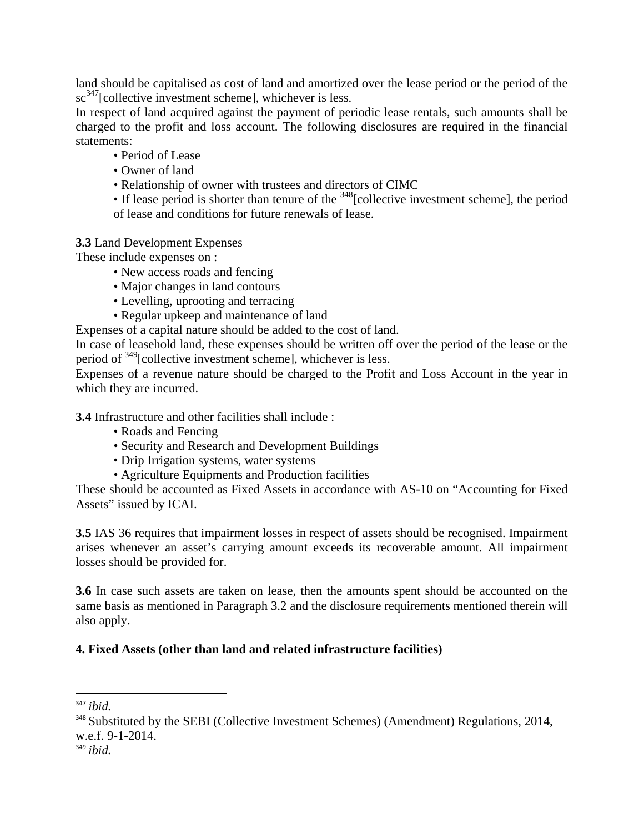land should be capitalised as cost of land and amortized over the lease period or the period of the sc<sup>347</sup>[collective investment scheme], whichever is less.

In respect of land acquired against the payment of periodic lease rentals, such amounts shall be charged to the profit and loss account. The following disclosures are required in the financial statements:

- Period of Lease
- Owner of land
- Relationship of owner with trustees and directors of CIMC
- If lease period is shorter than tenure of the  $348$ [collective investment scheme], the period of lease and conditions for future renewals of lease.

**3.3** Land Development Expenses

These include expenses on :

- New access roads and fencing
- Major changes in land contours
- Levelling, uprooting and terracing
- Regular upkeep and maintenance of land

Expenses of a capital nature should be added to the cost of land.

In case of leasehold land, these expenses should be written off over the period of the lease or the period of 349[collective investment scheme], whichever is less.

Expenses of a revenue nature should be charged to the Profit and Loss Account in the year in which they are incurred.

**3.4** Infrastructure and other facilities shall include :

- Roads and Fencing
- Security and Research and Development Buildings
- Drip Irrigation systems, water systems
- Agriculture Equipments and Production facilities

These should be accounted as Fixed Assets in accordance with AS-10 on "Accounting for Fixed Assets" issued by ICAI.

**3.5** IAS 36 requires that impairment losses in respect of assets should be recognised. Impairment arises whenever an asset's carrying amount exceeds its recoverable amount. All impairment losses should be provided for.

**3.6** In case such assets are taken on lease, then the amounts spent should be accounted on the same basis as mentioned in Paragraph 3.2 and the disclosure requirements mentioned therein will also apply.

### **4. Fixed Assets (other than land and related infrastructure facilities)**

<sup>347</sup> *ibid.*

<sup>&</sup>lt;sup>348</sup> Substituted by the SEBI (Collective Investment Schemes) (Amendment) Regulations, 2014, w.e.f. 9-1-2014.

<sup>349</sup> *ibid.*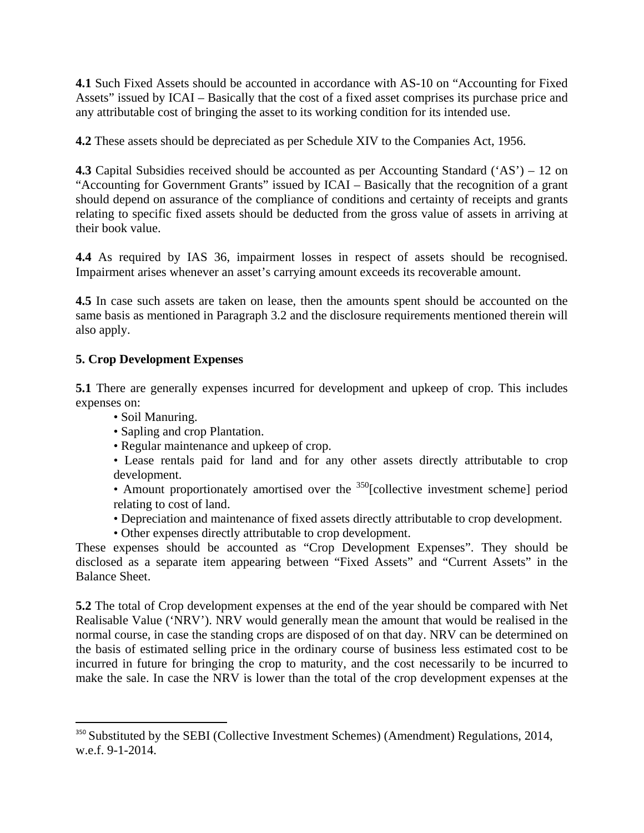**4.1** Such Fixed Assets should be accounted in accordance with AS-10 on "Accounting for Fixed Assets" issued by ICAI – Basically that the cost of a fixed asset comprises its purchase price and any attributable cost of bringing the asset to its working condition for its intended use.

**4.2** These assets should be depreciated as per Schedule XIV to the Companies Act, 1956.

**4.3** Capital Subsidies received should be accounted as per Accounting Standard ('AS') – 12 on "Accounting for Government Grants" issued by ICAI – Basically that the recognition of a grant should depend on assurance of the compliance of conditions and certainty of receipts and grants relating to specific fixed assets should be deducted from the gross value of assets in arriving at their book value.

**4.4** As required by IAS 36, impairment losses in respect of assets should be recognised. Impairment arises whenever an asset's carrying amount exceeds its recoverable amount.

**4.5** In case such assets are taken on lease, then the amounts spent should be accounted on the same basis as mentioned in Paragraph 3.2 and the disclosure requirements mentioned therein will also apply.

# **5. Crop Development Expenses**

**5.1** There are generally expenses incurred for development and upkeep of crop. This includes expenses on:

• Soil Manuring.

- Sapling and crop Plantation.
- Regular maintenance and upkeep of crop.
- Lease rentals paid for land and for any other assets directly attributable to crop development.

• Amount proportionately amortised over the  $350$ [collective investment scheme] period relating to cost of land.

- Depreciation and maintenance of fixed assets directly attributable to crop development.
- Other expenses directly attributable to crop development.

These expenses should be accounted as "Crop Development Expenses". They should be disclosed as a separate item appearing between "Fixed Assets" and "Current Assets" in the Balance Sheet.

**5.2** The total of Crop development expenses at the end of the year should be compared with Net Realisable Value ('NRV'). NRV would generally mean the amount that would be realised in the normal course, in case the standing crops are disposed of on that day. NRV can be determined on the basis of estimated selling price in the ordinary course of business less estimated cost to be incurred in future for bringing the crop to maturity, and the cost necessarily to be incurred to make the sale. In case the NRV is lower than the total of the crop development expenses at the

<sup>&</sup>lt;sup>350</sup> Substituted by the SEBI (Collective Investment Schemes) (Amendment) Regulations, 2014, w.e.f. 9-1-2014.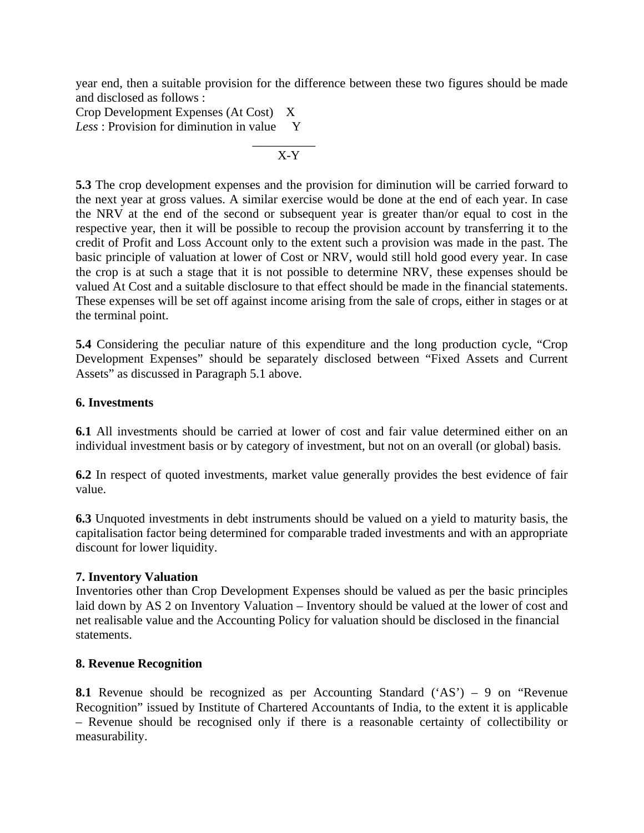year end, then a suitable provision for the difference between these two figures should be made and disclosed as follows :

Crop Development Expenses (At Cost) X Less : Provision for diminution in value Y  $\mathcal{L}_\text{max}$  and  $\mathcal{L}_\text{max}$  and  $\mathcal{L}_\text{max}$  and  $\mathcal{L}_\text{max}$ 

$$
\overline{\text{X-Y}}
$$

**5.3** The crop development expenses and the provision for diminution will be carried forward to the next year at gross values. A similar exercise would be done at the end of each year. In case the NRV at the end of the second or subsequent year is greater than/or equal to cost in the respective year, then it will be possible to recoup the provision account by transferring it to the credit of Profit and Loss Account only to the extent such a provision was made in the past. The basic principle of valuation at lower of Cost or NRV, would still hold good every year. In case the crop is at such a stage that it is not possible to determine NRV, these expenses should be valued At Cost and a suitable disclosure to that effect should be made in the financial statements. These expenses will be set off against income arising from the sale of crops, either in stages or at the terminal point.

**5.4** Considering the peculiar nature of this expenditure and the long production cycle, "Crop Development Expenses" should be separately disclosed between "Fixed Assets and Current Assets" as discussed in Paragraph 5.1 above.

#### **6. Investments**

**6.1** All investments should be carried at lower of cost and fair value determined either on an individual investment basis or by category of investment, but not on an overall (or global) basis.

**6.2** In respect of quoted investments, market value generally provides the best evidence of fair value.

**6.3** Unquoted investments in debt instruments should be valued on a yield to maturity basis, the capitalisation factor being determined for comparable traded investments and with an appropriate discount for lower liquidity.

#### **7. Inventory Valuation**

Inventories other than Crop Development Expenses should be valued as per the basic principles laid down by AS 2 on Inventory Valuation – Inventory should be valued at the lower of cost and net realisable value and the Accounting Policy for valuation should be disclosed in the financial statements.

### **8. Revenue Recognition**

**8.1** Revenue should be recognized as per Accounting Standard ('AS') – 9 on "Revenue Recognition" issued by Institute of Chartered Accountants of India, to the extent it is applicable – Revenue should be recognised only if there is a reasonable certainty of collectibility or measurability.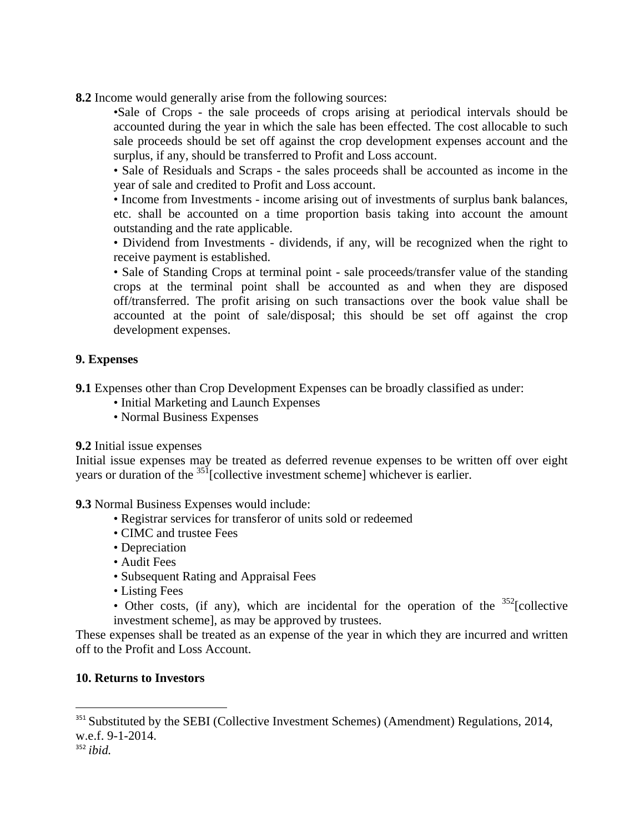**8.2** Income would generally arise from the following sources:

•Sale of Crops - the sale proceeds of crops arising at periodical intervals should be accounted during the year in which the sale has been effected. The cost allocable to such sale proceeds should be set off against the crop development expenses account and the surplus, if any, should be transferred to Profit and Loss account.

• Sale of Residuals and Scraps - the sales proceeds shall be accounted as income in the year of sale and credited to Profit and Loss account.

• Income from Investments - income arising out of investments of surplus bank balances, etc. shall be accounted on a time proportion basis taking into account the amount outstanding and the rate applicable.

• Dividend from Investments - dividends, if any, will be recognized when the right to receive payment is established.

• Sale of Standing Crops at terminal point - sale proceeds/transfer value of the standing crops at the terminal point shall be accounted as and when they are disposed off/transferred. The profit arising on such transactions over the book value shall be accounted at the point of sale/disposal; this should be set off against the crop development expenses.

### **9. Expenses**

**9.1** Expenses other than Crop Development Expenses can be broadly classified as under:

- Initial Marketing and Launch Expenses
- Normal Business Expenses

**9.2** Initial issue expenses

Initial issue expenses may be treated as deferred revenue expenses to be written off over eight years or duration of the <sup>351</sup>[collective investment scheme] whichever is earlier.

**9.3** Normal Business Expenses would include:

- Registrar services for transferor of units sold or redeemed
- CIMC and trustee Fees
- Depreciation
- Audit Fees
- Subsequent Rating and Appraisal Fees
- Listing Fees
- Other costs, (if any), which are incidental for the operation of the  $352$ [collective investment scheme], as may be approved by trustees.

These expenses shall be treated as an expense of the year in which they are incurred and written off to the Profit and Loss Account.

### **10. Returns to Investors**

<sup>&</sup>lt;sup>351</sup> Substituted by the SEBI (Collective Investment Schemes) (Amendment) Regulations, 2014, w.e.f. 9-1-2014.

<sup>352</sup> *ibid.*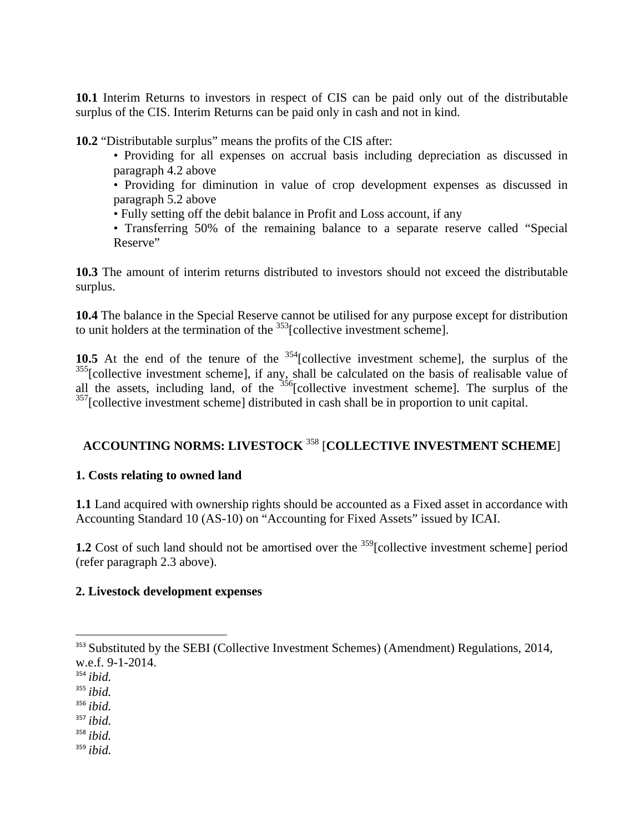**10.1** Interim Returns to investors in respect of CIS can be paid only out of the distributable surplus of the CIS. Interim Returns can be paid only in cash and not in kind.

**10.2** "Distributable surplus" means the profits of the CIS after:

• Providing for all expenses on accrual basis including depreciation as discussed in paragraph 4.2 above

• Providing for diminution in value of crop development expenses as discussed in paragraph 5.2 above

- Fully setting off the debit balance in Profit and Loss account, if any
- Transferring 50% of the remaining balance to a separate reserve called "Special Reserve"

**10.3** The amount of interim returns distributed to investors should not exceed the distributable surplus.

**10.4** The balance in the Special Reserve cannot be utilised for any purpose except for distribution to unit holders at the termination of the  $\frac{353}{36}$ [collective investment scheme].

10.5 At the end of the tenure of the <sup>354</sup>[collective investment scheme], the surplus of the <sup>355</sup>[collective investment scheme], if any, shall be calculated on the basis of realisable value of all the assets, including land, of the  $356$ [collective investment scheme]. The surplus of the <sup>357</sup>[collective investment scheme] distributed in cash shall be in proportion to unit capital.

# **ACCOUNTING NORMS: LIVESTOCK** 358 [**COLLECTIVE INVESTMENT SCHEME**]

### **1. Costs relating to owned land**

**1.1** Land acquired with ownership rights should be accounted as a Fixed asset in accordance with Accounting Standard 10 (AS-10) on "Accounting for Fixed Assets" issued by ICAI.

**1.2** Cost of such land should not be amortised over the <sup>359</sup>[collective investment scheme] period (refer paragraph 2.3 above).

#### **2. Livestock development expenses**

<sup>357</sup> *ibid.*

<sup>358</sup> *ibid.*

<sup>359</sup> *ibid.*

<sup>&</sup>lt;sup>353</sup> Substituted by the SEBI (Collective Investment Schemes) (Amendment) Regulations, 2014, w.e.f. 9-1-2014.

<sup>354</sup> *ibid.*

<sup>355</sup> *ibid.*

<sup>356</sup> *ibid.*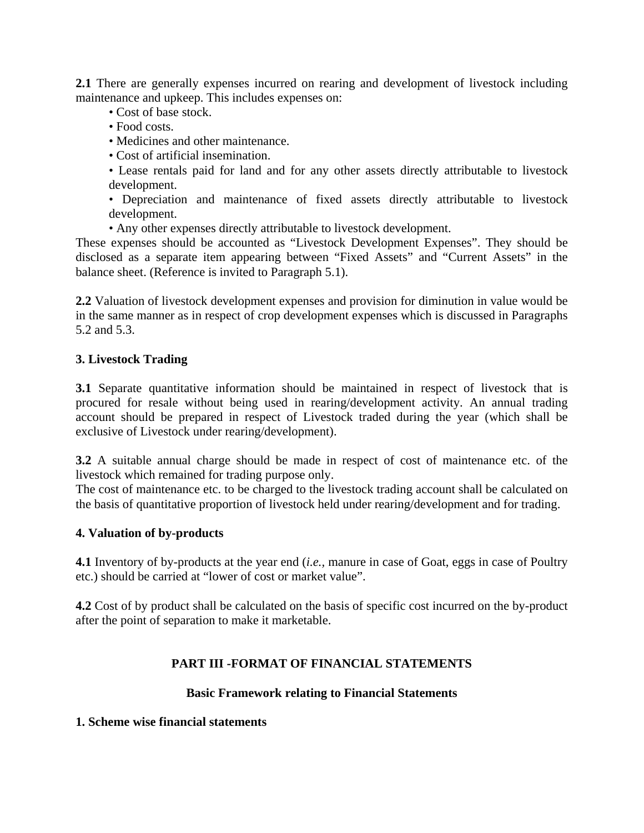**2.1** There are generally expenses incurred on rearing and development of livestock including maintenance and upkeep. This includes expenses on:

- Cost of base stock.
- Food costs.
- Medicines and other maintenance.
- Cost of artificial insemination.
- Lease rentals paid for land and for any other assets directly attributable to livestock development.
- Depreciation and maintenance of fixed assets directly attributable to livestock development.
- Any other expenses directly attributable to livestock development.

These expenses should be accounted as "Livestock Development Expenses". They should be disclosed as a separate item appearing between "Fixed Assets" and "Current Assets" in the balance sheet. (Reference is invited to Paragraph 5.1).

**2.2** Valuation of livestock development expenses and provision for diminution in value would be in the same manner as in respect of crop development expenses which is discussed in Paragraphs 5.2 and 5.3.

#### **3. Livestock Trading**

**3.1** Separate quantitative information should be maintained in respect of livestock that is procured for resale without being used in rearing/development activity. An annual trading account should be prepared in respect of Livestock traded during the year (which shall be exclusive of Livestock under rearing/development).

**3.2** A suitable annual charge should be made in respect of cost of maintenance etc. of the livestock which remained for trading purpose only.

The cost of maintenance etc. to be charged to the livestock trading account shall be calculated on the basis of quantitative proportion of livestock held under rearing/development and for trading.

#### **4. Valuation of by-products**

**4.1** Inventory of by-products at the year end (*i.e.,* manure in case of Goat, eggs in case of Poultry etc.) should be carried at "lower of cost or market value".

**4.2** Cost of by product shall be calculated on the basis of specific cost incurred on the by-product after the point of separation to make it marketable.

#### **PART III -FORMAT OF FINANCIAL STATEMENTS**

#### **Basic Framework relating to Financial Statements**

#### **1. Scheme wise financial statements**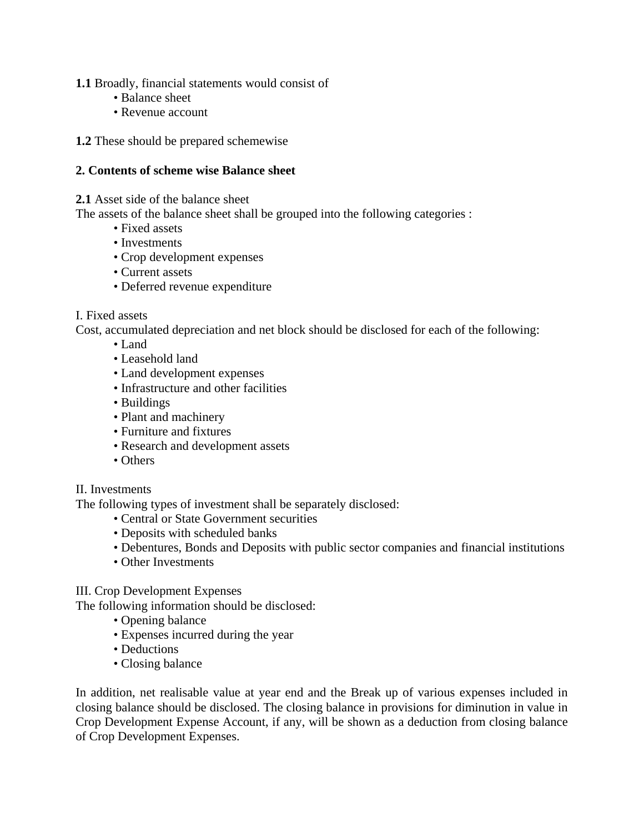**1.1** Broadly, financial statements would consist of

- Balance sheet
- Revenue account

**1.2** These should be prepared schemewise

#### **2. Contents of scheme wise Balance sheet**

#### **2.1** Asset side of the balance sheet

The assets of the balance sheet shall be grouped into the following categories :

- Fixed assets
- Investments
- Crop development expenses
- Current assets
- Deferred revenue expenditure

#### I. Fixed assets

Cost, accumulated depreciation and net block should be disclosed for each of the following:

- Land
- Leasehold land
- Land development expenses
- Infrastructure and other facilities
- Buildings
- Plant and machinery
- Furniture and fixtures
- Research and development assets
- Others

#### II. Investments

The following types of investment shall be separately disclosed:

- Central or State Government securities
- Deposits with scheduled banks
- Debentures, Bonds and Deposits with public sector companies and financial institutions
- Other Investments

# III. Crop Development Expenses

The following information should be disclosed:

- Opening balance
- Expenses incurred during the year
- Deductions
- Closing balance

In addition, net realisable value at year end and the Break up of various expenses included in closing balance should be disclosed. The closing balance in provisions for diminution in value in Crop Development Expense Account, if any, will be shown as a deduction from closing balance of Crop Development Expenses.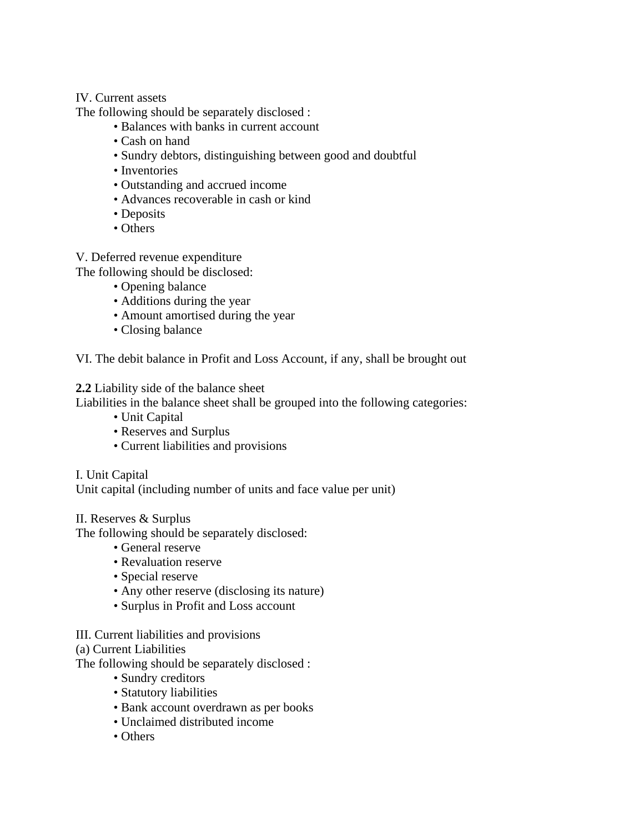#### IV. Current assets

The following should be separately disclosed :

- Balances with banks in current account
- Cash on hand
- Sundry debtors, distinguishing between good and doubtful
- Inventories
- Outstanding and accrued income
- Advances recoverable in cash or kind
- Deposits
- Others

V. Deferred revenue expenditure

The following should be disclosed:

- Opening balance
- Additions during the year
- Amount amortised during the year
- Closing balance

VI. The debit balance in Profit and Loss Account, if any, shall be brought out

**2.2** Liability side of the balance sheet

Liabilities in the balance sheet shall be grouped into the following categories:

- Unit Capital
- Reserves and Surplus
- Current liabilities and provisions

I. Unit Capital

Unit capital (including number of units and face value per unit)

### II. Reserves & Surplus

The following should be separately disclosed:

- General reserve
- Revaluation reserve
- Special reserve
- Any other reserve (disclosing its nature)
- Surplus in Profit and Loss account

### III. Current liabilities and provisions

(a) Current Liabilities

The following should be separately disclosed :

- Sundry creditors
- Statutory liabilities
- Bank account overdrawn as per books
- Unclaimed distributed income
- Others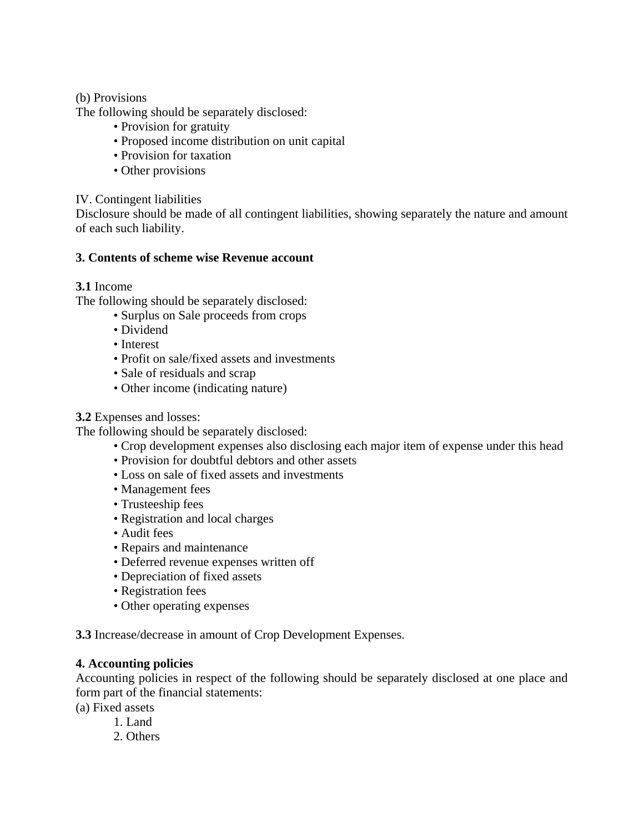### (b) Provisions

The following should be separately disclosed:

- Provision for gratuity
- Proposed income distribution on unit capital
- Provision for taxation
- Other provisions

### IV. Contingent liabilities

Disclosure should be made of all contingent liabilities, showing separately the nature and amount of each such liability.

#### **3. Contents of scheme wise Revenue account**

### **3.1** Income

The following should be separately disclosed:

- Surplus on Sale proceeds from crops
- Dividend
- Interest
- Profit on sale/fixed assets and investments
- Sale of residuals and scrap
- Other income (indicating nature)

### **3.2** Expenses and losses:

The following should be separately disclosed:

- Crop development expenses also disclosing each major item of expense under this head
- Provision for doubtful debtors and other assets
- Loss on sale of fixed assets and investments
- Management fees
- Trusteeship fees
- Registration and local charges
- Audit fees
- Repairs and maintenance
- Deferred revenue expenses written off
- Depreciation of fixed assets
- Registration fees
- Other operating expenses

**3.3** Increase/decrease in amount of Crop Development Expenses.

#### **4. Accounting policies**

Accounting policies in respect of the following should be separately disclosed at one place and form part of the financial statements:

(a) Fixed assets

- 1. Land
- 2. Others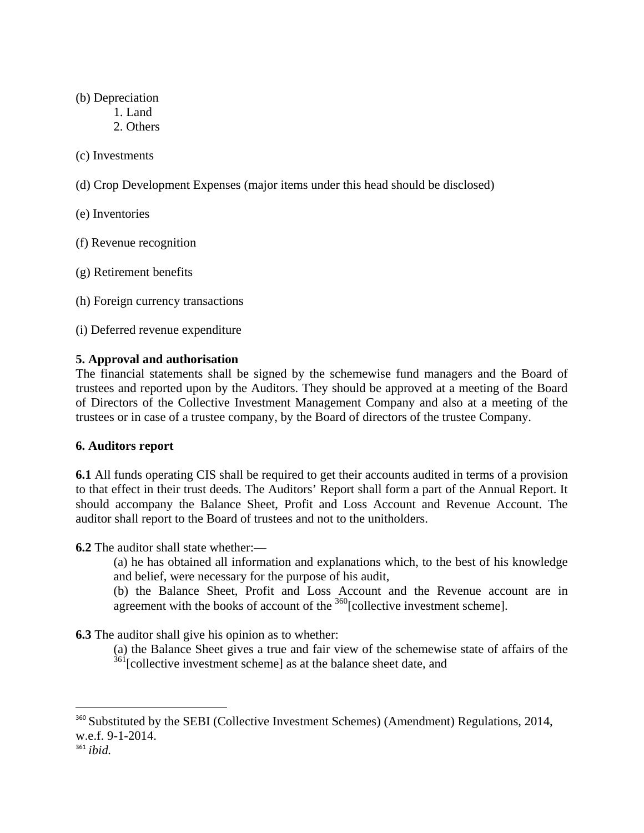#### (b) Depreciation

- 1. Land
- 2. Others

### (c) Investments

- (d) Crop Development Expenses (major items under this head should be disclosed)
- (e) Inventories
- (f) Revenue recognition
- (g) Retirement benefits
- (h) Foreign currency transactions
- (i) Deferred revenue expenditure

## **5. Approval and authorisation**

The financial statements shall be signed by the schemewise fund managers and the Board of trustees and reported upon by the Auditors. They should be approved at a meeting of the Board of Directors of the Collective Investment Management Company and also at a meeting of the trustees or in case of a trustee company, by the Board of directors of the trustee Company.

### **6. Auditors report**

**6.1** All funds operating CIS shall be required to get their accounts audited in terms of a provision to that effect in their trust deeds. The Auditors' Report shall form a part of the Annual Report. It should accompany the Balance Sheet, Profit and Loss Account and Revenue Account. The auditor shall report to the Board of trustees and not to the unitholders.

**6.2** The auditor shall state whether:—

(a) he has obtained all information and explanations which, to the best of his knowledge and belief, were necessary for the purpose of his audit,

(b) the Balance Sheet, Profit and Loss Account and the Revenue account are in agreement with the books of account of the  $360$ [collective investment scheme].

**6.3** The auditor shall give his opinion as to whether:

(a) the Balance Sheet gives a true and fair view of the schemewise state of affairs of the  $361$ [collective investment scheme] as at the balance sheet date, and

<sup>&</sup>lt;sup>360</sup> Substituted by the SEBI (Collective Investment Schemes) (Amendment) Regulations, 2014, w.e.f. 9-1-2014.

<sup>361</sup> *ibid.*